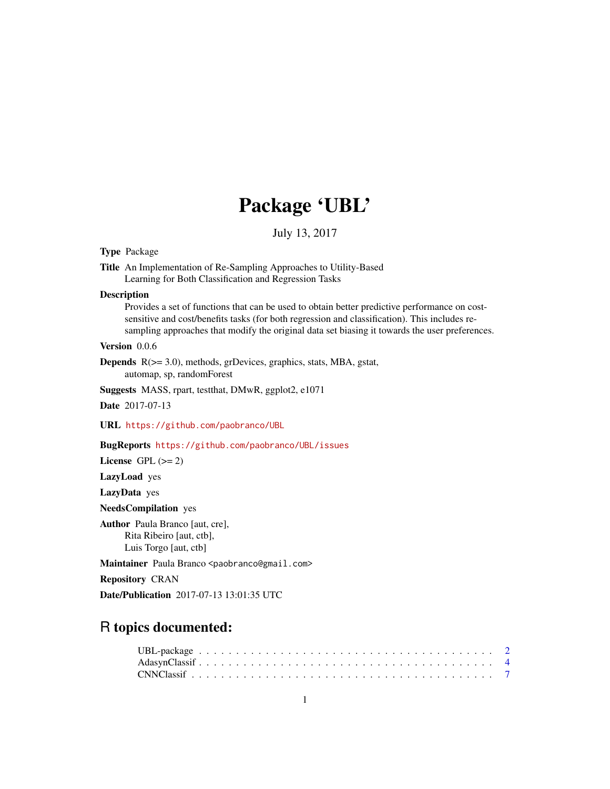# Package 'UBL'

July 13, 2017

# Type Package

Title An Implementation of Re-Sampling Approaches to Utility-Based Learning for Both Classification and Regression Tasks

#### **Description**

Provides a set of functions that can be used to obtain better predictive performance on costsensitive and cost/benefits tasks (for both regression and classification). This includes resampling approaches that modify the original data set biasing it towards the user preferences.

# Version 0.0.6

Depends R(>= 3.0), methods, grDevices, graphics, stats, MBA, gstat, automap, sp, randomForest

Suggests MASS, rpart, testthat, DMwR, ggplot2, e1071

Date 2017-07-13

URL <https://github.com/paobranco/UBL>

# BugReports <https://github.com/paobranco/UBL/issues>

License GPL  $(>= 2)$ 

LazyLoad yes

LazyData yes

NeedsCompilation yes

Author Paula Branco [aut, cre], Rita Ribeiro [aut, ctb], Luis Torgo [aut, ctb]

Maintainer Paula Branco <paobranco@gmail.com>

Repository CRAN

Date/Publication 2017-07-13 13:01:35 UTC

# R topics documented: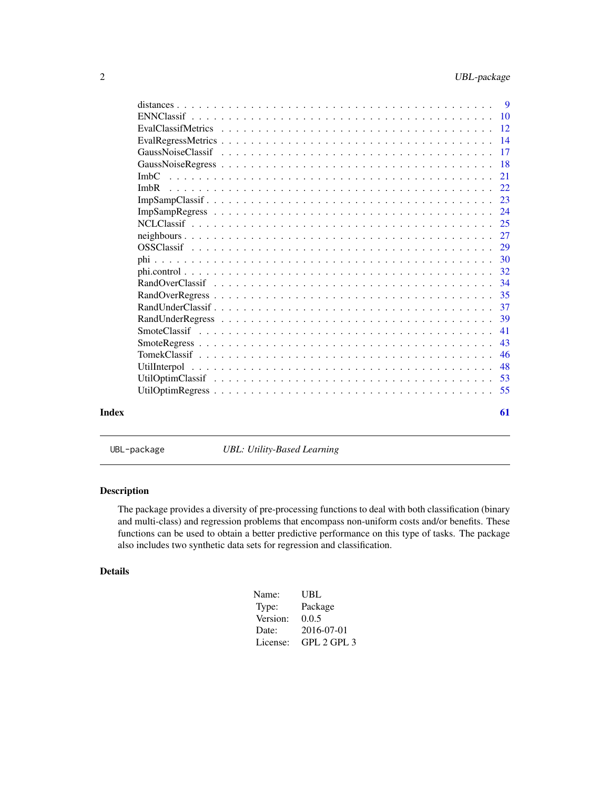<span id="page-1-0"></span>

|       |                                                                                                                          | - 9       |
|-------|--------------------------------------------------------------------------------------------------------------------------|-----------|
|       | $ENNClassif \dots \dots \dots \dots \dots \dots \dots \dots \dots \dots \dots \dots \dots \dots \dots \dots \dots \dots$ | 10        |
|       |                                                                                                                          | 12        |
|       |                                                                                                                          | 14        |
|       |                                                                                                                          | 17        |
|       |                                                                                                                          | <b>18</b> |
|       | ImbC                                                                                                                     | 21        |
|       | ImbR                                                                                                                     | 22        |
|       |                                                                                                                          | 23        |
|       |                                                                                                                          | 24        |
|       |                                                                                                                          | 25        |
|       |                                                                                                                          | 27        |
|       |                                                                                                                          | 29        |
|       |                                                                                                                          | 30        |
|       |                                                                                                                          | 32        |
|       |                                                                                                                          | 34        |
|       |                                                                                                                          | 35        |
|       |                                                                                                                          | 37        |
|       |                                                                                                                          | 39        |
|       |                                                                                                                          | 41        |
|       |                                                                                                                          | 43        |
|       |                                                                                                                          | 46        |
|       |                                                                                                                          | 48        |
|       |                                                                                                                          | 53        |
|       |                                                                                                                          | 55        |
| Index |                                                                                                                          | 61        |

UBL-package *UBL: Utility-Based Learning*

# Description

The package provides a diversity of pre-processing functions to deal with both classification (binary and multi-class) and regression problems that encompass non-uniform costs and/or benefits. These functions can be used to obtain a better predictive performance on this type of tasks. The package also includes two synthetic data sets for regression and classification.

# Details

| Name:    | UBL         |
|----------|-------------|
| Type:    | Package     |
| Version: | 0.0.5       |
| Date:    | 2016-07-01  |
| License: | GPL 2 GPL 3 |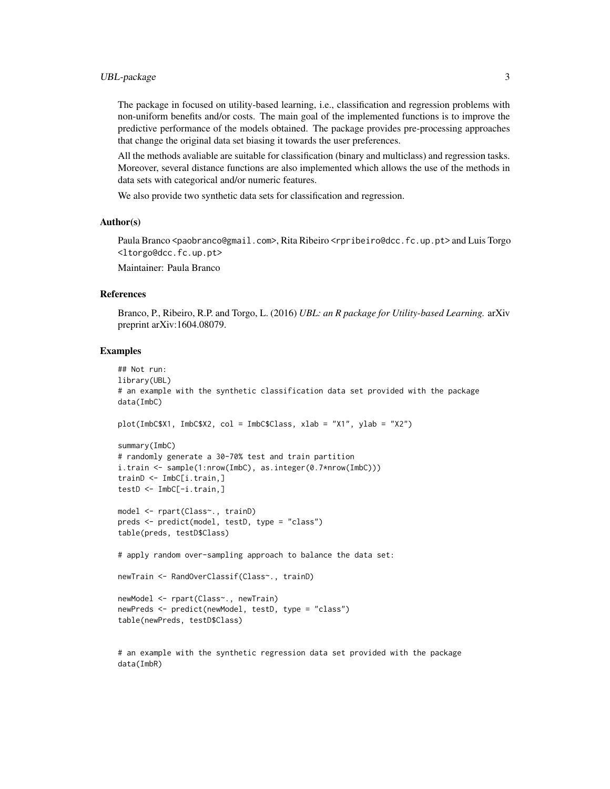The package in focused on utility-based learning, i.e., classification and regression problems with non-uniform benefits and/or costs. The main goal of the implemented functions is to improve the predictive performance of the models obtained. The package provides pre-processing approaches that change the original data set biasing it towards the user preferences.

All the methods avaliable are suitable for classification (binary and multiclass) and regression tasks. Moreover, several distance functions are also implemented which allows the use of the methods in data sets with categorical and/or numeric features.

We also provide two synthetic data sets for classification and regression.

#### Author(s)

Paula Branco <paobranco@gmail.com>, Rita Ribeiro <rpribeiro@dcc.fc.up.pt> and Luis Torgo <ltorgo@dcc.fc.up.pt>

Maintainer: Paula Branco

#### References

Branco, P., Ribeiro, R.P. and Torgo, L. (2016) *UBL: an R package for Utility-based Learning.* arXiv preprint arXiv:1604.08079.

#### Examples

data(ImbR)

```
## Not run:
library(UBL)
# an example with the synthetic classification data set provided with the package
data(ImbC)
plot(ImbC$X1, ImbC$X2, col = ImbC$Class, xlab = "X1", ylab = "X2")
summary(ImbC)
# randomly generate a 30-70% test and train partition
i.train <- sample(1:nrow(ImbC), as.integer(0.7*nrow(ImbC)))
trainD <- ImbC[i.train,]
testD <- ImbC[-i.train,]
model <- rpart(Class~., trainD)
preds <- predict(model, testD, type = "class")
table(preds, testD$Class)
# apply random over-sampling approach to balance the data set:
newTrain <- RandOverClassif(Class~., trainD)
newModel <- rpart(Class~., newTrain)
newPreds <- predict(newModel, testD, type = "class")
table(newPreds, testD$Class)
# an example with the synthetic regression data set provided with the package
```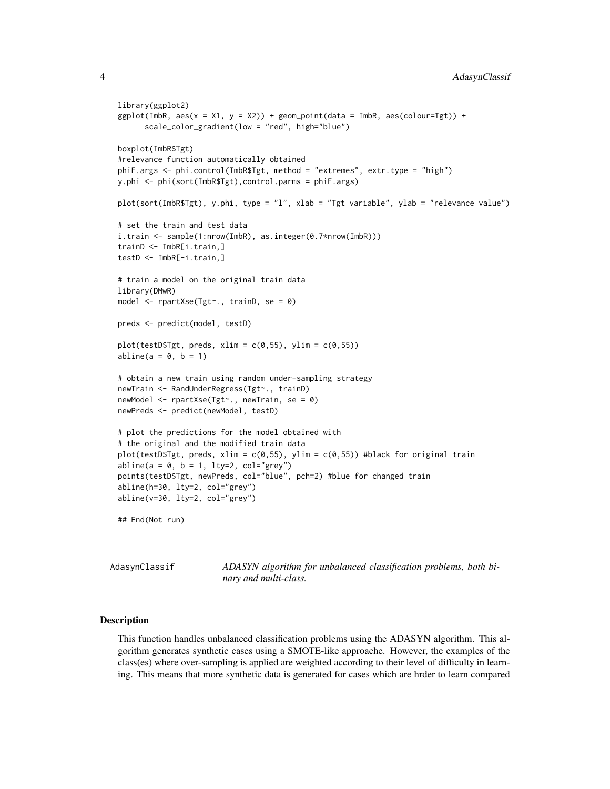```
library(ggplot2)
ggplot(ImbR, aes(x = X1, y = X2)) + geom\_point(data = ImbR, aes(colour=Tgt)) +scale_color_gradient(low = "red", high="blue")
boxplot(ImbR$Tgt)
#relevance function automatically obtained
phiF.args <- phi.control(ImbR$Tgt, method = "extremes", extr.type = "high")
y.phi <- phi(sort(ImbR$Tgt),control.parms = phiF.args)
plot(sort(ImbR$Tgt), y.phi, type = "l", xlab = "Tgt variable", ylab = "relevance value")
# set the train and test data
i.train <- sample(1:nrow(ImbR), as.integer(0.7*nrow(ImbR)))
trainD <- ImbR[i.train,]
testD <- ImbR[-i.train,]
# train a model on the original train data
library(DMwR)
model <- rpartXse(Tgt~., trainD, se = 0)
preds <- predict(model, testD)
plot(testD$Tgt, preds, xlim = c(0,55), ylim = c(0,55))abline(a = 0, b = 1)# obtain a new train using random under-sampling strategy
newTrain <- RandUnderRegress(Tgt~., trainD)
newModel <- rpartXse(Tgt~., newTrain, se = 0)
newPreds <- predict(newModel, testD)
# plot the predictions for the model obtained with
# the original and the modified train data
plot(testD$Tgt, preds, xlim = c(0,55), ylim = c(0,55)) #black for original train
abline(a = 0, b = 1, lty=2, col="grey")points(testD$Tgt, newPreds, col="blue", pch=2) #blue for changed train
abline(h=30, lty=2, col="grey")
abline(v=30, lty=2, col="grey")
## End(Not run)
```
AdasynClassif *ADASYN algorithm for unbalanced classification problems, both binary and multi-class.*

#### Description

This function handles unbalanced classification problems using the ADASYN algorithm. This algorithm generates synthetic cases using a SMOTE-like approache. However, the examples of the class(es) where over-sampling is applied are weighted according to their level of difficulty in learning. This means that more synthetic data is generated for cases which are hrder to learn compared

<span id="page-3-0"></span>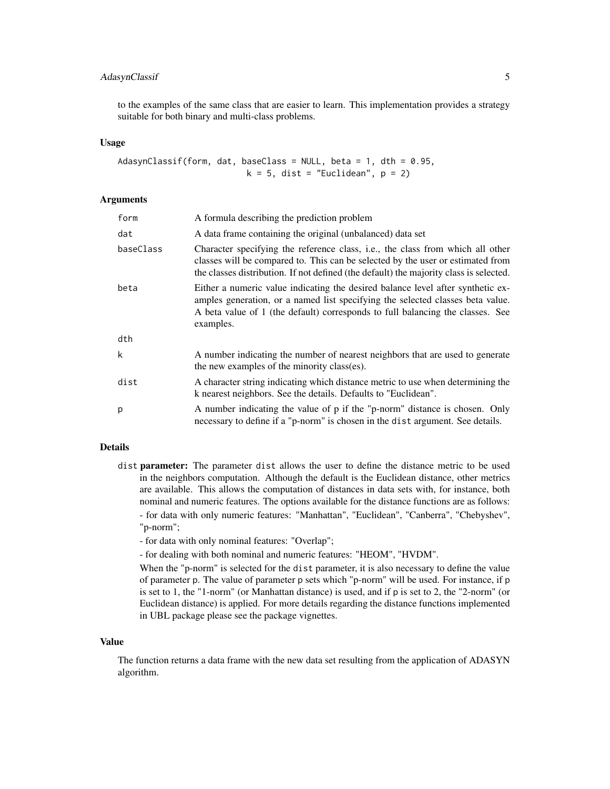# AdasynClassif 5

to the examples of the same class that are easier to learn. This implementation provides a strategy suitable for both binary and multi-class problems.

#### Usage

```
AdasynClassif(form, dat, baseClass = NULL, beta = 1, dth = 0.95,
                          k = 5, dist = "Euclidean", p = 2)
```
#### **Arguments**

| form      | A formula describing the prediction problem                                                                                                                                                                                                                      |
|-----------|------------------------------------------------------------------------------------------------------------------------------------------------------------------------------------------------------------------------------------------------------------------|
| dat       | A data frame containing the original (unbalanced) data set                                                                                                                                                                                                       |
| baseClass | Character specifying the reference class, i.e., the class from which all other<br>classes will be compared to. This can be selected by the user or estimated from<br>the classes distribution. If not defined (the default) the majority class is selected.      |
| beta      | Either a numeric value indicating the desired balance level after synthetic ex-<br>amples generation, or a named list specifying the selected classes beta value.<br>A beta value of 1 (the default) corresponds to full balancing the classes. See<br>examples. |
| dth       |                                                                                                                                                                                                                                                                  |
| k         | A number indicating the number of nearest neighbors that are used to generate<br>the new examples of the minority class(es).                                                                                                                                     |
| dist      | A character string indicating which distance metric to use when determining the<br>k nearest neighbors. See the details. Defaults to "Euclidean".                                                                                                                |
| p         | A number indicating the value of p if the "p-norm" distance is chosen. Only<br>necessary to define if a "p-norm" is chosen in the dist argument. See details.                                                                                                    |

# Details

- dist parameter: The parameter dist allows the user to define the distance metric to be used in the neighbors computation. Although the default is the Euclidean distance, other metrics are available. This allows the computation of distances in data sets with, for instance, both nominal and numeric features. The options available for the distance functions are as follows: - for data with only numeric features: "Manhattan", "Euclidean", "Canberra", "Chebyshev", "p-norm";
	- for data with only nominal features: "Overlap";
	- for dealing with both nominal and numeric features: "HEOM", "HVDM".

When the "p-norm" is selected for the dist parameter, it is also necessary to define the value of parameter p. The value of parameter p sets which "p-norm" will be used. For instance, if p is set to 1, the "1-norm" (or Manhattan distance) is used, and if p is set to 2, the "2-norm" (or Euclidean distance) is applied. For more details regarding the distance functions implemented in UBL package please see the package vignettes.

#### Value

The function returns a data frame with the new data set resulting from the application of ADASYN algorithm.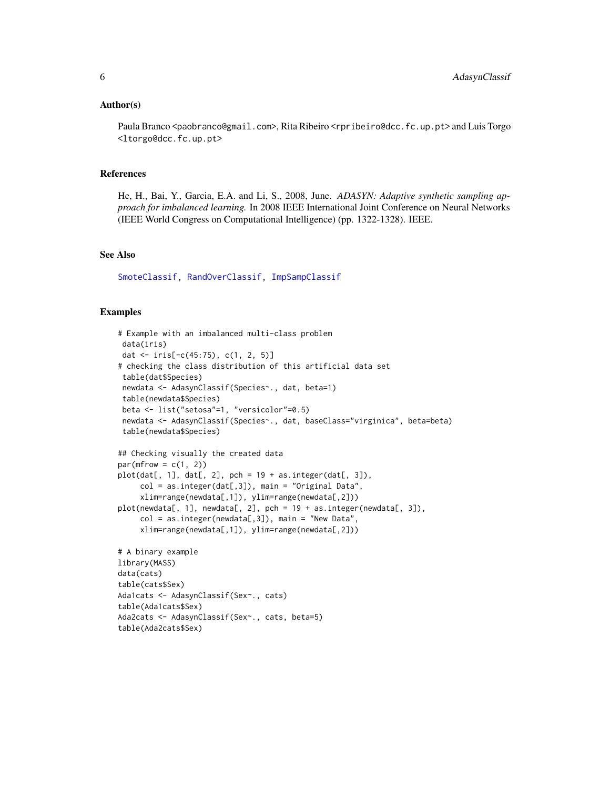#### <span id="page-5-0"></span>Author(s)

Paula Branco <paobranco@gmail.com>, Rita Ribeiro <rpribeiro@dcc.fc.up.pt> and Luis Torgo <ltorgo@dcc.fc.up.pt>

#### References

He, H., Bai, Y., Garcia, E.A. and Li, S., 2008, June. *ADASYN: Adaptive synthetic sampling approach for imbalanced learning.* In 2008 IEEE International Joint Conference on Neural Networks (IEEE World Congress on Computational Intelligence) (pp. 1322-1328). IEEE.

#### See Also

[SmoteClassif,](#page-40-1) [RandOverClassif,](#page-33-1) [ImpSampClassif](#page-22-1)

```
# Example with an imbalanced multi-class problem
data(iris)
dat <- iris[-c(45:75), c(1, 2, 5)]
# checking the class distribution of this artificial data set
table(dat$Species)
newdata <- AdasynClassif(Species~., dat, beta=1)
 table(newdata$Species)
beta <- list("setosa"=1, "versicolor"=0.5)
newdata <- AdasynClassif(Species~., dat, baseClass="virginica", beta=beta)
 table(newdata$Species)
## Checking visually the created data
par(mfrow = c(1, 2))plot(data[, 1], dat[, 2], pch = 19 + as.integer(data[, 3]),col = as.integer(data[, 3]), main = "Original Data",
     xlim=range(newdata[,1]), ylim=range(newdata[,2]))
plot(newdata[, 1], newdata[, 2], pch = 19 + as.integer(newdata[, 3]),
     col = as.integer(newdata[, 3]), main = "New Data",
     xlim=range(newdata[,1]), ylim=range(newdata[,2]))
# A binary example
library(MASS)
data(cats)
table(cats$Sex)
Ada1cats <- AdasynClassif(Sex~., cats)
table(Ada1cats$Sex)
Ada2cats <- AdasynClassif(Sex~., cats, beta=5)
table(Ada2cats$Sex)
```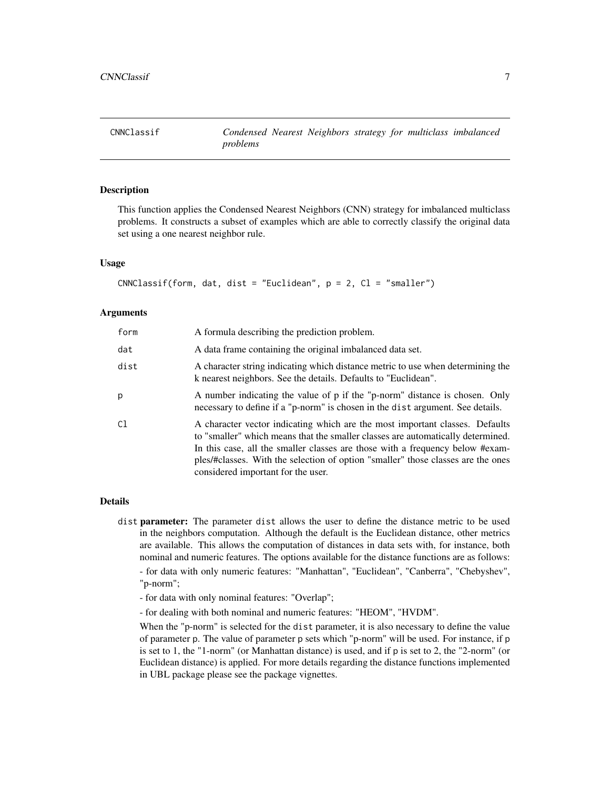# <span id="page-6-1"></span><span id="page-6-0"></span>Description

This function applies the Condensed Nearest Neighbors (CNN) strategy for imbalanced multiclass problems. It constructs a subset of examples which are able to correctly classify the original data set using a one nearest neighbor rule.

#### Usage

```
CNNClassif(form, dat, dist = "Euclidean", p = 2, Cl = "smaller")
```
# Arguments

| form | A formula describing the prediction problem.                                                                                                                                                                                                                                                                                                                               |
|------|----------------------------------------------------------------------------------------------------------------------------------------------------------------------------------------------------------------------------------------------------------------------------------------------------------------------------------------------------------------------------|
| dat  | A data frame containing the original imbalanced data set.                                                                                                                                                                                                                                                                                                                  |
| dist | A character string indicating which distance metric to use when determining the<br>k nearest neighbors. See the details. Defaults to "Euclidean".                                                                                                                                                                                                                          |
| p    | A number indicating the value of p if the "p-norm" distance is chosen. Only<br>necessary to define if a "p-norm" is chosen in the dist argument. See details.                                                                                                                                                                                                              |
| C1   | A character vector indicating which are the most important classes. Defaults<br>to "smaller" which means that the smaller classes are automatically determined.<br>In this case, all the smaller classes are those with a frequency below #exam-<br>ples/#classes. With the selection of option "smaller" those classes are the ones<br>considered important for the user. |

#### Details

- dist parameter: The parameter dist allows the user to define the distance metric to be used in the neighbors computation. Although the default is the Euclidean distance, other metrics are available. This allows the computation of distances in data sets with, for instance, both nominal and numeric features. The options available for the distance functions are as follows: - for data with only numeric features: "Manhattan", "Euclidean", "Canberra", "Chebyshev", "p-norm";
	- for data with only nominal features: "Overlap";
	- for dealing with both nominal and numeric features: "HEOM", "HVDM".

When the "p-norm" is selected for the dist parameter, it is also necessary to define the value of parameter p. The value of parameter p sets which "p-norm" will be used. For instance, if p is set to 1, the "1-norm" (or Manhattan distance) is used, and if p is set to 2, the "2-norm" (or Euclidean distance) is applied. For more details regarding the distance functions implemented in UBL package please see the package vignettes.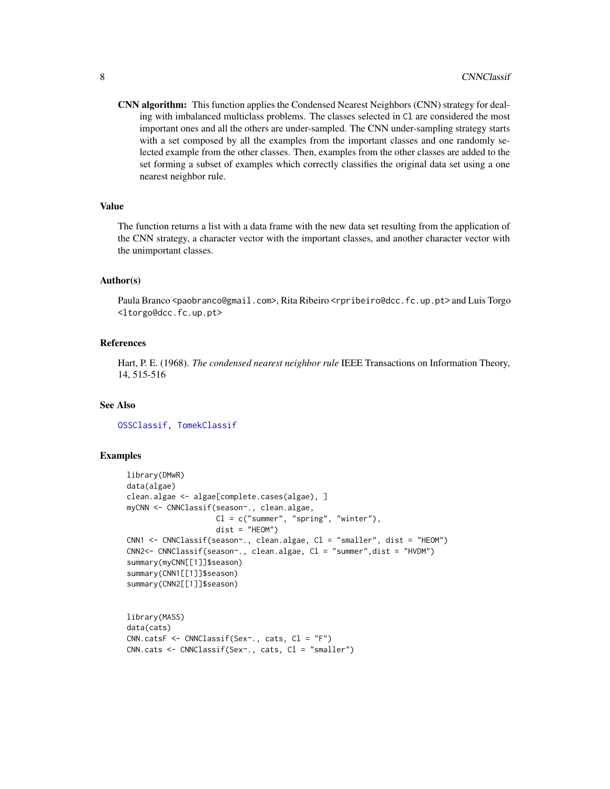<span id="page-7-0"></span>CNN algorithm: This function applies the Condensed Nearest Neighbors (CNN) strategy for dealing with imbalanced multiclass problems. The classes selected in Cl are considered the most important ones and all the others are under-sampled. The CNN under-sampling strategy starts with a set composed by all the examples from the important classes and one randomly selected example from the other classes. Then, examples from the other classes are added to the set forming a subset of examples which correctly classifies the original data set using a one nearest neighbor rule.

#### Value

The function returns a list with a data frame with the new data set resulting from the application of the CNN strategy, a character vector with the important classes, and another character vector with the unimportant classes.

#### Author(s)

Paula Branco <paobranco@gmail.com>, Rita Ribeiro <rpribeiro@dcc.fc.up.pt> and Luis Torgo <ltorgo@dcc.fc.up.pt>

#### **References**

Hart, P. E. (1968). *The condensed nearest neighbor rule* IEEE Transactions on Information Theory, 14, 515-516

# See Also

[OSSClassif,](#page-28-1) [TomekClassif](#page-45-1)

```
library(DMwR)
data(algae)
clean.algae <- algae[complete.cases(algae), ]
myCNN <- CNNClassif(season~., clean.algae,
                    Cl = c("summer", "spring", "winter"),dist = "HEOM")CNN1 <- CNNClassif(season~., clean.algae, Cl = "smaller", dist = "HEOM")
CNN2<- CNNClassif(season~., clean.algae, Cl = "summer",dist = "HVDM")
summary(myCNN[[1]]$season)
summary(CNN1[[1]]$season)
summary(CNN2[[1]]$season)
library(MASS)
data(cats)
CNN.catsF <- CNNClassif(Sex~., cats, Cl = "F")
CNN.cats <- CNNClassif(Sex~., cats, Cl = "smaller")
```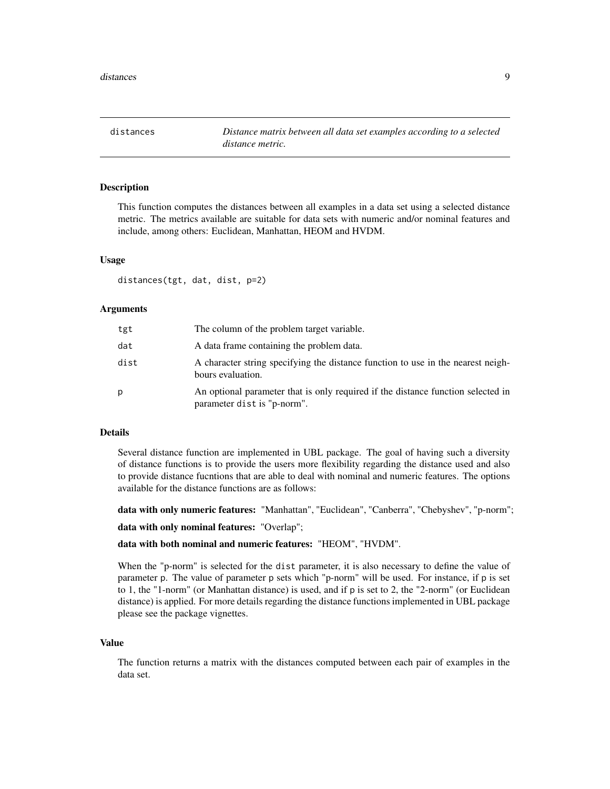<span id="page-8-1"></span><span id="page-8-0"></span>distances *Distance matrix between all data set examples according to a selected distance metric.*

### **Description**

This function computes the distances between all examples in a data set using a selected distance metric. The metrics available are suitable for data sets with numeric and/or nominal features and include, among others: Euclidean, Manhattan, HEOM and HVDM.

#### Usage

distances(tgt, dat, dist, p=2)

#### **Arguments**

| tgt  | The column of the problem target variable.                                                                      |
|------|-----------------------------------------------------------------------------------------------------------------|
| dat  | A data frame containing the problem data.                                                                       |
| dist | A character string specifying the distance function to use in the nearest neigh-<br>bours evaluation.           |
| р    | An optional parameter that is only required if the distance function selected in<br>parameter dist is "p-norm". |

# Details

Several distance function are implemented in UBL package. The goal of having such a diversity of distance functions is to provide the users more flexibility regarding the distance used and also to provide distance fucntions that are able to deal with nominal and numeric features. The options available for the distance functions are as follows:

data with only numeric features: "Manhattan", "Euclidean", "Canberra", "Chebyshev", "p-norm";

data with only nominal features: "Overlap";

data with both nominal and numeric features: "HEOM", "HVDM".

When the "p-norm" is selected for the dist parameter, it is also necessary to define the value of parameter p. The value of parameter p sets which "p-norm" will be used. For instance, if p is set to 1, the "1-norm" (or Manhattan distance) is used, and if p is set to 2, the "2-norm" (or Euclidean distance) is applied. For more details regarding the distance functions implemented in UBL package please see the package vignettes.

#### Value

The function returns a matrix with the distances computed between each pair of examples in the data set.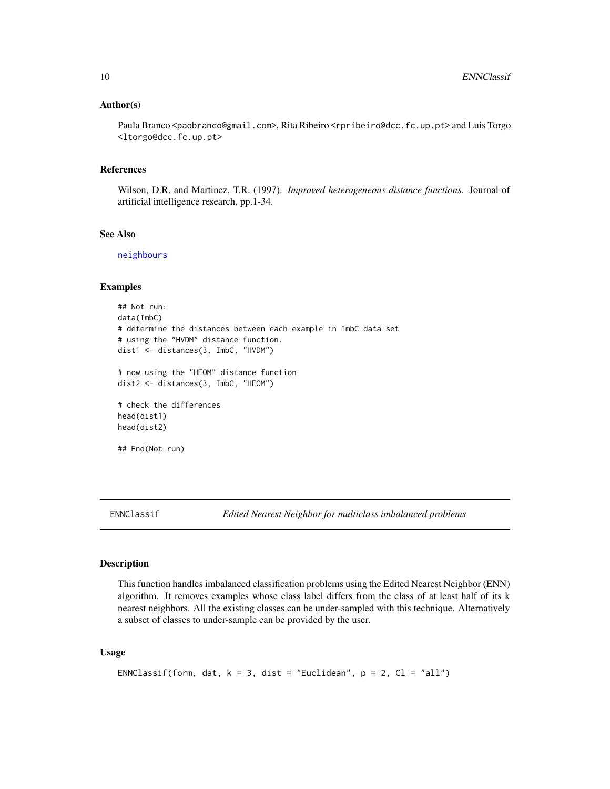#### <span id="page-9-0"></span>Author(s)

Paula Branco <paobranco@gmail.com>, Rita Ribeiro <rpribeiro@dcc.fc.up.pt> and Luis Torgo <ltorgo@dcc.fc.up.pt>

# References

Wilson, D.R. and Martinez, T.R. (1997). *Improved heterogeneous distance functions.* Journal of artificial intelligence research, pp.1-34.

#### See Also

[neighbours](#page-26-1)

#### Examples

```
## Not run:
data(ImbC)
# determine the distances between each example in ImbC data set
# using the "HVDM" distance function.
dist1 <- distances(3, ImbC, "HVDM")
# now using the "HEOM" distance function
dist2 <- distances(3, ImbC, "HEOM")
# check the differences
```

```
head(dist1)
head(dist2)
```

```
## End(Not run)
```
<span id="page-9-1"></span>

ENNClassif *Edited Nearest Neighbor for multiclass imbalanced problems*

# Description

This function handles imbalanced classification problems using the Edited Nearest Neighbor (ENN) algorithm. It removes examples whose class label differs from the class of at least half of its k nearest neighbors. All the existing classes can be under-sampled with this technique. Alternatively a subset of classes to under-sample can be provided by the user.

#### Usage

```
ENNClassif(form, dat, k = 3, dist = "Euclidean", p = 2, Cl = "all")
```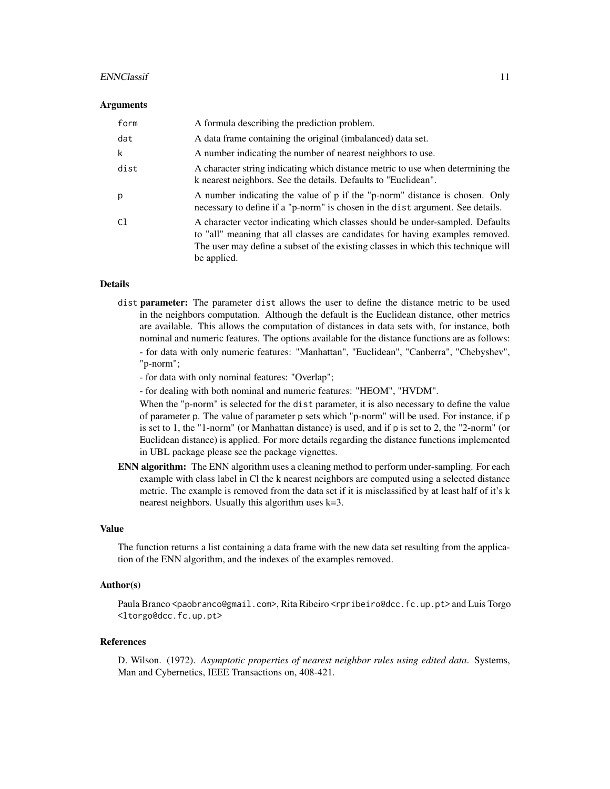#### ENNClassif 11

#### **Arguments**

| form | A formula describing the prediction problem.                                                                                                                                                                                                                       |
|------|--------------------------------------------------------------------------------------------------------------------------------------------------------------------------------------------------------------------------------------------------------------------|
| dat  | A data frame containing the original (imbalanced) data set.                                                                                                                                                                                                        |
| k    | A number indicating the number of nearest neighbors to use.                                                                                                                                                                                                        |
| dist | A character string indicating which distance metric to use when determining the<br>k nearest neighbors. See the details. Defaults to "Euclidean".                                                                                                                  |
| р    | A number indicating the value of p if the "p-norm" distance is chosen. Only<br>necessary to define if a "p-norm" is chosen in the dist argument. See details.                                                                                                      |
| C1   | A character vector indicating which classes should be under-sampled. Defaults<br>to "all" meaning that all classes are candidates for having examples removed.<br>The user may define a subset of the existing classes in which this technique will<br>be applied. |

# Details

- dist **parameter:** The parameter dist allows the user to define the distance metric to be used in the neighbors computation. Although the default is the Euclidean distance, other metrics are available. This allows the computation of distances in data sets with, for instance, both nominal and numeric features. The options available for the distance functions are as follows: - for data with only numeric features: "Manhattan", "Euclidean", "Canberra", "Chebyshev", "p-norm";
	- for data with only nominal features: "Overlap";
	- for dealing with both nominal and numeric features: "HEOM", "HVDM".

When the "p-norm" is selected for the dist parameter, it is also necessary to define the value of parameter p. The value of parameter p sets which "p-norm" will be used. For instance, if p is set to 1, the "1-norm" (or Manhattan distance) is used, and if p is set to 2, the "2-norm" (or Euclidean distance) is applied. For more details regarding the distance functions implemented in UBL package please see the package vignettes.

**ENN algorithm:** The ENN algorithm uses a cleaning method to perform under-sampling. For each example with class label in Cl the k nearest neighbors are computed using a selected distance metric. The example is removed from the data set if it is misclassified by at least half of it's k nearest neighbors. Usually this algorithm uses k=3.

#### Value

The function returns a list containing a data frame with the new data set resulting from the application of the ENN algorithm, and the indexes of the examples removed.

#### Author(s)

Paula Branco <paobranco@gmail.com>, Rita Ribeiro <rpribeiro@dcc.fc.up.pt> and Luis Torgo <ltorgo@dcc.fc.up.pt>

#### References

D. Wilson. (1972). *Asymptotic properties of nearest neighbor rules using edited data*. Systems, Man and Cybernetics, IEEE Transactions on, 408-421.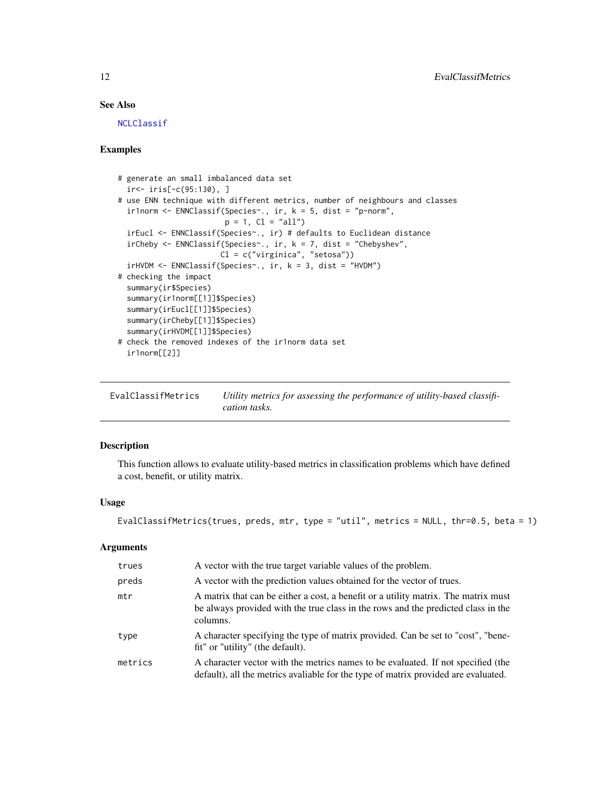# See Also

[NCLClassif](#page-24-1)

#### Examples

```
# generate an small imbalanced data set
  ir<- iris[-c(95:130), ]
# use ENN technique with different metrics, number of neighbours and classes
 ir1norm <- ENNClassif(Species~., ir, k = 5, dist = "p-norm",
                       p = 1, Cl = "all")irEucl <- ENNClassif(Species~., ir) # defaults to Euclidean distance
 irCheby <- ENNClassif(Species~., ir, k = 7, dist = "Chebyshev",
                      Cl = c("virginica", "setosa"))
 irHVDM <- ENNClassif(Species~., ir, k = 3, dist = "HVDM")
# checking the impact
 summary(ir$Species)
 summary(ir1norm[[1]]$Species)
 summary(irEucl[[1]]$Species)
 summary(irCheby[[1]]$Species)
 summary(irHVDM[[1]]$Species)
# check the removed indexes of the ir1norm data set
  ir1norm[[2]]
```
<span id="page-11-1"></span>EvalClassifMetrics *Utility metrics for assessing the performance of utility-based classification tasks.*

# Description

This function allows to evaluate utility-based metrics in classification problems which have defined a cost, benefit, or utility matrix.

#### Usage

```
EvalClassifMetrics(trues, preds, mtr, type = "util", metrics = NULL, thr=0.5, beta = 1)
```
# Arguments

| trues   | A vector with the true target variable values of the problem.                                                                                                                       |
|---------|-------------------------------------------------------------------------------------------------------------------------------------------------------------------------------------|
| preds   | A vector with the prediction values obtained for the vector of trues.                                                                                                               |
| mtr     | A matrix that can be either a cost, a benefit or a utility matrix. The matrix must<br>be always provided with the true class in the rows and the predicted class in the<br>columns. |
| type    | A character specifying the type of matrix provided. Can be set to "cost", "bene-<br>fit" or "utility" (the default).                                                                |
| metrics | A character vector with the metrics names to be evaluated. If not specified (the<br>default), all the metrics avaliable for the type of matrix provided are evaluated.              |

<span id="page-11-0"></span>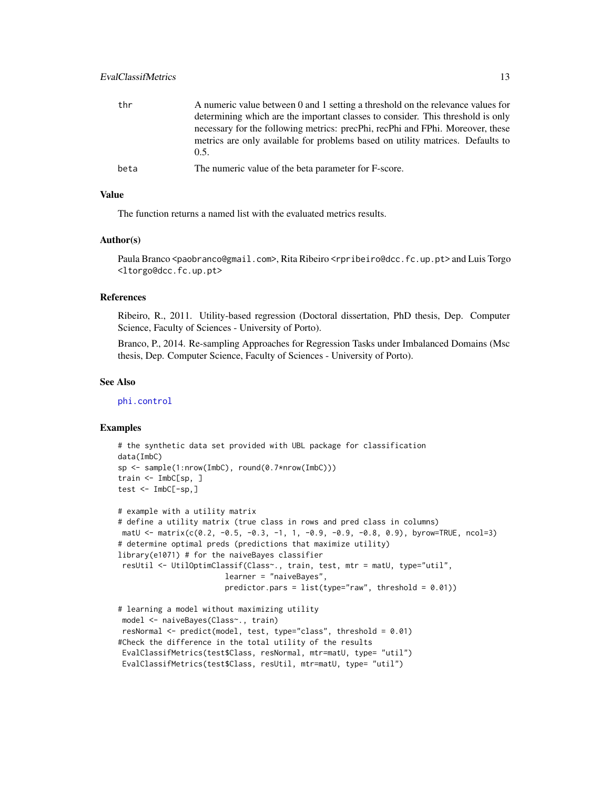<span id="page-12-0"></span>

| thr  | A numeric value between 0 and 1 setting a threshold on the relevance values for |
|------|---------------------------------------------------------------------------------|
|      | determining which are the important classes to consider. This threshold is only |
|      | necessary for the following metrics: precPhi, recPhi and FPhi. Moreover, these  |
|      | metrics are only available for problems based on utility matrices. Defaults to  |
|      | 0.5.                                                                            |
| beta | The numeric value of the beta parameter for F-score.                            |

#### Value

The function returns a named list with the evaluated metrics results.

# Author(s)

Paula Branco <paobranco@gmail.com>, Rita Ribeiro <rpribeiro@dcc.fc.up.pt> and Luis Torgo <ltorgo@dcc.fc.up.pt>

#### References

Ribeiro, R., 2011. Utility-based regression (Doctoral dissertation, PhD thesis, Dep. Computer Science, Faculty of Sciences - University of Porto).

Branco, P., 2014. Re-sampling Approaches for Regression Tasks under Imbalanced Domains (Msc thesis, Dep. Computer Science, Faculty of Sciences - University of Porto).

#### See Also

[phi.control](#page-31-1)

```
# the synthetic data set provided with UBL package for classification
data(ImbC)
sp <- sample(1:nrow(ImbC), round(0.7*nrow(ImbC)))
train <- ImbC[sp, ]
test <- ImbC[-sp,]
# example with a utility matrix
# define a utility matrix (true class in rows and pred class in columns)
matU <- matrix(c(0.2, -0.5, -0.3, -1, 1, -0.9, -0.9, -0.8, 0.9), byrow=TRUE, ncol=3)
# determine optimal preds (predictions that maximize utility)
library(e1071) # for the naiveBayes classifier
resUtil <- UtilOptimClassif(Class~., train, test, mtr = matU, type="util",
                        learner = "naiveBayes",
                        predictor.pars = list(type="raw", threshold = 0.01))# learning a model without maximizing utility
model <- naiveBayes(Class~., train)
resNormal <- predict(model, test, type="class", threshold = 0.01)
#Check the difference in the total utility of the results
EvalClassifMetrics(test$Class, resNormal, mtr=matU, type= "util")
EvalClassifMetrics(test$Class, resUtil, mtr=matU, type= "util")
```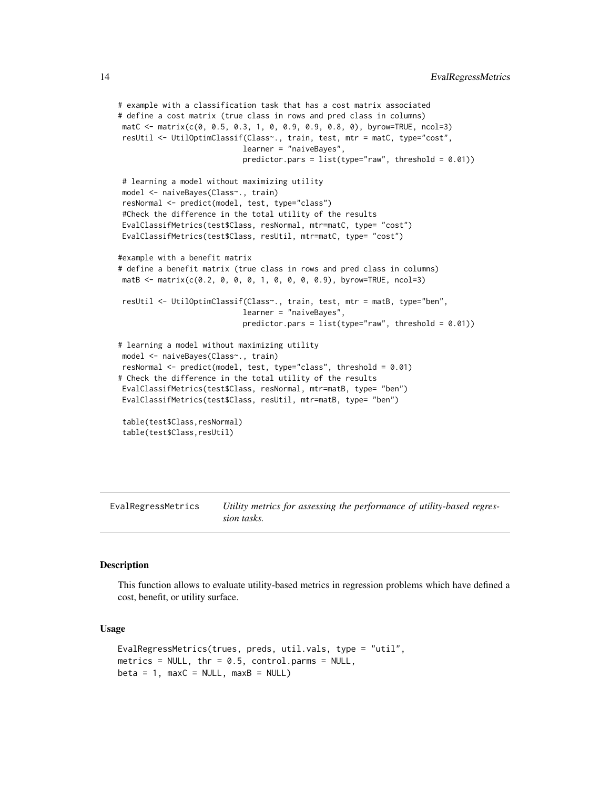```
# example with a classification task that has a cost matrix associated
# define a cost matrix (true class in rows and pred class in columns)
matC <- matrix(c(0, 0.5, 0.3, 1, 0, 0.9, 0.9, 0.8, 0), byrow=TRUE, ncol=3)
resUtil <- UtilOptimClassif(Class~., train, test, mtr = matC, type="cost",
                           learner = "naiveBayes",
                            predictor.pars = list(type="raw", threshold = 0.01))# learning a model without maximizing utility
model <- naiveBayes(Class~., train)
resNormal <- predict(model, test, type="class")
#Check the difference in the total utility of the results
EvalClassifMetrics(test$Class, resNormal, mtr=matC, type= "cost")
EvalClassifMetrics(test$Class, resUtil, mtr=matC, type= "cost")
#example with a benefit matrix
# define a benefit matrix (true class in rows and pred class in columns)
matB <- matrix(c(0.2, 0, 0, 0, 1, 0, 0, 0, 0.9), byrow=TRUE, ncol=3)
resUtil <- UtilOptimClassif(Class~., train, test, mtr = matB, type="ben",
                            learner = "naiveBayes",
                            predictor.pars = list(type="raw", threshold = 0.01))# learning a model without maximizing utility
model <- naiveBayes(Class~., train)
resNormal <- predict(model, test, type="class", threshold = 0.01)
# Check the difference in the total utility of the results
EvalClassifMetrics(test$Class, resNormal, mtr=matB, type= "ben")
EvalClassifMetrics(test$Class, resUtil, mtr=matB, type= "ben")
table(test$Class,resNormal)
table(test$Class,resUtil)
```
EvalRegressMetrics *Utility metrics for assessing the performance of utility-based regression tasks.*

#### Description

This function allows to evaluate utility-based metrics in regression problems which have defined a cost, benefit, or utility surface.

#### Usage

```
EvalRegressMetrics(trues, preds, util.vals, type = "util",
metrics = NULL, thr = 0.5, control.parms = NULL,
beta = 1, maxC = NULL, maxB = NULL
```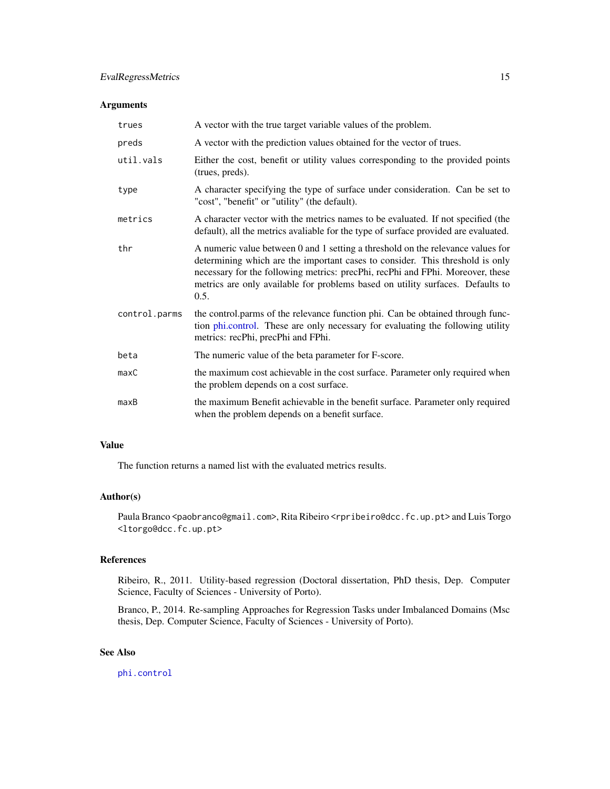# <span id="page-14-0"></span>Arguments

| trues         | A vector with the true target variable values of the problem.                                                                                                                                                                                                                                                                                |
|---------------|----------------------------------------------------------------------------------------------------------------------------------------------------------------------------------------------------------------------------------------------------------------------------------------------------------------------------------------------|
| preds         | A vector with the prediction values obtained for the vector of trues.                                                                                                                                                                                                                                                                        |
| util.vals     | Either the cost, benefit or utility values corresponding to the provided points<br>(trues, preds).                                                                                                                                                                                                                                           |
| type          | A character specifying the type of surface under consideration. Can be set to<br>"cost", "benefit" or "utility" (the default).                                                                                                                                                                                                               |
| metrics       | A character vector with the metrics names to be evaluated. If not specified (the<br>default), all the metrics avaliable for the type of surface provided are evaluated.                                                                                                                                                                      |
| thr           | A numeric value between 0 and 1 setting a threshold on the relevance values for<br>determining which are the important cases to consider. This threshold is only<br>necessary for the following metrics: precPhi, recPhi and FPhi. Moreover, these<br>metrics are only available for problems based on utility surfaces. Defaults to<br>0.5. |
| control.parms | the control.parms of the relevance function phi. Can be obtained through func-<br>tion phi.control. These are only necessary for evaluating the following utility<br>metrics: recPhi, precPhi and FPhi.                                                                                                                                      |
| beta          | The numeric value of the beta parameter for F-score.                                                                                                                                                                                                                                                                                         |
| maxC          | the maximum cost achievable in the cost surface. Parameter only required when<br>the problem depends on a cost surface.                                                                                                                                                                                                                      |
| maxB          | the maximum Benefit achievable in the benefit surface. Parameter only required<br>when the problem depends on a benefit surface.                                                                                                                                                                                                             |

# Value

The function returns a named list with the evaluated metrics results.

#### Author(s)

Paula Branco <paobranco@gmail.com>, Rita Ribeiro <rpribeiro@dcc.fc.up.pt> and Luis Torgo <ltorgo@dcc.fc.up.pt>

# References

Ribeiro, R., 2011. Utility-based regression (Doctoral dissertation, PhD thesis, Dep. Computer Science, Faculty of Sciences - University of Porto).

Branco, P., 2014. Re-sampling Approaches for Regression Tasks under Imbalanced Domains (Msc thesis, Dep. Computer Science, Faculty of Sciences - University of Porto).

# See Also

[phi.control](#page-31-1)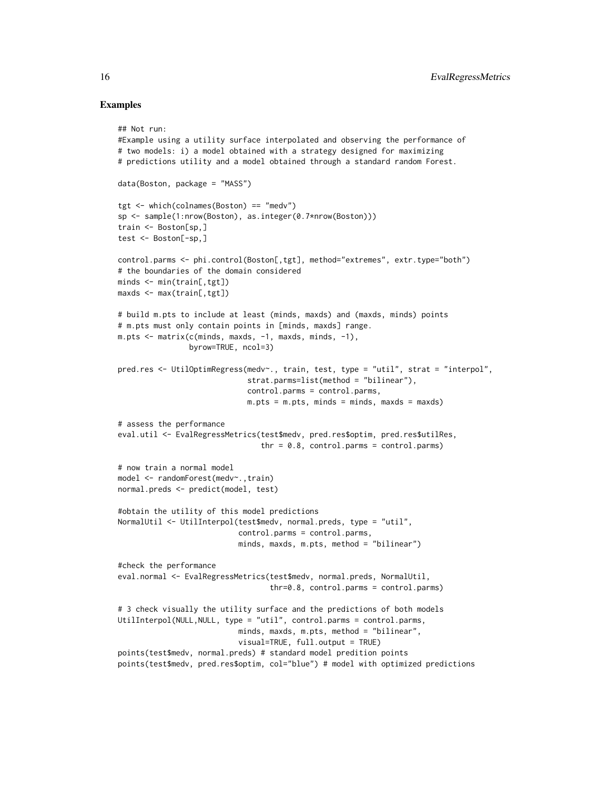### Examples

## Not run:

```
#Example using a utility surface interpolated and observing the performance of
# two models: i) a model obtained with a strategy designed for maximizing
# predictions utility and a model obtained through a standard random Forest.
data(Boston, package = "MASS")
tgt <- which(colnames(Boston) == "medv")
sp <- sample(1:nrow(Boston), as.integer(0.7*nrow(Boston)))
train <- Boston[sp,]
test <- Boston[-sp,]
control.parms <- phi.control(Boston[,tgt], method="extremes", extr.type="both")
# the boundaries of the domain considered
minds <- min(train[,tgt])
maxds <- max(train[,tgt])
# build m.pts to include at least (minds, maxds) and (maxds, minds) points
# m.pts must only contain points in [minds, maxds] range.
m.pts <- matrix(c(minds, maxds, -1, maxds, minds, -1),
                byrow=TRUE, ncol=3)
pred.res <- UtilOptimRegress(medv~., train, test, type = "util", strat = "interpol",
                             strat.parms=list(method = "bilinear"),
                             control.parms = control.parms,
                             m.pts = m.pts, minds = minds, maxds = maxds)
# assess the performance
eval.util <- EvalRegressMetrics(test$medv, pred.res$optim, pred.res$utilRes,
                                thr = 0.8, control.parms = control.parms)
# now train a normal model
model <- randomForest(medv~.,train)
normal.preds <- predict(model, test)
#obtain the utility of this model predictions
NormalUtil <- UtilInterpol(test$medv, normal.preds, type = "util",
                           control.parms = control.parms,
                           minds, maxds, m.pts, method = "bilinear")
#check the performance
eval.normal <- EvalRegressMetrics(test$medv, normal.preds, NormalUtil,
                                  thr=0.8, control.parms = control.parms)
# 3 check visually the utility surface and the predictions of both models
UtilInterpol(NULL, NULL, type = "util", control.parms = control.parms,
                           minds, maxds, m.pts, method = "bilinear",
                           visual=TRUE, full.output = TRUE)
points(test$medv, normal.preds) # standard model predition points
points(test$medv, pred.res$optim, col="blue") # model with optimized predictions
```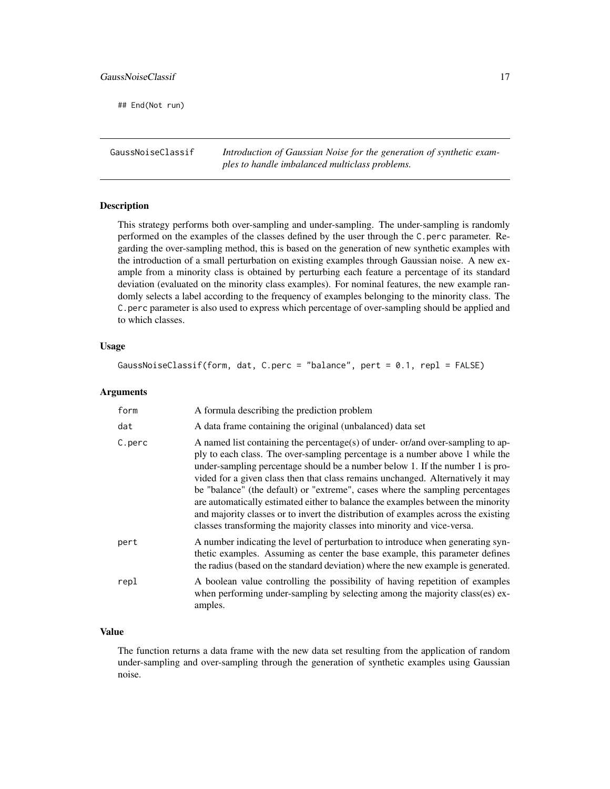<span id="page-16-0"></span>## End(Not run)

GaussNoiseClassif *Introduction of Gaussian Noise for the generation of synthetic examples to handle imbalanced multiclass problems.*

#### Description

This strategy performs both over-sampling and under-sampling. The under-sampling is randomly performed on the examples of the classes defined by the user through the C.perc parameter. Regarding the over-sampling method, this is based on the generation of new synthetic examples with the introduction of a small perturbation on existing examples through Gaussian noise. A new example from a minority class is obtained by perturbing each feature a percentage of its standard deviation (evaluated on the minority class examples). For nominal features, the new example randomly selects a label according to the frequency of examples belonging to the minority class. The C.perc parameter is also used to express which percentage of over-sampling should be applied and to which classes.

# Usage

GaussNoiseClassif(form, dat, C.perc = "balance", pert = 0.1, repl = FALSE)

#### Arguments

| form   | A formula describing the prediction problem                                                                                                                                                                                                                                                                                                                                                                                                                                                                                                                                                                                                                              |
|--------|--------------------------------------------------------------------------------------------------------------------------------------------------------------------------------------------------------------------------------------------------------------------------------------------------------------------------------------------------------------------------------------------------------------------------------------------------------------------------------------------------------------------------------------------------------------------------------------------------------------------------------------------------------------------------|
| dat    | A data frame containing the original (unbalanced) data set                                                                                                                                                                                                                                                                                                                                                                                                                                                                                                                                                                                                               |
| C.perc | A named list containing the percentage(s) of under-or/and over-sampling to ap-<br>ply to each class. The over-sampling percentage is a number above 1 while the<br>under-sampling percentage should be a number below 1. If the number 1 is pro-<br>vided for a given class then that class remains unchanged. Alternatively it may<br>be "balance" (the default) or "extreme", cases where the sampling percentages<br>are automatically estimated either to balance the examples between the minority<br>and majority classes or to invert the distribution of examples across the existing<br>classes transforming the majority classes into minority and vice-versa. |
| pert   | A number indicating the level of perturbation to introduce when generating syn-<br>thetic examples. Assuming as center the base example, this parameter defines<br>the radius (based on the standard deviation) where the new example is generated.                                                                                                                                                                                                                                                                                                                                                                                                                      |
| repl   | A boolean value controlling the possibility of having repetition of examples<br>when performing under-sampling by selecting among the majority class(es) ex-<br>amples.                                                                                                                                                                                                                                                                                                                                                                                                                                                                                                  |

# Value

The function returns a data frame with the new data set resulting from the application of random under-sampling and over-sampling through the generation of synthetic examples using Gaussian noise.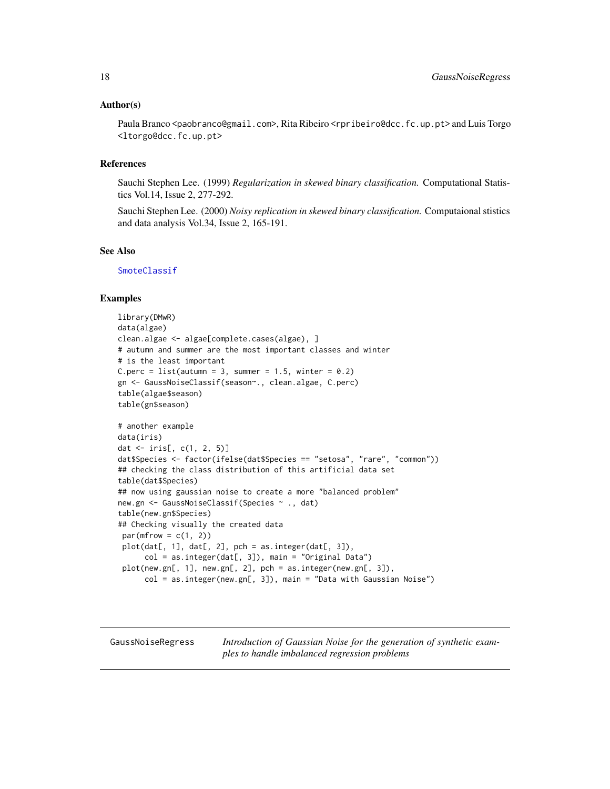#### <span id="page-17-0"></span>Author(s)

Paula Branco <paobranco@gmail.com>, Rita Ribeiro <rpribeiro@dcc.fc.up.pt> and Luis Torgo <ltorgo@dcc.fc.up.pt>

# References

Sauchi Stephen Lee. (1999) *Regularization in skewed binary classification.* Computational Statistics Vol.14, Issue 2, 277-292.

Sauchi Stephen Lee. (2000) *Noisy replication in skewed binary classification.* Computaional stistics and data analysis Vol.34, Issue 2, 165-191.

#### See Also

**[SmoteClassif](#page-40-1)** 

#### Examples

```
library(DMwR)
data(algae)
clean.algae <- algae[complete.cases(algae), ]
# autumn and summer are the most important classes and winter
# is the least important
C.perc = list(autumn = 3, summer = 1.5, winter = 0.2)
gn <- GaussNoiseClassif(season~., clean.algae, C.perc)
table(algae$season)
table(gn$season)
# another example
data(iris)
dat <- iris[, c(1, 2, 5)]
dat$Species <- factor(ifelse(dat$Species == "setosa", "rare", "common"))
## checking the class distribution of this artificial data set
table(dat$Species)
## now using gaussian noise to create a more "balanced problem"
new.gn <- GaussNoiseClassif(Species ~ ., dat)
table(new.gn$Species)
## Checking visually the created data
 par(mfrow = c(1, 2))plot(data[, 1], dat[, 2], pch = as.integer(data[, 3]),col = as.integer(dat[, 3]), main = "Original Data")
 plot(new.gn[, 1], new.gn[, 2], pch = as.integer(new.gn[, 3]),
      col = as.integer(new.gn[, 3]), main = "Data with Gaussian Noise")
```
GaussNoiseRegress *Introduction of Gaussian Noise for the generation of synthetic examples to handle imbalanced regression problems*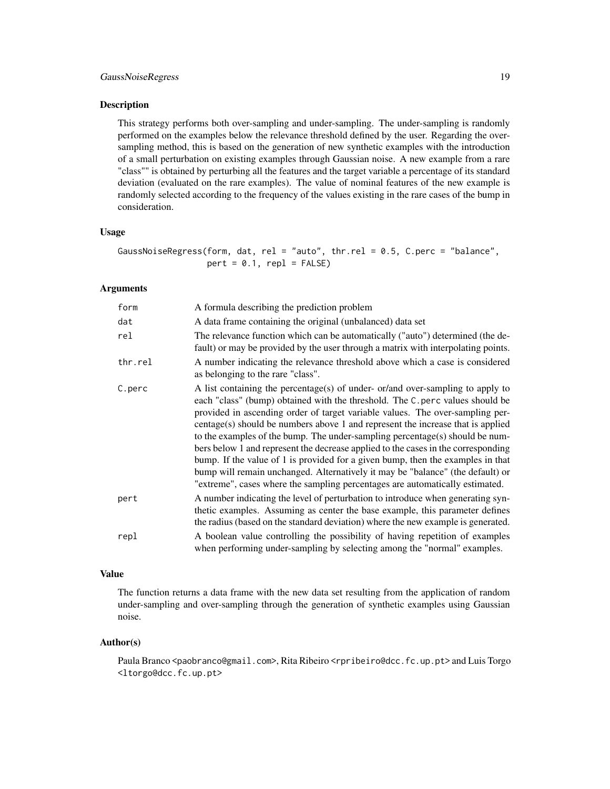# GaussNoiseRegress 19

#### Description

This strategy performs both over-sampling and under-sampling. The under-sampling is randomly performed on the examples below the relevance threshold defined by the user. Regarding the oversampling method, this is based on the generation of new synthetic examples with the introduction of a small perturbation on existing examples through Gaussian noise. A new example from a rare "class"" is obtained by perturbing all the features and the target variable a percentage of its standard deviation (evaluated on the rare examples). The value of nominal features of the new example is randomly selected according to the frequency of the values existing in the rare cases of the bump in consideration.

#### Usage

GaussNoiseRegress(form, dat, rel = "auto", thr.rel = 0.5, C.perc = "balance",  $pert = 0.1$ ,  $rep1 = FALSE$ 

#### Arguments

| form    | A formula describing the prediction problem                                                                                                                                                                                                                                                                                                                                                                                                                                                                                                                                                                                                                                                                                                                   |
|---------|---------------------------------------------------------------------------------------------------------------------------------------------------------------------------------------------------------------------------------------------------------------------------------------------------------------------------------------------------------------------------------------------------------------------------------------------------------------------------------------------------------------------------------------------------------------------------------------------------------------------------------------------------------------------------------------------------------------------------------------------------------------|
| dat     | A data frame containing the original (unbalanced) data set                                                                                                                                                                                                                                                                                                                                                                                                                                                                                                                                                                                                                                                                                                    |
| rel     | The relevance function which can be automatically ("auto") determined (the de-<br>fault) or may be provided by the user through a matrix with interpolating points.                                                                                                                                                                                                                                                                                                                                                                                                                                                                                                                                                                                           |
| thr.rel | A number indicating the relevance threshold above which a case is considered<br>as belonging to the rare "class".                                                                                                                                                                                                                                                                                                                                                                                                                                                                                                                                                                                                                                             |
| C.perc  | A list containing the percentage(s) of under- or/and over-sampling to apply to<br>each "class" (bump) obtained with the threshold. The C. perc values should be<br>provided in ascending order of target variable values. The over-sampling per-<br>centage(s) should be numbers above 1 and represent the increase that is applied<br>to the examples of the bump. The under-sampling percentage(s) should be num-<br>bers below 1 and represent the decrease applied to the cases in the corresponding<br>bump. If the value of 1 is provided for a given bump, then the examples in that<br>bump will remain unchanged. Alternatively it may be "balance" (the default) or<br>"extreme", cases where the sampling percentages are automatically estimated. |
| pert    | A number indicating the level of perturbation to introduce when generating syn-<br>thetic examples. Assuming as center the base example, this parameter defines<br>the radius (based on the standard deviation) where the new example is generated.                                                                                                                                                                                                                                                                                                                                                                                                                                                                                                           |
| repl    | A boolean value controlling the possibility of having repetition of examples<br>when performing under-sampling by selecting among the "normal" examples.                                                                                                                                                                                                                                                                                                                                                                                                                                                                                                                                                                                                      |

# Value

The function returns a data frame with the new data set resulting from the application of random under-sampling and over-sampling through the generation of synthetic examples using Gaussian noise.

#### Author(s)

Paula Branco <paobranco@gmail.com>, Rita Ribeiro <rpribeiro@dcc.fc.up.pt> and Luis Torgo <ltorgo@dcc.fc.up.pt>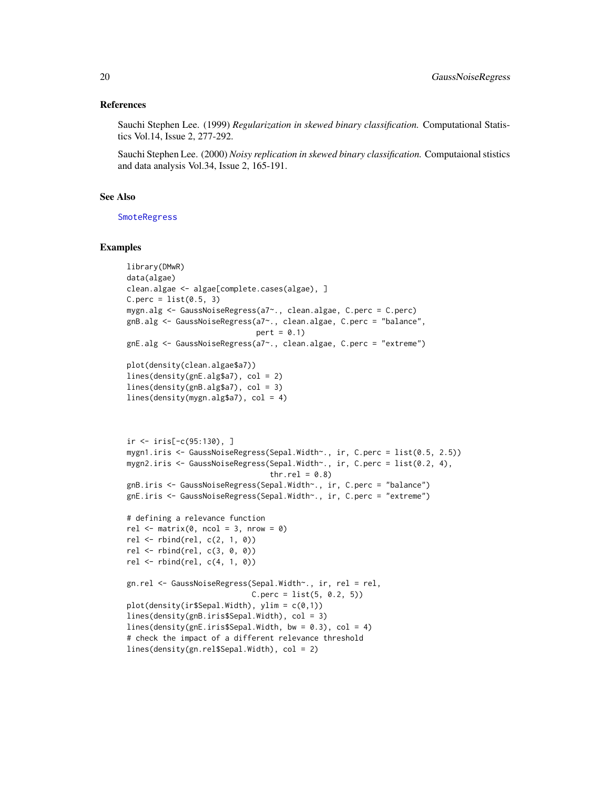#### <span id="page-19-0"></span>References

Sauchi Stephen Lee. (1999) *Regularization in skewed binary classification.* Computational Statistics Vol.14, Issue 2, 277-292.

Sauchi Stephen Lee. (2000) *Noisy replication in skewed binary classification.* Computaional stistics and data analysis Vol.34, Issue 2, 165-191.

#### See Also

**[SmoteRegress](#page-42-1)** 

```
library(DMwR)
data(algae)
clean.algae <- algae[complete.cases(algae), ]
C.perc = list(0.5, 3)mygn.alg <- GaussNoiseRegress(a7~., clean.algae, C.perc = C.perc)
gnB.alg <- GaussNoiseRegress(a7~., clean.algae, C.perc = "balance",
                             pert = 0.1)gnE.alg <- GaussNoiseRegress(a7~., clean.algae, C.perc = "extreme")
plot(density(clean.algae$a7))
lines(density(gnE.alg$a7), col = 2)
lines(density(gnB.alg$a7), col = 3)
lines(density(mygn.alg$a7), col = 4)
ir \leftarrow iris[-c(95:130), ]mygn1.iris <- GaussNoiseRegress(Sepal.Width~., ir, C.perc = list(0.5, 2.5))
mygn2.iris <- GaussNoiseRegress(Sepal.Width~., ir, C.perc = list(0.2, 4),
                                thr.rel = 0.8)
gnB.iris <- GaussNoiseRegress(Sepal.Width~., ir, C.perc = "balance")
gnE.iris <- GaussNoiseRegress(Sepal.Width~., ir, C.perc = "extreme")
# defining a relevance function
rel \leq matrix(0, ncol = 3, nrow = 0)
rel <- rbind(rel, c(2, 1, 0))
rel \le rbind(rel, c(3, 0, 0))
rel \le- rbind(rel, c(4, 1, 0))
gn.rel <- GaussNoiseRegress(Sepal.Width~., ir, rel = rel,
                            C.perc = list(5, 0.2, 5)plot(density(ir$Sepal.Width), ylim = c(0,1))lines(density(gnB.iris$Sepal.Width), col = 3)
lines(density(gnE.iris$Sepal.Width, bw = 0.3), col = 4)
# check the impact of a different relevance threshold
lines(density(gn.rel$Sepal.Width), col = 2)
```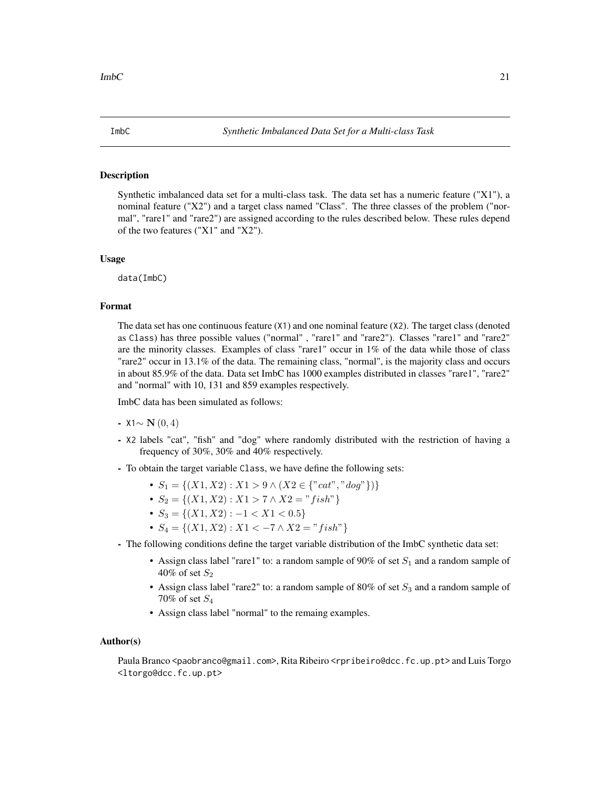<span id="page-20-0"></span>

# **Description**

Synthetic imbalanced data set for a multi-class task. The data set has a numeric feature ("X1"), a nominal feature ("X2") and a target class named "Class". The three classes of the problem ("normal", "rare1" and "rare2") are assigned according to the rules described below. These rules depend of the two features ("X1" and "X2").

## Usage

data(ImbC)

# Format

The data set has one continuous feature (X1) and one nominal feature (X2). The target class (denoted as Class) has three possible values ("normal" , "rare1" and "rare2"). Classes "rare1" and "rare2" are the minority classes. Examples of class "rare1" occur in  $1\%$  of the data while those of class "rare2" occur in 13.1% of the data. The remaining class, "normal", is the majority class and occurs in about 85.9% of the data. Data set ImbC has 1000 examples distributed in classes "rare1", "rare2" and "normal" with 10, 131 and 859 examples respectively.

ImbC data has been simulated as follows:

#### $-$  X1∼ N (0, 4)

- X2 labels "cat", "fish" and "dog" where randomly distributed with the restriction of having a frequency of 30%, 30% and 40% respectively.
- To obtain the target variable Class, we have define the following sets:
	- $S_1 = \{(X1, X2) : X1 > 9 \land (X2 \in \{"cat", "dog"\})\}$
	- $S_2 = \{(X1, X2) : X1 > 7 \land X2 = "fish"\}$
	- $S_3 = \{(X1, X2) : -1 < X1 < 0.5\}$
	- $S_4 = \{(X1, X2) : X1 < -7 \wedge X2 = "fish"\}$
- The following conditions define the target variable distribution of the ImbC synthetic data set:
	- Assign class label "rare1" to: a random sample of 90% of set  $S_1$  and a random sample of 40% of set  $S_2$
	- Assign class label "rare2" to: a random sample of 80% of set  $S_3$  and a random sample of 70% of set  $S_4$
	- Assign class label "normal" to the remaing examples.

#### Author(s)

Paula Branco <paobranco@gmail.com>, Rita Ribeiro <rpribeiro@dcc.fc.up.pt> and Luis Torgo <ltorgo@dcc.fc.up.pt>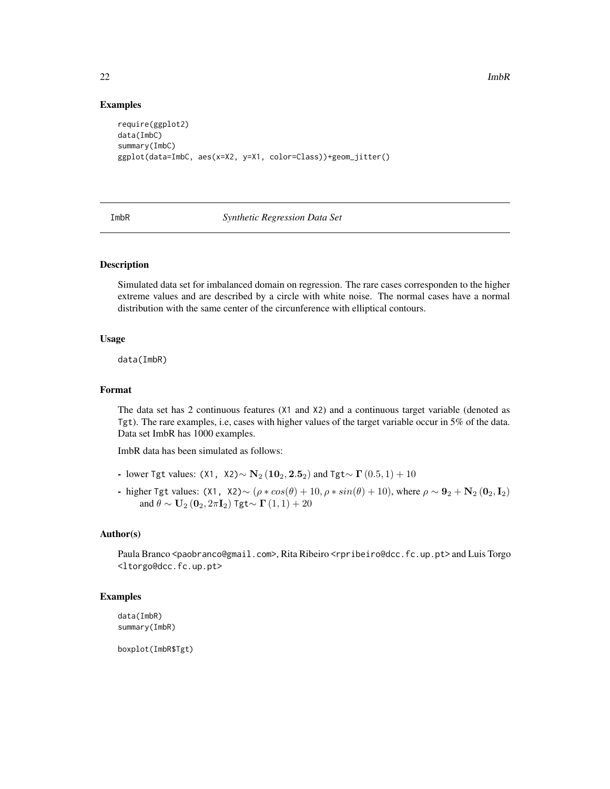#### Examples

```
require(ggplot2)
data(ImbC)
summary(ImbC)
ggplot(data=ImbC, aes(x=X2, y=X1, color=Class))+geom_jitter()
```
ImbR *Synthetic Regression Data Set*

# Description

Simulated data set for imbalanced domain on regression. The rare cases corresponden to the higher extreme values and are described by a circle with white noise. The normal cases have a normal distribution with the same center of the circunference with elliptical contours.

#### Usage

data(ImbR)

# Format

The data set has 2 continuous features (X1 and X2) and a continuous target variable (denoted as Tgt). The rare examples, i.e, cases with higher values of the target variable occur in 5% of the data. Data set ImbR has 1000 examples.

ImbR data has been simulated as follows:

- lower Tgt values: (X1, X2)∼  $N_2(10_2, 2.5_2)$  and Tgt∼  $\Gamma(0.5, 1) + 10$
- higher Tgt values: (X1, X2)∼ ( $\rho * cos(\theta) + 10$ ,  $\rho * sin(\theta) + 10$ ), where  $\rho \sim 9^2 + N^2 (0^2, I^2)$ and  $\theta \sim U_2\left(\mathbf{0}_2, 2\pi \mathbf{I}_2\right)$  Tgt $\sim \Gamma\left(1, 1\right) + 20$

#### Author(s)

Paula Branco <paobranco@gmail.com>, Rita Ribeiro <rpribeiro@dcc.fc.up.pt> and Luis Torgo <ltorgo@dcc.fc.up.pt>

#### Examples

data(ImbR) summary(ImbR)

boxplot(ImbR\$Tgt)

<span id="page-21-0"></span>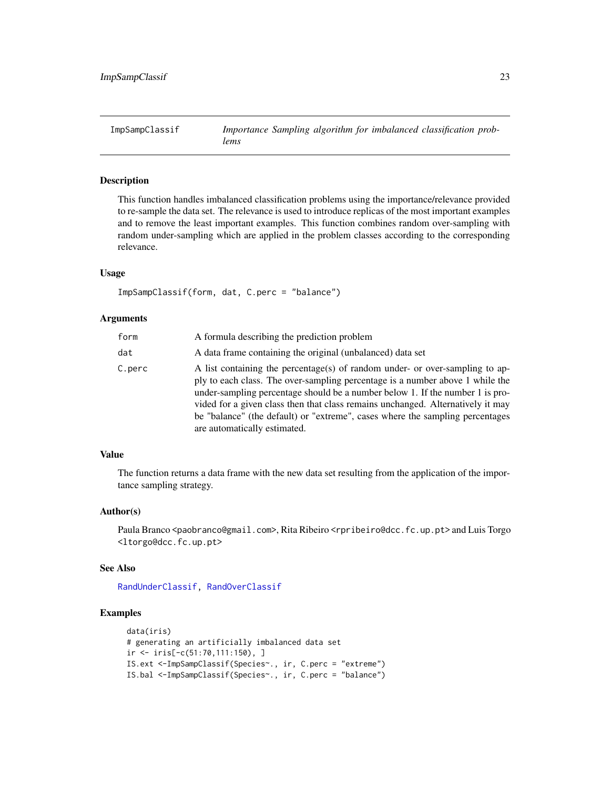<span id="page-22-1"></span><span id="page-22-0"></span>

# Description

This function handles imbalanced classification problems using the importance/relevance provided to re-sample the data set. The relevance is used to introduce replicas of the most important examples and to remove the least important examples. This function combines random over-sampling with random under-sampling which are applied in the problem classes according to the corresponding relevance.

#### Usage

```
ImpSampClassif(form, dat, C.perc = "balance")
```
#### Arguments

| form   | A formula describing the prediction problem                                                                                                                                                                                                                                                                                                                                                                                                        |
|--------|----------------------------------------------------------------------------------------------------------------------------------------------------------------------------------------------------------------------------------------------------------------------------------------------------------------------------------------------------------------------------------------------------------------------------------------------------|
| dat    | A data frame containing the original (unbalanced) data set                                                                                                                                                                                                                                                                                                                                                                                         |
| C.perc | A list containing the percentage(s) of random under- or over-sampling to ap-<br>ply to each class. The over-sampling percentage is a number above 1 while the<br>under-sampling percentage should be a number below 1. If the number 1 is pro-<br>vided for a given class then that class remains unchanged. Alternatively it may<br>be "balance" (the default) or "extreme", cases where the sampling percentages<br>are automatically estimated. |

#### Value

The function returns a data frame with the new data set resulting from the application of the importance sampling strategy.

#### Author(s)

Paula Branco <paobranco@gmail.com>, Rita Ribeiro <rpribeiro@dcc.fc.up.pt> and Luis Torgo <ltorgo@dcc.fc.up.pt>

#### See Also

[RandUnderClassif,](#page-36-1) [RandOverClassif](#page-33-1)

```
data(iris)
# generating an artificially imbalanced data set
ir <- iris[-c(51:70,111:150), ]
IS.ext <-ImpSampClassif(Species~., ir, C.perc = "extreme")
IS.bal <-ImpSampClassif(Species~., ir, C.perc = "balance")
```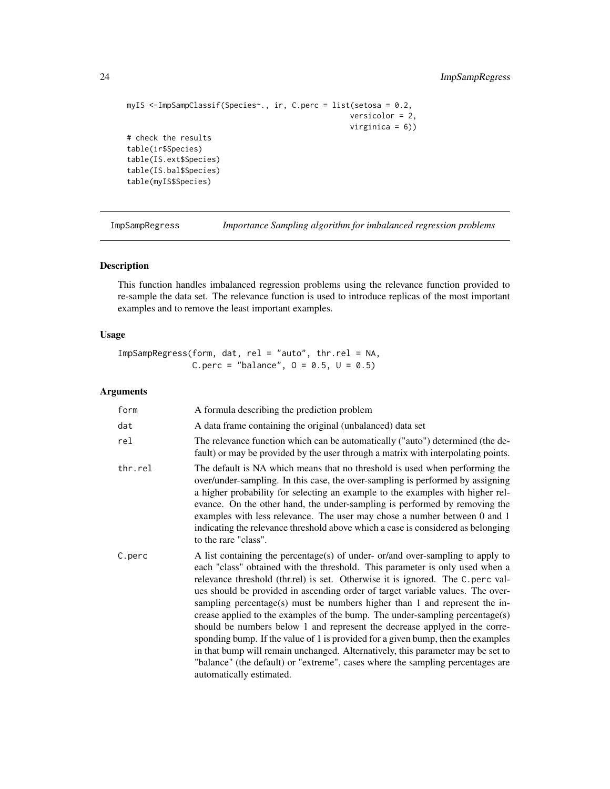```
myIS <-ImpSampClassif(Species~., ir, C.perc = list(setosa = 0.2,
                                                  versicolor = 2,
                                                  virginica = 6))
# check the results
table(ir$Species)
table(IS.ext$Species)
table(IS.bal$Species)
table(myIS$Species)
```
ImpSampRegress *Importance Sampling algorithm for imbalanced regression problems*

# Description

This function handles imbalanced regression problems using the relevance function provided to re-sample the data set. The relevance function is used to introduce replicas of the most important examples and to remove the least important examples.

# Usage

ImpSampRegress(form, dat, rel = "auto", thr.rel = NA, C.perc = "balance",  $0 = 0.5$ ,  $U = 0.5$ )

#### Arguments

| form    | A formula describing the prediction problem                                                                                                                                                                                                                                                                                                                                                                                                                                                                                                                                                                                                                                                                                                                                                                                                                         |
|---------|---------------------------------------------------------------------------------------------------------------------------------------------------------------------------------------------------------------------------------------------------------------------------------------------------------------------------------------------------------------------------------------------------------------------------------------------------------------------------------------------------------------------------------------------------------------------------------------------------------------------------------------------------------------------------------------------------------------------------------------------------------------------------------------------------------------------------------------------------------------------|
| dat     | A data frame containing the original (unbalanced) data set                                                                                                                                                                                                                                                                                                                                                                                                                                                                                                                                                                                                                                                                                                                                                                                                          |
| rel     | The relevance function which can be automatically ("auto") determined (the de-<br>fault) or may be provided by the user through a matrix with interpolating points.                                                                                                                                                                                                                                                                                                                                                                                                                                                                                                                                                                                                                                                                                                 |
| thr.rel | The default is NA which means that no threshold is used when performing the<br>over/under-sampling. In this case, the over-sampling is performed by assigning<br>a higher probability for selecting an example to the examples with higher rel-<br>evance. On the other hand, the under-sampling is performed by removing the<br>examples with less relevance. The user may chose a number between 0 and 1<br>indicating the relevance threshold above which a case is considered as belonging<br>to the rare "class".                                                                                                                                                                                                                                                                                                                                              |
| C.perc  | A list containing the percentage(s) of under- or/and over-sampling to apply to<br>each "class" obtained with the threshold. This parameter is only used when a<br>relevance threshold (thr.rel) is set. Otherwise it is ignored. The C.perc val-<br>ues should be provided in ascending order of target variable values. The over-<br>sampling percentage(s) must be numbers higher than 1 and represent the in-<br>crease applied to the examples of the bump. The under-sampling percentage(s)<br>should be numbers below 1 and represent the decrease applyed in the corre-<br>sponding bump. If the value of 1 is provided for a given bump, then the examples<br>in that bump will remain unchanged. Alternatively, this parameter may be set to<br>"balance" (the default) or "extreme", cases where the sampling percentages are<br>automatically estimated. |

<span id="page-23-0"></span>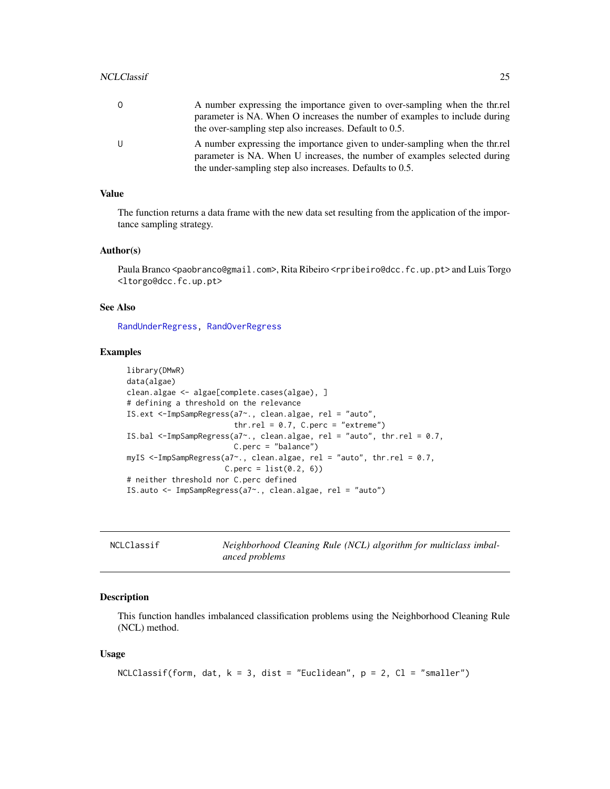<span id="page-24-0"></span>

| 0 | A number expressing the importance given to over-sampling when the thr.rel<br>parameter is NA. When O increases the number of examples to include during<br>the over-sampling step also increases. Default to 0.5.   |
|---|----------------------------------------------------------------------------------------------------------------------------------------------------------------------------------------------------------------------|
| U | A number expressing the importance given to under-sampling when the thr.rel<br>parameter is NA. When U increases, the number of examples selected during<br>the under-sampling step also increases. Defaults to 0.5. |

#### Value

The function returns a data frame with the new data set resulting from the application of the importance sampling strategy.

#### Author(s)

Paula Branco <paobranco@gmail.com>, Rita Ribeiro <rpribeiro@dcc.fc.up.pt> and Luis Torgo <ltorgo@dcc.fc.up.pt>

#### See Also

[RandUnderRegress,](#page-38-1) [RandOverRegress](#page-34-1)

#### Examples

```
library(DMwR)
data(algae)
clean.algae <- algae[complete.cases(algae), ]
# defining a threshold on the relevance
IS.ext <-ImpSampRegress(a7~., clean.algae, rel = "auto",
                        thr.rel = 0.7, C.perc = "extreme")
IS.bal <-ImpSampRegress(a7~., clean.algae, rel = "auto", thr.rel = 0.7,
                        C.perc = "balance")
myIS <-ImpSampRegress(a7~., clean.algae, rel = "auto", thr.rel = 0.7,
                      C.perc = list(0.2, 6)# neither threshold nor C.perc defined
IS.auto <- ImpSampRegress(a7~., clean.algae, rel = "auto")
```
<span id="page-24-1"></span>

Neighborhood Cleaning Rule (NCL) algorithm for multiclass imbal*anced problems*

#### Description

This function handles imbalanced classification problems using the Neighborhood Cleaning Rule (NCL) method.

#### Usage

```
NCLClassif(form, dat, k = 3, dist = "Euclidean", p = 2, Cl = "smaller")
```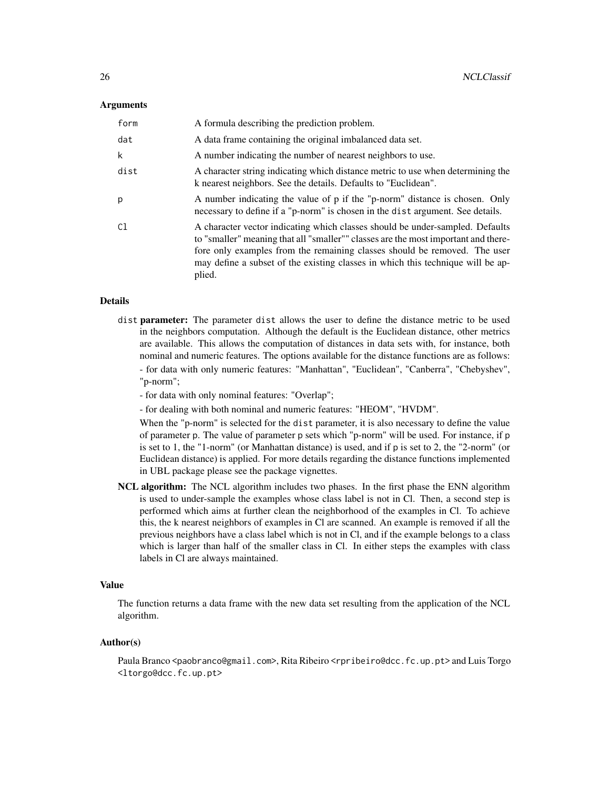#### **Arguments**

| form | A formula describing the prediction problem.                                                                                                                                                                                                                                                                                                  |
|------|-----------------------------------------------------------------------------------------------------------------------------------------------------------------------------------------------------------------------------------------------------------------------------------------------------------------------------------------------|
| dat  | A data frame containing the original imbalanced data set.                                                                                                                                                                                                                                                                                     |
| k    | A number indicating the number of nearest neighbors to use.                                                                                                                                                                                                                                                                                   |
| dist | A character string indicating which distance metric to use when determining the<br>k nearest neighbors. See the details. Defaults to "Euclidean".                                                                                                                                                                                             |
| p    | A number indicating the value of p if the "p-norm" distance is chosen. Only<br>necessary to define if a "p-norm" is chosen in the dist argument. See details.                                                                                                                                                                                 |
| C1   | A character vector indicating which classes should be under-sampled. Defaults<br>to "smaller" meaning that all "smaller"" classes are the most important and there-<br>fore only examples from the remaining classes should be removed. The user<br>may define a subset of the existing classes in which this technique will be ap-<br>plied. |

# Details

- dist **parameter:** The parameter dist allows the user to define the distance metric to be used in the neighbors computation. Although the default is the Euclidean distance, other metrics are available. This allows the computation of distances in data sets with, for instance, both nominal and numeric features. The options available for the distance functions are as follows: - for data with only numeric features: "Manhattan", "Euclidean", "Canberra", "Chebyshev", "p-norm";
	- for data with only nominal features: "Overlap";

- for dealing with both nominal and numeric features: "HEOM", "HVDM".

When the "p-norm" is selected for the dist parameter, it is also necessary to define the value of parameter p. The value of parameter p sets which "p-norm" will be used. For instance, if p is set to 1, the "1-norm" (or Manhattan distance) is used, and if p is set to 2, the "2-norm" (or Euclidean distance) is applied. For more details regarding the distance functions implemented in UBL package please see the package vignettes.

NCL algorithm: The NCL algorithm includes two phases. In the first phase the ENN algorithm is used to under-sample the examples whose class label is not in Cl. Then, a second step is performed which aims at further clean the neighborhood of the examples in Cl. To achieve this, the k nearest neighbors of examples in Cl are scanned. An example is removed if all the previous neighbors have a class label which is not in Cl, and if the example belongs to a class which is larger than half of the smaller class in Cl. In either steps the examples with class labels in Cl are always maintained.

#### Value

The function returns a data frame with the new data set resulting from the application of the NCL algorithm.

# Author(s)

Paula Branco <paobranco@gmail.com>, Rita Ribeiro <rpribeiro@dcc.fc.up.pt> and Luis Torgo <ltorgo@dcc.fc.up.pt>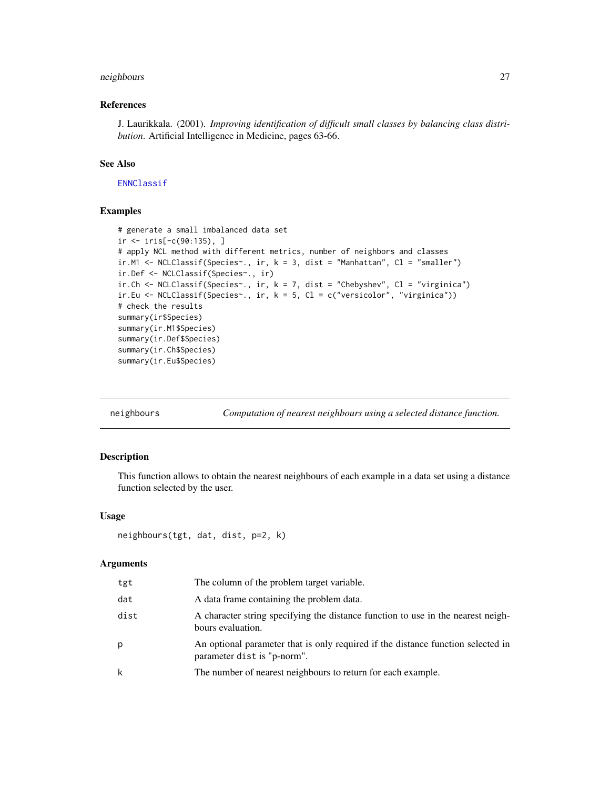# <span id="page-26-0"></span>neighbours 27

# References

J. Laurikkala. (2001). *Improving identification of difficult small classes by balancing class distribution*. Artificial Intelligence in Medicine, pages 63-66.

#### See Also

[ENNClassif](#page-9-1)

#### Examples

```
# generate a small imbalanced data set
ir <- iris[-c(90:135), ]
# apply NCL method with different metrics, number of neighbors and classes
ir.M1 <- NCLClassif(Species~., ir, k = 3, dist = "Manhattan", Cl = "smaller")
ir.Def <- NCLClassif(Species~., ir)
ir.Ch \leftarrow \text{NCLClassif(Species~, ir, k = 7, dist = "Chebyshev", Cl = "virginica")}ir.Eu <- NCLClassif(Species~., ir, k = 5, Cl = c("versicolor", "virginica"))
# check the results
summary(ir$Species)
summary(ir.M1$Species)
summary(ir.Def$Species)
summary(ir.Ch$Species)
summary(ir.Eu$Species)
```
<span id="page-26-1"></span>

| neighbours |  |  | Computation of nearest neighbours using a selected distance function. |
|------------|--|--|-----------------------------------------------------------------------|

#### Description

This function allows to obtain the nearest neighbours of each example in a data set using a distance function selected by the user.

# Usage

```
neighbours(tgt, dat, dist, p=2, k)
```
#### Arguments

| tgt  | The column of the problem target variable.                                                                      |
|------|-----------------------------------------------------------------------------------------------------------------|
| dat  | A data frame containing the problem data.                                                                       |
| dist | A character string specifying the distance function to use in the nearest neigh-<br>bours evaluation.           |
| p    | An optional parameter that is only required if the distance function selected in<br>parameter dist is "p-norm". |
| k    | The number of nearest neighbours to return for each example.                                                    |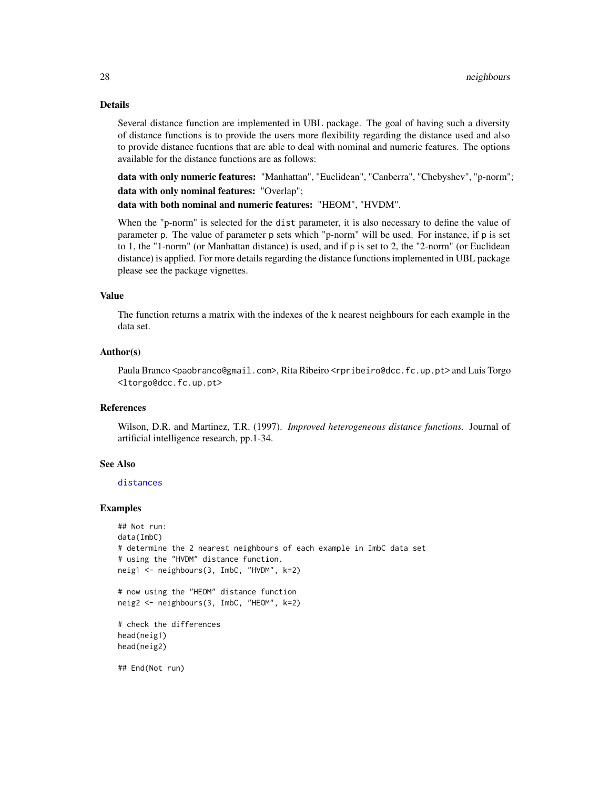# Details

Several distance function are implemented in UBL package. The goal of having such a diversity of distance functions is to provide the users more flexibility regarding the distance used and also to provide distance fucntions that are able to deal with nominal and numeric features. The options available for the distance functions are as follows:

data with only numeric features: "Manhattan", "Euclidean", "Canberra", "Chebyshev", "p-norm"; data with only nominal features: "Overlap";

data with both nominal and numeric features: "HEOM", "HVDM".

When the "p-norm" is selected for the dist parameter, it is also necessary to define the value of parameter p. The value of parameter p sets which "p-norm" will be used. For instance, if p is set to 1, the "1-norm" (or Manhattan distance) is used, and if p is set to 2, the "2-norm" (or Euclidean distance) is applied. For more details regarding the distance functions implemented in UBL package please see the package vignettes.

# Value

The function returns a matrix with the indexes of the k nearest neighbours for each example in the data set.

#### Author(s)

Paula Branco <paobranco@gmail.com>, Rita Ribeiro <rpribeiro@dcc.fc.up.pt> and Luis Torgo <ltorgo@dcc.fc.up.pt>

#### References

Wilson, D.R. and Martinez, T.R. (1997). *Improved heterogeneous distance functions.* Journal of artificial intelligence research, pp.1-34.

#### See Also

#### [distances](#page-8-1)

```
## Not run:
data(ImbC)
# determine the 2 nearest neighbours of each example in ImbC data set
# using the "HVDM" distance function.
neig1 <- neighbours(3, ImbC, "HVDM", k=2)
# now using the "HEOM" distance function
neig2 <- neighbours(3, ImbC, "HEOM", k=2)
# check the differences
head(neig1)
head(neig2)
## End(Not run)
```
<span id="page-27-0"></span>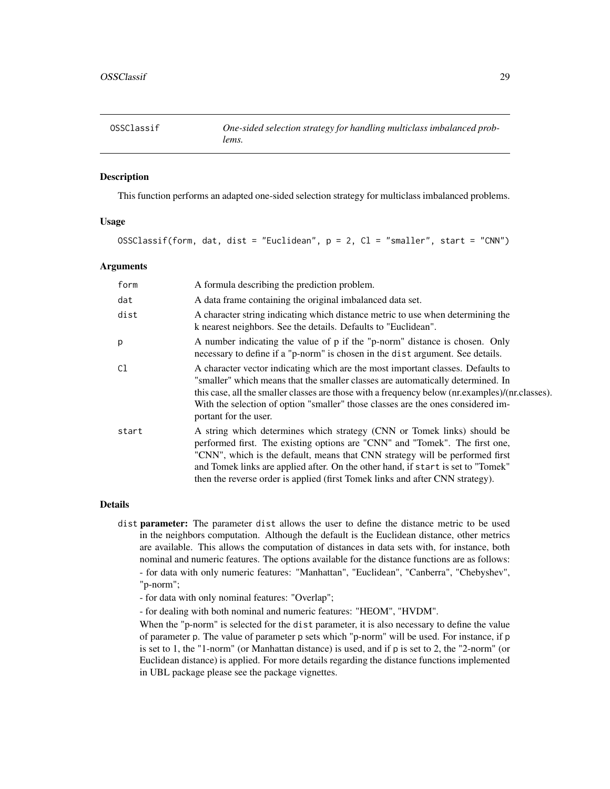<span id="page-28-1"></span><span id="page-28-0"></span>

# **Description**

This function performs an adapted one-sided selection strategy for multiclass imbalanced problems.

#### Usage

```
OSSClassif(form, dat, dist = "Euclidean", p = 2, Cl = "smaller", start = "CNN")
```
#### Arguments

| form  | A formula describing the prediction problem.                                                                                                                                                                                                                                                                                                                                                                |
|-------|-------------------------------------------------------------------------------------------------------------------------------------------------------------------------------------------------------------------------------------------------------------------------------------------------------------------------------------------------------------------------------------------------------------|
| dat   | A data frame containing the original imbalanced data set.                                                                                                                                                                                                                                                                                                                                                   |
| dist  | A character string indicating which distance metric to use when determining the<br>k nearest neighbors. See the details. Defaults to "Euclidean".                                                                                                                                                                                                                                                           |
| p     | A number indicating the value of p if the "p-norm" distance is chosen. Only<br>necessary to define if a "p-norm" is chosen in the dist argument. See details.                                                                                                                                                                                                                                               |
| C1    | A character vector indicating which are the most important classes. Defaults to<br>"smaller" which means that the smaller classes are automatically determined. In<br>this case, all the smaller classes are those with a frequency below (nr.examples)/(nr.classes).<br>With the selection of option "smaller" those classes are the ones considered im-<br>portant for the user.                          |
| start | A string which determines which strategy (CNN or Tomek links) should be<br>performed first. The existing options are "CNN" and "Tomek". The first one,<br>"CNN", which is the default, means that CNN strategy will be performed first<br>and Tomek links are applied after. On the other hand, if start is set to "Tomek"<br>then the reverse order is applied (first Tomek links and after CNN strategy). |

#### Details

- dist parameter: The parameter dist allows the user to define the distance metric to be used in the neighbors computation. Although the default is the Euclidean distance, other metrics are available. This allows the computation of distances in data sets with, for instance, both nominal and numeric features. The options available for the distance functions are as follows: - for data with only numeric features: "Manhattan", "Euclidean", "Canberra", "Chebyshev", "p-norm";
	- for data with only nominal features: "Overlap";
	- for dealing with both nominal and numeric features: "HEOM", "HVDM".

When the "p-norm" is selected for the dist parameter, it is also necessary to define the value of parameter p. The value of parameter p sets which "p-norm" will be used. For instance, if p is set to 1, the "1-norm" (or Manhattan distance) is used, and if p is set to 2, the "2-norm" (or Euclidean distance) is applied. For more details regarding the distance functions implemented in UBL package please see the package vignettes.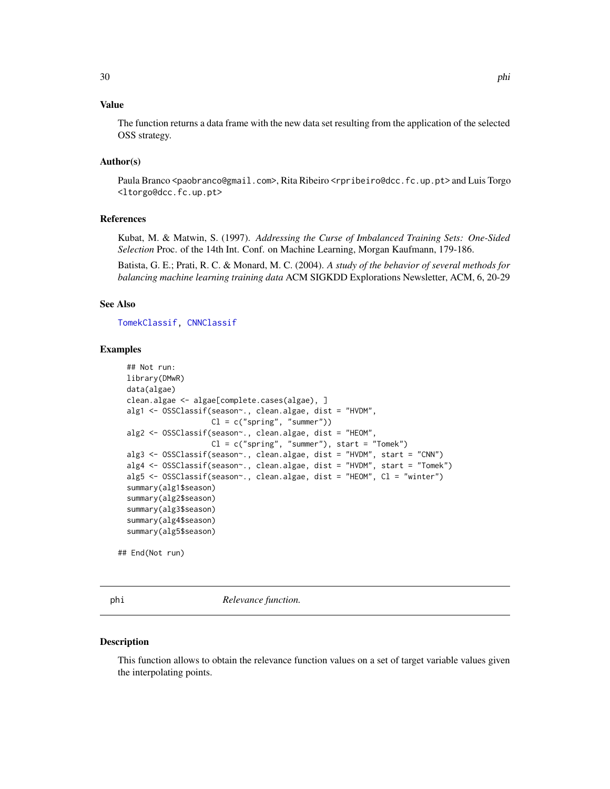# <span id="page-29-0"></span>Value

The function returns a data frame with the new data set resulting from the application of the selected OSS strategy.

#### Author(s)

Paula Branco <paobranco@gmail.com>, Rita Ribeiro <rpribeiro@dcc.fc.up.pt> and Luis Torgo <ltorgo@dcc.fc.up.pt>

# References

Kubat, M. & Matwin, S. (1997). *Addressing the Curse of Imbalanced Training Sets: One-Sided Selection* Proc. of the 14th Int. Conf. on Machine Learning, Morgan Kaufmann, 179-186.

Batista, G. E.; Prati, R. C. & Monard, M. C. (2004). *A study of the behavior of several methods for balancing machine learning training data* ACM SIGKDD Explorations Newsletter, ACM, 6, 20-29

## See Also

[TomekClassif,](#page-45-1) [CNNClassif](#page-6-1)

#### Examples

```
## Not run:
library(DMwR)
data(algae)
clean.algae <- algae[complete.cases(algae), ]
alg1 <- OSSClassif(season~., clean.algae, dist = "HVDM",
                   Cl = c("spring", "summer"))
alg2 <- OSSClassif(season~., clean.algae, dist = "HEOM",
                   Cl = c("spring", "sumer"), start = "Tomek")alg3 <- OSSClassif(season~., clean.algae, dist = "HVDM", start = "CNN")
alg4 <- OSSClassif(season~., clean.algae, dist = "HVDM", start = "Tomek")
alg5 <- OSSClassif(season~., clean.algae, dist = "HEOM", Cl = "winter")
summary(alg1$season)
summary(alg2$season)
summary(alg3$season)
summary(alg4$season)
summary(alg5$season)
```
## End(Not run)

<span id="page-29-1"></span>

phi *Relevance function.*

#### Description

This function allows to obtain the relevance function values on a set of target variable values given the interpolating points.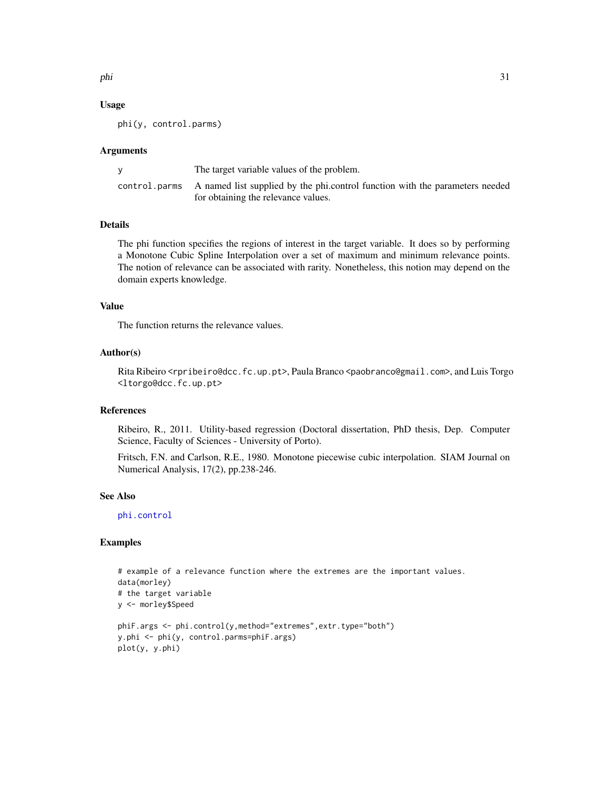<span id="page-30-0"></span>phi 31

### Usage

phi(y, control.parms)

#### Arguments

| The target variable values of the problem.                                                 |
|--------------------------------------------------------------------------------------------|
| control parms A named list supplied by the phi.control function with the parameters needed |
| for obtaining the relevance values.                                                        |

# Details

The phi function specifies the regions of interest in the target variable. It does so by performing a Monotone Cubic Spline Interpolation over a set of maximum and minimum relevance points. The notion of relevance can be associated with rarity. Nonetheless, this notion may depend on the domain experts knowledge.

# Value

The function returns the relevance values.

#### Author(s)

Rita Ribeiro <rpribeiro@dcc.fc.up.pt>, Paula Branco <paobranco@gmail.com>, and Luis Torgo <ltorgo@dcc.fc.up.pt>

# References

Ribeiro, R., 2011. Utility-based regression (Doctoral dissertation, PhD thesis, Dep. Computer Science, Faculty of Sciences - University of Porto).

Fritsch, F.N. and Carlson, R.E., 1980. Monotone piecewise cubic interpolation. SIAM Journal on Numerical Analysis, 17(2), pp.238-246.

#### See Also

[phi.control](#page-31-1)

```
# example of a relevance function where the extremes are the important values.
data(morley)
# the target variable
y <- morley$Speed
phiF.args <- phi.control(y,method="extremes",extr.type="both")
y.phi <- phi(y, control.parms=phiF.args)
plot(y, y.phi)
```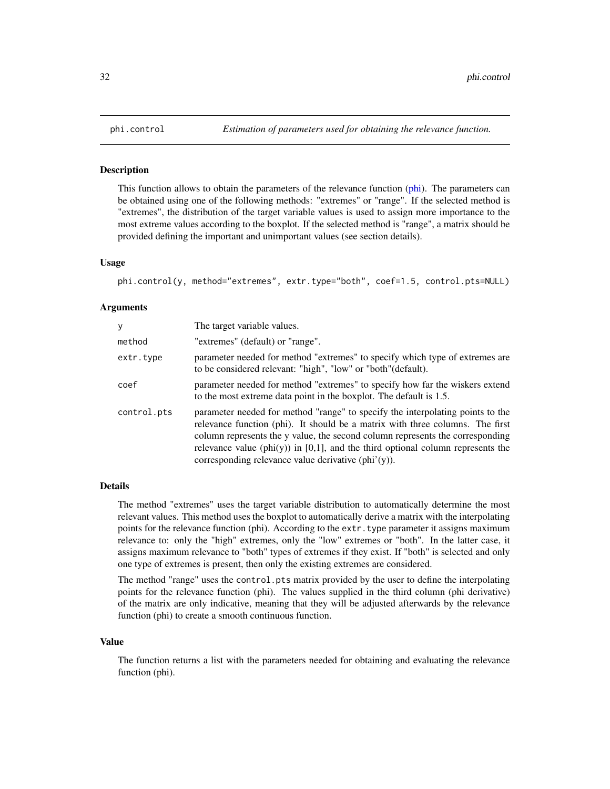<span id="page-31-1"></span><span id="page-31-0"></span>

#### Description

This function allows to obtain the parameters of the relevance function [\(phi\)](#page-29-1). The parameters can be obtained using one of the following methods: "extremes" or "range". If the selected method is "extremes", the distribution of the target variable values is used to assign more importance to the most extreme values according to the boxplot. If the selected method is "range", a matrix should be provided defining the important and unimportant values (see section details).

#### Usage

```
phi.control(y, method="extremes", extr.type="both", coef=1.5, control.pts=NULL)
```
#### Arguments

| y           | The target variable values.                                                                                                                                                                                                                                                                                                                                                                              |
|-------------|----------------------------------------------------------------------------------------------------------------------------------------------------------------------------------------------------------------------------------------------------------------------------------------------------------------------------------------------------------------------------------------------------------|
| method      | "extremes" (default) or "range".                                                                                                                                                                                                                                                                                                                                                                         |
| extr.type   | parameter needed for method "extremes" to specify which type of extremes are<br>to be considered relevant: "high", "low" or "both" (default).                                                                                                                                                                                                                                                            |
| coef        | parameter needed for method "extremes" to specify how far the wiskers extend<br>to the most extreme data point in the boxplot. The default is 1.5.                                                                                                                                                                                                                                                       |
| control.pts | parameter needed for method "range" to specify the interpolating points to the<br>relevance function (phi). It should be a matrix with three columns. The first<br>column represents the y value, the second column represents the corresponding<br>relevance value (phi $(y)$ ) in [0,1], and the third optional column represents the<br>corresponding relevance value derivative $(\text{phi'}(y))$ . |

#### Details

The method "extremes" uses the target variable distribution to automatically determine the most relevant values. This method uses the boxplot to automatically derive a matrix with the interpolating points for the relevance function (phi). According to the extr. type parameter it assigns maximum relevance to: only the "high" extremes, only the "low" extremes or "both". In the latter case, it assigns maximum relevance to "both" types of extremes if they exist. If "both" is selected and only one type of extremes is present, then only the existing extremes are considered.

The method "range" uses the control.pts matrix provided by the user to define the interpolating points for the relevance function (phi). The values supplied in the third column (phi derivative) of the matrix are only indicative, meaning that they will be adjusted afterwards by the relevance function (phi) to create a smooth continuous function.

#### Value

The function returns a list with the parameters needed for obtaining and evaluating the relevance function (phi).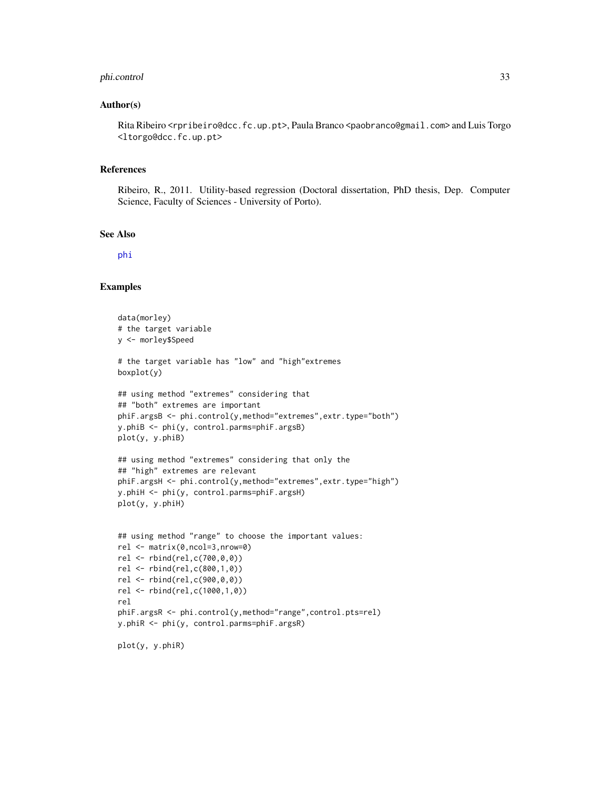#### <span id="page-32-0"></span>phi.control 33

#### Author(s)

Rita Ribeiro <rpribeiro@dcc.fc.up.pt>, Paula Branco <paobranco@gmail.com> and Luis Torgo <ltorgo@dcc.fc.up.pt>

# References

Ribeiro, R., 2011. Utility-based regression (Doctoral dissertation, PhD thesis, Dep. Computer Science, Faculty of Sciences - University of Porto).

#### See Also

[phi](#page-29-1)

#### Examples

```
data(morley)
# the target variable
y <- morley$Speed
# the target variable has "low" and "high"extremes
boxplot(y)
## using method "extremes" considering that
## "both" extremes are important
phiF.argsB <- phi.control(y,method="extremes",extr.type="both")
y.phiB <- phi(y, control.parms=phiF.argsB)
plot(y, y.phiB)
## using method "extremes" considering that only the
## "high" extremes are relevant
phiF.argsH <- phi.control(y,method="extremes",extr.type="high")
y.phiH <- phi(y, control.parms=phiF.argsH)
plot(y, y.phiH)
## using method "range" to choose the important values:
rel <- matrix(0,ncol=3,nrow=0)
rel <- rbind(rel,c(700,0,0))
rel <- rbind(rel,c(800,1,0))
rel <- rbind(rel,c(900,0,0))
rel <- rbind(rel,c(1000,1,0))
rel
phiF.argsR <- phi.control(y,method="range",control.pts=rel)
y.phiR <- phi(y, control.parms=phiF.argsR)
```
plot(y, y.phiR)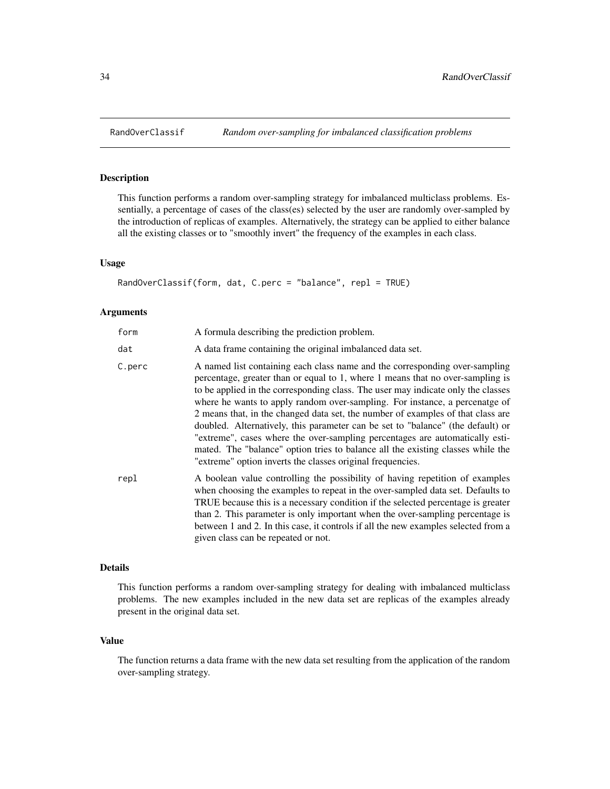<span id="page-33-1"></span><span id="page-33-0"></span>

#### Description

This function performs a random over-sampling strategy for imbalanced multiclass problems. Essentially, a percentage of cases of the class(es) selected by the user are randomly over-sampled by the introduction of replicas of examples. Alternatively, the strategy can be applied to either balance all the existing classes or to "smoothly invert" the frequency of the examples in each class.

# Usage

```
RandOverClassif(form, dat, C.perc = "balance", repl = TRUE)
```
#### **Arguments**

| form   | A formula describing the prediction problem.                                                                                                                                                                                                                                                                                                                                                                                                                                                                                                                                                                                                                                                                                            |
|--------|-----------------------------------------------------------------------------------------------------------------------------------------------------------------------------------------------------------------------------------------------------------------------------------------------------------------------------------------------------------------------------------------------------------------------------------------------------------------------------------------------------------------------------------------------------------------------------------------------------------------------------------------------------------------------------------------------------------------------------------------|
| dat    | A data frame containing the original imbalanced data set.                                                                                                                                                                                                                                                                                                                                                                                                                                                                                                                                                                                                                                                                               |
| C.perc | A named list containing each class name and the corresponding over-sampling<br>percentage, greater than or equal to 1, where 1 means that no over-sampling is<br>to be applied in the corresponding class. The user may indicate only the classes<br>where he wants to apply random over-sampling. For instance, a percenatge of<br>2 means that, in the changed data set, the number of examples of that class are<br>doubled. Alternatively, this parameter can be set to "balance" (the default) or<br>"extreme", cases where the over-sampling percentages are automatically esti-<br>mated. The "balance" option tries to balance all the existing classes while the<br>"extreme" option inverts the classes original frequencies. |
| repl   | A boolean value controlling the possibility of having repetition of examples<br>when choosing the examples to repeat in the over-sampled data set. Defaults to<br>TRUE because this is a necessary condition if the selected percentage is greater<br>than 2. This parameter is only important when the over-sampling percentage is<br>between 1 and 2. In this case, it controls if all the new examples selected from a<br>given class can be repeated or not.                                                                                                                                                                                                                                                                        |

#### Details

This function performs a random over-sampling strategy for dealing with imbalanced multiclass problems. The new examples included in the new data set are replicas of the examples already present in the original data set.

### Value

The function returns a data frame with the new data set resulting from the application of the random over-sampling strategy.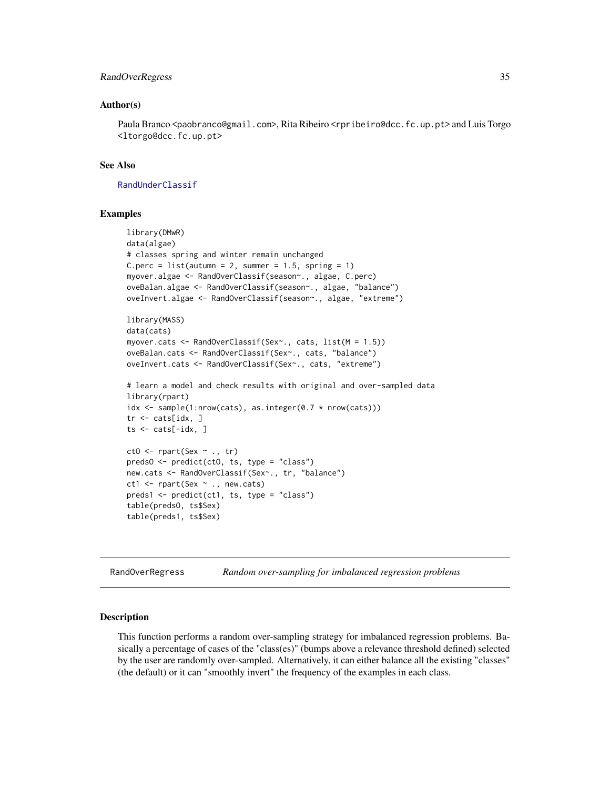#### <span id="page-34-0"></span>RandOverRegress 35

#### Author(s)

Paula Branco <paobranco@gmail.com>, Rita Ribeiro <rpribeiro@dcc.fc.up.pt> and Luis Torgo <ltorgo@dcc.fc.up.pt>

## See Also

[RandUnderClassif](#page-36-1)

#### Examples

```
library(DMwR)
data(algae)
# classes spring and winter remain unchanged
C.perc = list(autumn = 2, summer = 1.5, spring = 1)
myover.algae <- RandOverClassif(season~., algae, C.perc)
oveBalan.algae <- RandOverClassif(season~., algae, "balance")
oveInvert.algae <- RandOverClassif(season~., algae, "extreme")
library(MASS)
data(cats)
myover.cats <- RandOverClassif(Sex~., cats, list(M = 1.5))
oveBalan.cats <- RandOverClassif(Sex~., cats, "balance")
oveInvert.cats <- RandOverClassif(Sex~., cats, "extreme")
# learn a model and check results with original and over-sampled data
library(rpart)
idx \leq sample(1:nrow(cats), as.integer(0.7 \star nrow(cats)))
tr <- cats[idx, ]
ts \le cats[-idx, ]
ctO <- rpart(Sex ~ ., tr)
predsO <- predict(ctO, ts, type = "class")
new.cats <- RandOverClassif(Sex~., tr, "balance")
ct1 <- rpart(Sex ~ ., new.cats)
preds1 <- predict(ct1, ts, type = "class")
table(predsO, ts$Sex)
table(preds1, ts$Sex)
```
<span id="page-34-1"></span>RandOverRegress *Random over-sampling for imbalanced regression problems*

#### Description

This function performs a random over-sampling strategy for imbalanced regression problems. Basically a percentage of cases of the "class(es)" (bumps above a relevance threshold defined) selected by the user are randomly over-sampled. Alternatively, it can either balance all the existing "classes" (the default) or it can "smoothly invert" the frequency of the examples in each class.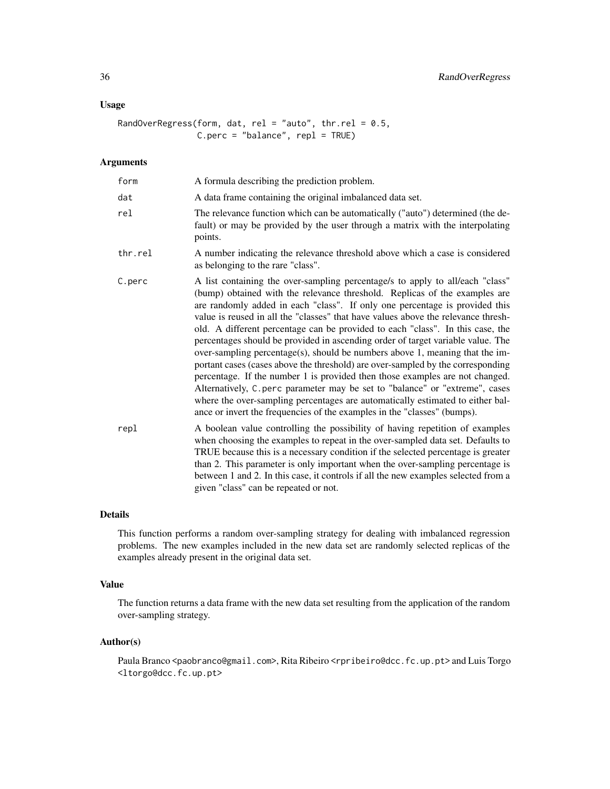# Usage

RandOverRegress(form, dat, rel = "auto", thr.rel =  $0.5$ , C.perc = "balance", repl = TRUE)

#### Arguments

| form    | A formula describing the prediction problem.                                                                                                                                                                                                                                                                                                                                                                                                                                                                                                                                                                                                                                                                                                                                                                                                                                                                                                                                                          |
|---------|-------------------------------------------------------------------------------------------------------------------------------------------------------------------------------------------------------------------------------------------------------------------------------------------------------------------------------------------------------------------------------------------------------------------------------------------------------------------------------------------------------------------------------------------------------------------------------------------------------------------------------------------------------------------------------------------------------------------------------------------------------------------------------------------------------------------------------------------------------------------------------------------------------------------------------------------------------------------------------------------------------|
| dat     | A data frame containing the original imbalanced data set.                                                                                                                                                                                                                                                                                                                                                                                                                                                                                                                                                                                                                                                                                                                                                                                                                                                                                                                                             |
| rel     | The relevance function which can be automatically ("auto") determined (the de-<br>fault) or may be provided by the user through a matrix with the interpolating<br>points.                                                                                                                                                                                                                                                                                                                                                                                                                                                                                                                                                                                                                                                                                                                                                                                                                            |
| thr.rel | A number indicating the relevance threshold above which a case is considered<br>as belonging to the rare "class".                                                                                                                                                                                                                                                                                                                                                                                                                                                                                                                                                                                                                                                                                                                                                                                                                                                                                     |
| C.perc  | A list containing the over-sampling percentage/s to apply to all/each "class"<br>(bump) obtained with the relevance threshold. Replicas of the examples are<br>are randomly added in each "class". If only one percentage is provided this<br>value is reused in all the "classes" that have values above the relevance thresh-<br>old. A different percentage can be provided to each "class". In this case, the<br>percentages should be provided in ascending order of target variable value. The<br>over-sampling percentage(s), should be numbers above 1, meaning that the im-<br>portant cases (cases above the threshold) are over-sampled by the corresponding<br>percentage. If the number 1 is provided then those examples are not changed.<br>Alternatively, C. perc parameter may be set to "balance" or "extreme", cases<br>where the over-sampling percentages are automatically estimated to either bal-<br>ance or invert the frequencies of the examples in the "classes" (bumps). |
| repl    | A boolean value controlling the possibility of having repetition of examples<br>when choosing the examples to repeat in the over-sampled data set. Defaults to<br>TRUE because this is a necessary condition if the selected percentage is greater<br>than 2. This parameter is only important when the over-sampling percentage is<br>between 1 and 2. In this case, it controls if all the new examples selected from a<br>given "class" can be repeated or not.                                                                                                                                                                                                                                                                                                                                                                                                                                                                                                                                    |

# Details

This function performs a random over-sampling strategy for dealing with imbalanced regression problems. The new examples included in the new data set are randomly selected replicas of the examples already present in the original data set.

#### Value

The function returns a data frame with the new data set resulting from the application of the random over-sampling strategy.

# Author(s)

Paula Branco <paobranco@gmail.com>, Rita Ribeiro <rpribeiro@dcc.fc.up.pt> and Luis Torgo <ltorgo@dcc.fc.up.pt>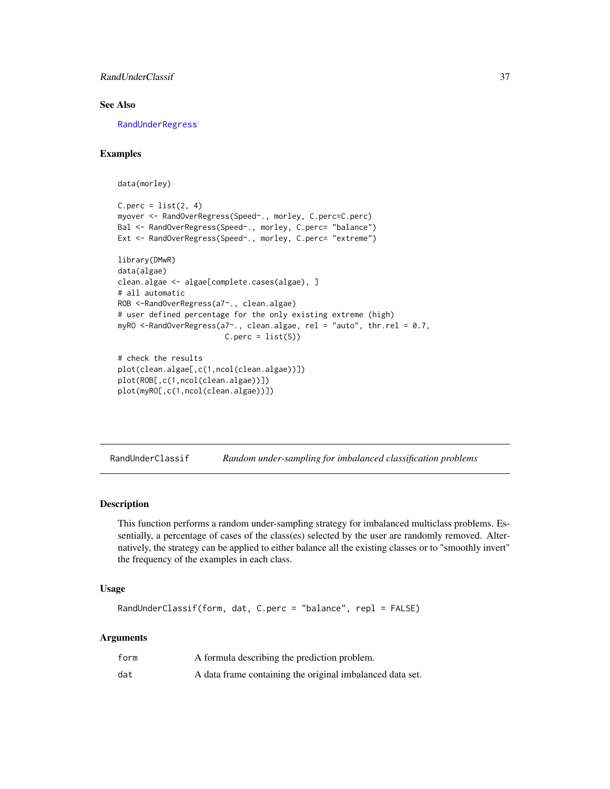<span id="page-36-0"></span>RandUnderClassif 37

# See Also

[RandUnderRegress](#page-38-1)

# Examples

data(morley)

```
C.perc = list(2, 4)myover <- RandOverRegress(Speed~., morley, C.perc=C.perc)
Bal <- RandOverRegress(Speed~., morley, C.perc= "balance")
Ext <- RandOverRegress(Speed~., morley, C.perc= "extreme")
library(DMwR)
data(algae)
clean.algae <- algae[complete.cases(algae), ]
# all automatic
ROB <-RandOverRegress(a7~., clean.algae)
# user defined percentage for the only existing extreme (high)
myRO <-RandOverRegress(a7~., clean.algae, rel = "auto", thr.rel = 0.7,
                       C.perc = list(5)# check the results
plot(clean.algae[,c(1,ncol(clean.algae))])
plot(ROB[,c(1,ncol(clean.algae))])
plot(myRO[,c(1,ncol(clean.algae))])
```
<span id="page-36-1"></span>RandUnderClassif *Random under-sampling for imbalanced classification problems*

#### Description

This function performs a random under-sampling strategy for imbalanced multiclass problems. Essentially, a percentage of cases of the class(es) selected by the user are randomly removed. Alternatively, the strategy can be applied to either balance all the existing classes or to "smoothly invert" the frequency of the examples in each class.

#### Usage

```
RandUnderClassif(form, dat, C.perc = "balance", repl = FALSE)
```
#### Arguments

| form | A formula describing the prediction problem.              |
|------|-----------------------------------------------------------|
| dat  | A data frame containing the original imbalanced data set. |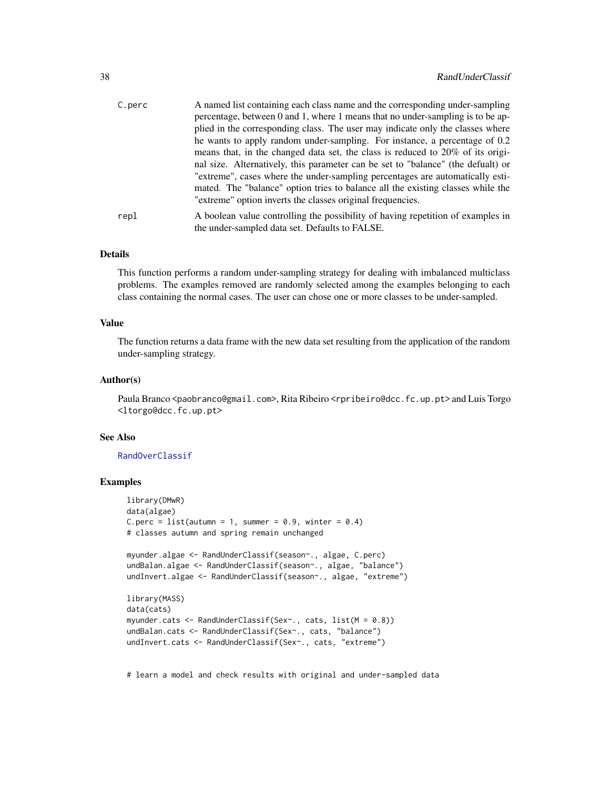<span id="page-37-0"></span>

| C.perc | A named list containing each class name and the corresponding under-sampling     |
|--------|----------------------------------------------------------------------------------|
|        | percentage, between 0 and 1, where 1 means that no under-sampling is to be ap-   |
|        | plied in the corresponding class. The user may indicate only the classes where   |
|        | he wants to apply random under-sampling. For instance, a percentage of 0.2       |
|        | means that, in the changed data set, the class is reduced to 20% of its origi-   |
|        | nal size. Alternatively, this parameter can be set to "balance" (the defualt) or |
|        | "extreme", cases where the under-sampling percentages are automatically esti-    |
|        | mated. The "balance" option tries to balance all the existing classes while the  |
|        | "extreme" option inverts the classes original frequencies.                       |
| repl   | A boolean value controlling the possibility of having repetition of examples in  |
|        | the under-sampled data set. Defaults to FALSE.                                   |

#### Details

This function performs a random under-sampling strategy for dealing with imbalanced multiclass problems. The examples removed are randomly selected among the examples belonging to each class containing the normal cases. The user can chose one or more classes to be under-sampled.

# Value

The function returns a data frame with the new data set resulting from the application of the random under-sampling strategy.

#### Author(s)

Paula Branco <paobranco@gmail.com>, Rita Ribeiro <rpribeiro@dcc.fc.up.pt> and Luis Torgo <ltorgo@dcc.fc.up.pt>

#### See Also

#### [RandOverClassif](#page-33-1)

# Examples

```
library(DMwR)
data(algae)
C.perc = list(autumn = 1, summer = 0.9, winter = 0.4)
# classes autumn and spring remain unchanged
myunder.algae <- RandUnderClassif(season~., algae, C.perc)
undBalan.algae <- RandUnderClassif(season~., algae, "balance")
undInvert.algae <- RandUnderClassif(season~., algae, "extreme")
library(MASS)
data(cats)
myunder.cats <- RandUnderClassif(Sex~., cats, list(M = 0.8))
undBalan.cats <- RandUnderClassif(Sex~., cats, "balance")
undInvert.cats <- RandUnderClassif(Sex~., cats, "extreme")
```
# learn a model and check results with original and under-sampled data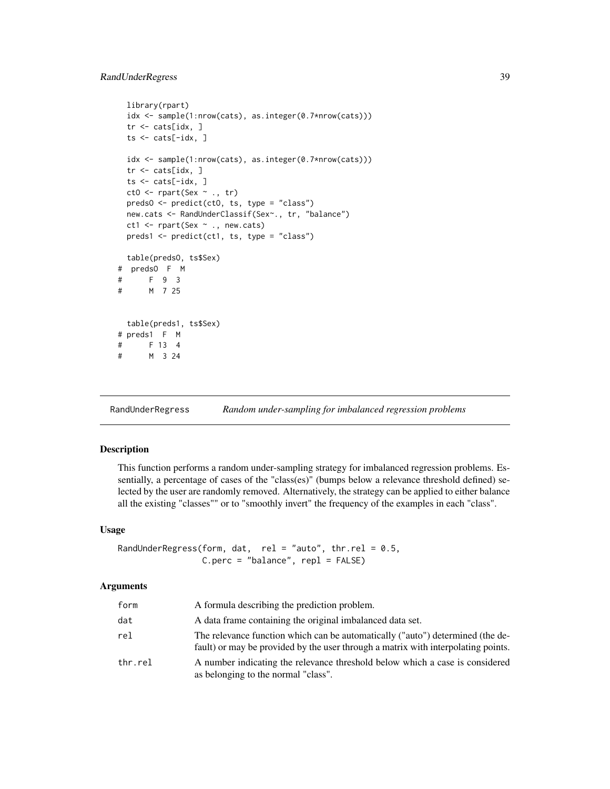```
library(rpart)
 idx <- sample(1:nrow(cats), as.integer(0.7*nrow(cats)))
 tr <- cats[idx, ]
 ts <- cats[-idx, ]
 idx <- sample(1:nrow(cats), as.integer(0.7*nrow(cats)))
 tr < - \text{ cats}[idx, ]
 ts <- cats[-idx, ]
 ct0 \leq -\text{part}(Sex \sim ., tr)predsO <- predict(ctO, ts, type = "class")
 new.cats <- RandUnderClassif(Sex~., tr, "balance")
 ct1 <- rpart(Sex ~ ., new.cats)
 preds1 <- predict(ct1, ts, type = "class")
 table(predsO, ts$Sex)
# predsO F M
# F 9 3
# M 7 25
 table(preds1, ts$Sex)
# preds1 F M
# F 13 4
# M 3 24
```
<span id="page-38-1"></span>RandUnderRegress *Random under-sampling for imbalanced regression problems*

# Description

This function performs a random under-sampling strategy for imbalanced regression problems. Essentially, a percentage of cases of the "class(es)" (bumps below a relevance threshold defined) selected by the user are randomly removed. Alternatively, the strategy can be applied to either balance all the existing "classes"" or to "smoothly invert" the frequency of the examples in each "class".

### Usage

RandUnderRegress(form, dat, rel = "auto", thr.rel =  $0.5$ ,  $C.perc = "balance", repl = FALSE)$ 

#### Arguments

| form    | A formula describing the prediction problem.                                                                                                                        |
|---------|---------------------------------------------------------------------------------------------------------------------------------------------------------------------|
| dat     | A data frame containing the original imbalanced data set.                                                                                                           |
| rel     | The relevance function which can be automatically ("auto") determined (the de-<br>fault) or may be provided by the user through a matrix with interpolating points. |
| thr.rel | A number indicating the relevance threshold below which a case is considered<br>as belonging to the normal "class".                                                 |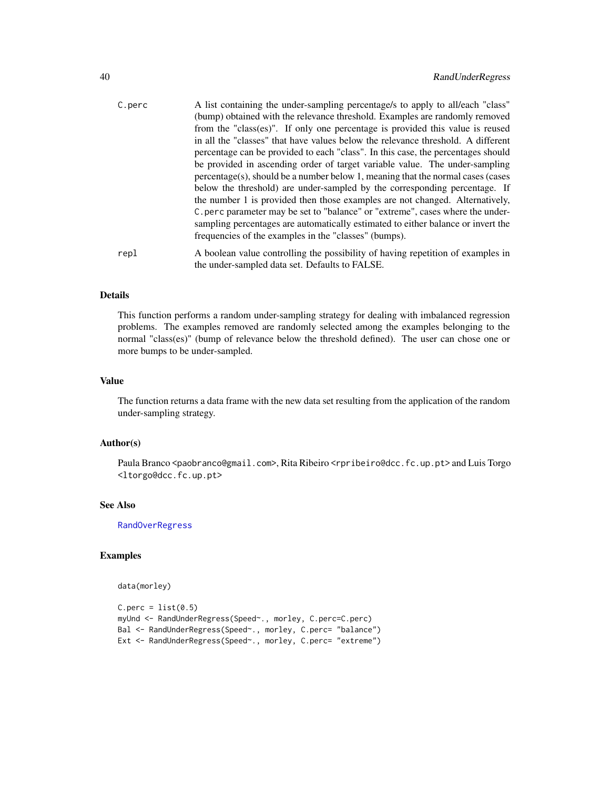<span id="page-39-0"></span>

| C.perc | A list containing the under-sampling percentage/s to apply to all/each "class"                                                    |
|--------|-----------------------------------------------------------------------------------------------------------------------------------|
|        | (bump) obtained with the relevance threshold. Examples are randomly removed                                                       |
|        | from the "class(es)". If only one percentage is provided this value is reused                                                     |
|        | in all the "classes" that have values below the relevance threshold. A different                                                  |
|        | percentage can be provided to each "class". In this case, the percentages should                                                  |
|        | be provided in ascending order of target variable value. The under-sampling                                                       |
|        | $percentage(s)$ , should be a number below 1, meaning that the normal cases (cases                                                |
|        | below the threshold) are under-sampled by the corresponding percentage. If                                                        |
|        | the number 1 is provided then those examples are not changed. Alternatively,                                                      |
|        | C, perc parameter may be set to "balance" or "extreme", cases where the under-                                                    |
|        | sampling percentages are automatically estimated to either balance or invert the                                                  |
|        | frequencies of the examples in the "classes" (bumps).                                                                             |
| repl   | A boolean value controlling the possibility of having repetition of examples in<br>the under-sampled data set. Defaults to FALSE. |
|        |                                                                                                                                   |

#### Details

This function performs a random under-sampling strategy for dealing with imbalanced regression problems. The examples removed are randomly selected among the examples belonging to the normal "class(es)" (bump of relevance below the threshold defined). The user can chose one or more bumps to be under-sampled.

#### Value

The function returns a data frame with the new data set resulting from the application of the random under-sampling strategy.

#### Author(s)

Paula Branco <paobranco@gmail.com>, Rita Ribeiro <rpribeiro@dcc.fc.up.pt> and Luis Torgo <ltorgo@dcc.fc.up.pt>

# See Also

[RandOverRegress](#page-34-1)

```
data(morley)
```

```
C.perc = list(0.5)myUnd <- RandUnderRegress(Speed~., morley, C.perc=C.perc)
Bal <- RandUnderRegress(Speed~., morley, C.perc= "balance")
Ext <- RandUnderRegress(Speed~., morley, C.perc= "extreme")
```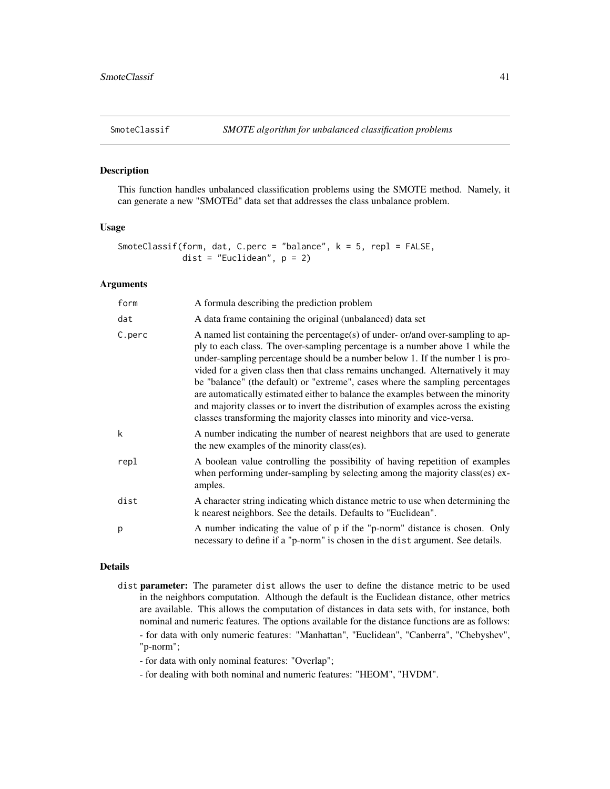<span id="page-40-1"></span><span id="page-40-0"></span>

#### Description

This function handles unbalanced classification problems using the SMOTE method. Namely, it can generate a new "SMOTEd" data set that addresses the class unbalance problem.

#### Usage

```
SmoteClassif(form, dat, C.perc = "balance", k = 5, repl = FALSE,
             dist = "Euclidean", p = 2)
```
# Arguments

| form   | A formula describing the prediction problem                                                                                                                                                                                                                                                                                                                                                                                                                                                                                                                                                                                                                              |
|--------|--------------------------------------------------------------------------------------------------------------------------------------------------------------------------------------------------------------------------------------------------------------------------------------------------------------------------------------------------------------------------------------------------------------------------------------------------------------------------------------------------------------------------------------------------------------------------------------------------------------------------------------------------------------------------|
| dat    | A data frame containing the original (unbalanced) data set                                                                                                                                                                                                                                                                                                                                                                                                                                                                                                                                                                                                               |
| C.perc | A named list containing the percentage(s) of under-or/and over-sampling to ap-<br>ply to each class. The over-sampling percentage is a number above 1 while the<br>under-sampling percentage should be a number below 1. If the number 1 is pro-<br>vided for a given class then that class remains unchanged. Alternatively it may<br>be "balance" (the default) or "extreme", cases where the sampling percentages<br>are automatically estimated either to balance the examples between the minority<br>and majority classes or to invert the distribution of examples across the existing<br>classes transforming the majority classes into minority and vice-versa. |
| k      | A number indicating the number of nearest neighbors that are used to generate<br>the new examples of the minority class(es).                                                                                                                                                                                                                                                                                                                                                                                                                                                                                                                                             |
| repl   | A boolean value controlling the possibility of having repetition of examples<br>when performing under-sampling by selecting among the majority class(es) ex-<br>amples.                                                                                                                                                                                                                                                                                                                                                                                                                                                                                                  |
| dist   | A character string indicating which distance metric to use when determining the<br>k nearest neighbors. See the details. Defaults to "Euclidean".                                                                                                                                                                                                                                                                                                                                                                                                                                                                                                                        |
| p      | A number indicating the value of p if the "p-norm" distance is chosen. Only<br>necessary to define if a "p-norm" is chosen in the dist argument. See details.                                                                                                                                                                                                                                                                                                                                                                                                                                                                                                            |

# Details

- dist parameter: The parameter dist allows the user to define the distance metric to be used in the neighbors computation. Although the default is the Euclidean distance, other metrics are available. This allows the computation of distances in data sets with, for instance, both nominal and numeric features. The options available for the distance functions are as follows: - for data with only numeric features: "Manhattan", "Euclidean", "Canberra", "Chebyshev", "p-norm";
	- for data with only nominal features: "Overlap";
	- for dealing with both nominal and numeric features: "HEOM", "HVDM".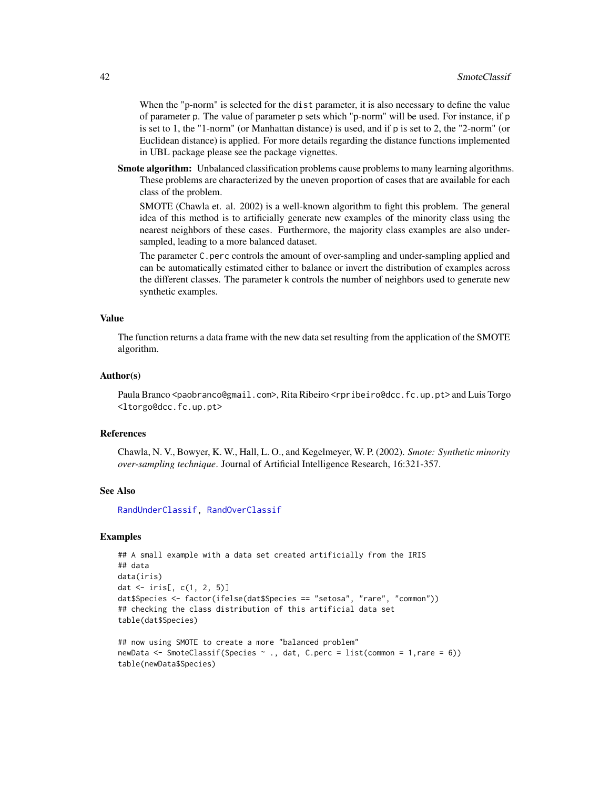<span id="page-41-0"></span>When the "p-norm" is selected for the dist parameter, it is also necessary to define the value of parameter p. The value of parameter p sets which "p-norm" will be used. For instance, if p is set to 1, the "1-norm" (or Manhattan distance) is used, and if p is set to 2, the "2-norm" (or Euclidean distance) is applied. For more details regarding the distance functions implemented in UBL package please see the package vignettes.

Smote algorithm: Unbalanced classification problems cause problems to many learning algorithms. These problems are characterized by the uneven proportion of cases that are available for each class of the problem.

SMOTE (Chawla et. al. 2002) is a well-known algorithm to fight this problem. The general idea of this method is to artificially generate new examples of the minority class using the nearest neighbors of these cases. Furthermore, the majority class examples are also undersampled, leading to a more balanced dataset.

The parameter C.perc controls the amount of over-sampling and under-sampling applied and can be automatically estimated either to balance or invert the distribution of examples across the different classes. The parameter k controls the number of neighbors used to generate new synthetic examples.

#### Value

The function returns a data frame with the new data set resulting from the application of the SMOTE algorithm.

#### Author(s)

Paula Branco <paobranco@gmail.com>, Rita Ribeiro <rpribeiro@dcc.fc.up.pt> and Luis Torgo <ltorgo@dcc.fc.up.pt>

#### References

Chawla, N. V., Bowyer, K. W., Hall, L. O., and Kegelmeyer, W. P. (2002). *Smote: Synthetic minority over-sampling technique*. Journal of Artificial Intelligence Research, 16:321-357.

#### See Also

[RandUnderClassif,](#page-36-1) [RandOverClassif](#page-33-1)

```
## A small example with a data set created artificially from the IRIS
## data
data(iris)
dat <- iris[, c(1, 2, 5)]
dat$Species <- factor(ifelse(dat$Species == "setosa", "rare", "common"))
## checking the class distribution of this artificial data set
table(dat$Species)
```

```
## now using SMOTE to create a more "balanced problem"
newData <- SmoteClassif(Species ~ ., dat, C.perc = list(common = 1,rare = 6))
table(newData$Species)
```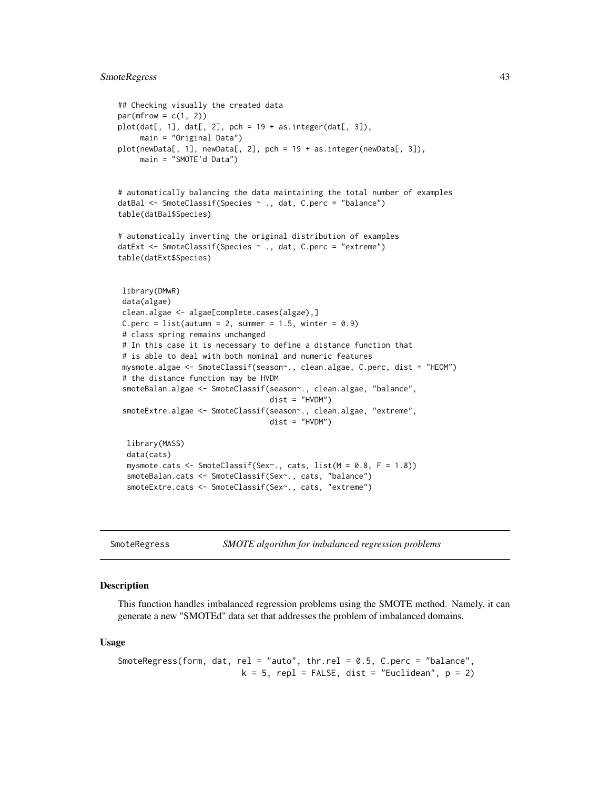# <span id="page-42-0"></span>SmoteRegress 43

```
## Checking visually the created data
par(mfrow = c(1, 2))plot(data[, 1], dat[, 2], pch = 19 + as.integer(data[, 3]),main = "Original Data")
plot(newData[, 1], newData[, 2], pch = 19 + as.integer(newData[, 3]),
    main = "SMOTE'd Data")
# automatically balancing the data maintaining the total number of examples
datBal <- SmoteClassif(Species ~ ., dat, C.perc = "balance")
table(datBal$Species)
# automatically inverting the original distribution of examples
datExt <- SmoteClassif(Species ~ ., dat, C.perc = "extreme")
table(datExt$Species)
library(DMwR)
data(algae)
 clean.algae <- algae[complete.cases(algae),]
C.perc = list(autumn = 2, summer = 1.5, winter = 0.9)
 # class spring remains unchanged
 # In this case it is necessary to define a distance function that
 # is able to deal with both nominal and numeric features
 mysmote.algae <- SmoteClassif(season~., clean.algae, C.perc, dist = "HEOM")
 # the distance function may be HVDM
 smoteBalan.algae <- SmoteClassif(season~., clean.algae, "balance",
                                  dist = "HVDM")smoteExtre.algae <- SmoteClassif(season~., clean.algae, "extreme",
                                  dist = "HVDM")library(MASS)
 data(cats)
 mysmote.cats <- SmoteClassif(Sex~., cats, list(M = 0.8, F = 1.8))
 smoteBalan.cats <- SmoteClassif(Sex~., cats, "balance")
 smoteExtre.cats <- SmoteClassif(Sex~., cats, "extreme")
```
<span id="page-42-1"></span>SmoteRegress *SMOTE algorithm for imbalanced regression problems*

#### Description

This function handles imbalanced regression problems using the SMOTE method. Namely, it can generate a new "SMOTEd" data set that addresses the problem of imbalanced domains.

#### Usage

```
SmoteRegress(form, dat, rel = "auto", thr.rel = 0.5, C.perc = "balance",
                         k = 5, repl = FALSE, dist = "Euclidean", p = 2)
```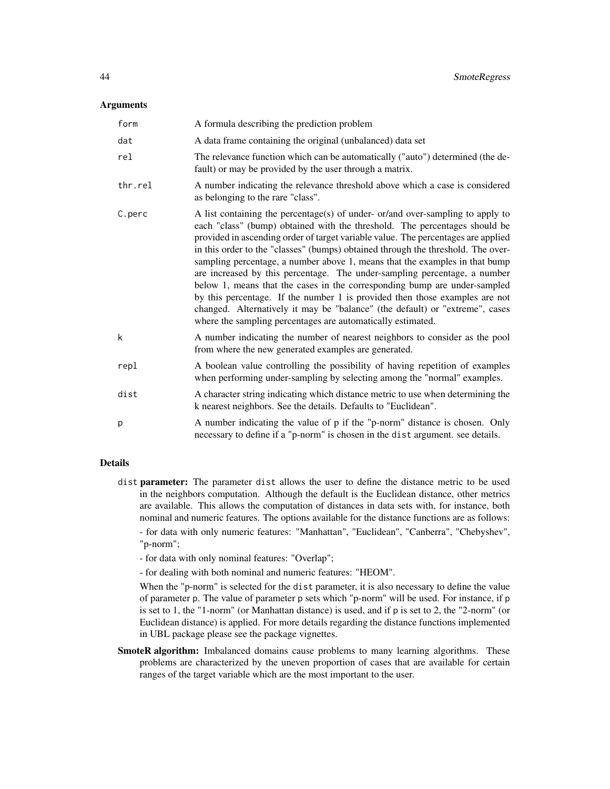#### **Arguments**

| form    | A formula describing the prediction problem                                                                                                                                                                                                                                                                                                                                                                                                                                                                                                                                                                                                                                                                                                                                                                     |
|---------|-----------------------------------------------------------------------------------------------------------------------------------------------------------------------------------------------------------------------------------------------------------------------------------------------------------------------------------------------------------------------------------------------------------------------------------------------------------------------------------------------------------------------------------------------------------------------------------------------------------------------------------------------------------------------------------------------------------------------------------------------------------------------------------------------------------------|
| dat     | A data frame containing the original (unbalanced) data set                                                                                                                                                                                                                                                                                                                                                                                                                                                                                                                                                                                                                                                                                                                                                      |
| rel     | The relevance function which can be automatically ("auto") determined (the de-<br>fault) or may be provided by the user through a matrix.                                                                                                                                                                                                                                                                                                                                                                                                                                                                                                                                                                                                                                                                       |
| thr.rel | A number indicating the relevance threshold above which a case is considered<br>as belonging to the rare "class".                                                                                                                                                                                                                                                                                                                                                                                                                                                                                                                                                                                                                                                                                               |
| C.perc  | A list containing the percentage(s) of under- $or/$ and over-sampling to apply to<br>each "class" (bump) obtained with the threshold. The percentages should be<br>provided in ascending order of target variable value. The percentages are applied<br>in this order to the "classes" (bumps) obtained through the threshold. The over-<br>sampling percentage, a number above 1, means that the examples in that bump<br>are increased by this percentage. The under-sampling percentage, a number<br>below 1, means that the cases in the corresponding bump are under-sampled<br>by this percentage. If the number 1 is provided then those examples are not<br>changed. Alternatively it may be "balance" (the default) or "extreme", cases<br>where the sampling percentages are automatically estimated. |
| k       | A number indicating the number of nearest neighbors to consider as the pool<br>from where the new generated examples are generated.                                                                                                                                                                                                                                                                                                                                                                                                                                                                                                                                                                                                                                                                             |
| repl    | A boolean value controlling the possibility of having repetition of examples<br>when performing under-sampling by selecting among the "normal" examples.                                                                                                                                                                                                                                                                                                                                                                                                                                                                                                                                                                                                                                                        |
| dist    | A character string indicating which distance metric to use when determining the<br>k nearest neighbors. See the details. Defaults to "Euclidean".                                                                                                                                                                                                                                                                                                                                                                                                                                                                                                                                                                                                                                                               |
| p       | A number indicating the value of p if the "p-norm" distance is chosen. Only<br>necessary to define if a "p-norm" is chosen in the dist argument. see details.                                                                                                                                                                                                                                                                                                                                                                                                                                                                                                                                                                                                                                                   |

#### Details

- dist parameter: The parameter dist allows the user to define the distance metric to be used in the neighbors computation. Although the default is the Euclidean distance, other metrics are available. This allows the computation of distances in data sets with, for instance, both nominal and numeric features. The options available for the distance functions are as follows: - for data with only numeric features: "Manhattan", "Euclidean", "Canberra", "Chebyshev",
	- "p-norm";
	- for data with only nominal features: "Overlap";
	- for dealing with both nominal and numeric features: "HEOM".

When the "p-norm" is selected for the dist parameter, it is also necessary to define the value of parameter p. The value of parameter p sets which "p-norm" will be used. For instance, if p is set to 1, the "1-norm" (or Manhattan distance) is used, and if p is set to 2, the "2-norm" (or Euclidean distance) is applied. For more details regarding the distance functions implemented in UBL package please see the package vignettes.

SmoteR algorithm: Imbalanced domains cause problems to many learning algorithms. These problems are characterized by the uneven proportion of cases that are available for certain ranges of the target variable which are the most important to the user.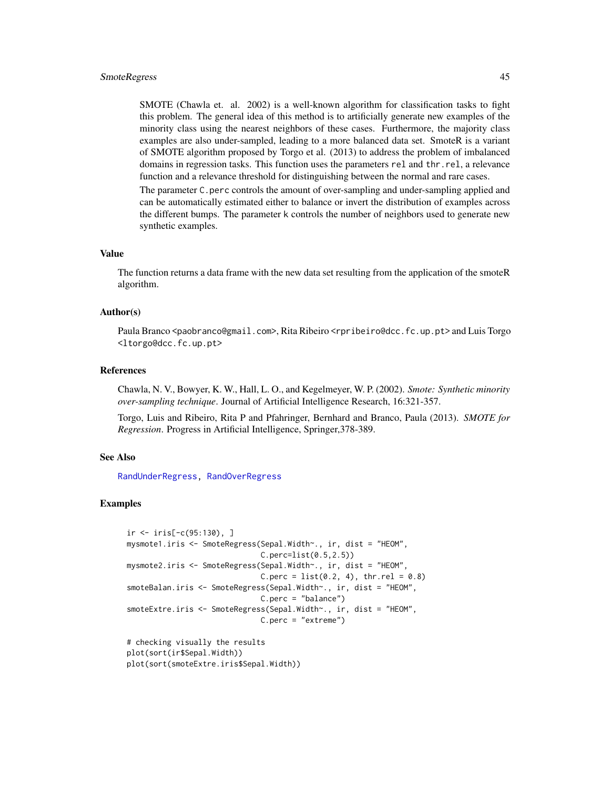#### <span id="page-44-0"></span>SmoteRegress 45

SMOTE (Chawla et. al. 2002) is a well-known algorithm for classification tasks to fight this problem. The general idea of this method is to artificially generate new examples of the minority class using the nearest neighbors of these cases. Furthermore, the majority class examples are also under-sampled, leading to a more balanced data set. SmoteR is a variant of SMOTE algorithm proposed by Torgo et al. (2013) to address the problem of imbalanced domains in regression tasks. This function uses the parameters rel and thr.rel, a relevance function and a relevance threshold for distinguishing between the normal and rare cases.

The parameter C.perc controls the amount of over-sampling and under-sampling applied and can be automatically estimated either to balance or invert the distribution of examples across the different bumps. The parameter k controls the number of neighbors used to generate new synthetic examples.

#### Value

The function returns a data frame with the new data set resulting from the application of the smoteR algorithm.

#### Author(s)

Paula Branco <paobranco@gmail.com>, Rita Ribeiro <rpribeiro@dcc.fc.up.pt> and Luis Torgo <ltorgo@dcc.fc.up.pt>

#### References

Chawla, N. V., Bowyer, K. W., Hall, L. O., and Kegelmeyer, W. P. (2002). *Smote: Synthetic minority over-sampling technique*. Journal of Artificial Intelligence Research, 16:321-357.

Torgo, Luis and Ribeiro, Rita P and Pfahringer, Bernhard and Branco, Paula (2013). *SMOTE for Regression*. Progress in Artificial Intelligence, Springer,378-389.

#### See Also

[RandUnderRegress,](#page-38-1) [RandOverRegress](#page-34-1)

```
ir \leftarrow iris[-c(95:130), ]mysmote1.iris <- SmoteRegress(Sepal.Width~., ir, dist = "HEOM",
                              C.perc=list(0.5,2.5))
mysmote2.iris <- SmoteRegress(Sepal.Width~., ir, dist = "HEOM",
                              C.perc = list(0.2, 4), thr.rel = 0.8)smoteBalan.iris <- SmoteRegress(Sepal.Width~., ir, dist = "HEOM",
                              C.perc = "balance")
smoteExtre.iris <- SmoteRegress(Sepal.Width~., ir, dist = "HEOM",
                              C.perc = "extreme")
# checking visually the results
plot(sort(ir$Sepal.Width))
plot(sort(smoteExtre.iris$Sepal.Width))
```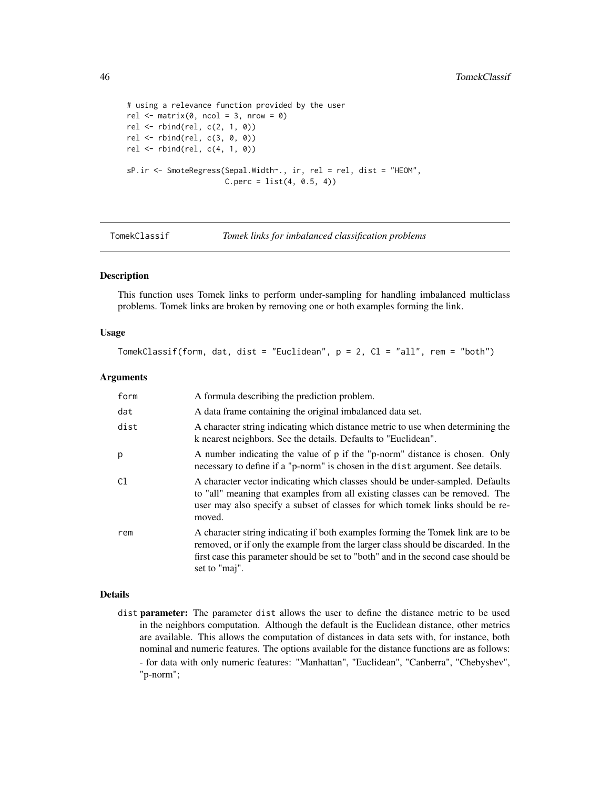```
# using a relevance function provided by the user
rel \leq matrix(0, ncol = 3, nrow = 0)
rel <- rbind(rel, c(2, 1, 0))
rel <- rbind(rel, c(3, 0, 0))
rel <- rbind(rel, c(4, 1, 0))
sP.ir <- SmoteRegress(Sepal.Width~., ir, rel = rel, dist = "HEOM",
                      C.perc = list(4, 0.5, 4)
```
- 
- <span id="page-45-1"></span>TomekClassif *Tomek links for imbalanced classification problems*

#### Description

This function uses Tomek links to perform under-sampling for handling imbalanced multiclass problems. Tomek links are broken by removing one or both examples forming the link.

## Usage

```
TomekClassif(form, dat, dist = "Euclidean", p = 2, Cl = "all", rem = "both")
```
#### Arguments

| form | A formula describing the prediction problem.                                                                                                                                                                                                                                |
|------|-----------------------------------------------------------------------------------------------------------------------------------------------------------------------------------------------------------------------------------------------------------------------------|
| dat  | A data frame containing the original imbalanced data set.                                                                                                                                                                                                                   |
| dist | A character string indicating which distance metric to use when determining the<br>k nearest neighbors. See the details. Defaults to "Euclidean".                                                                                                                           |
| р    | A number indicating the value of p if the "p-norm" distance is chosen. Only<br>necessary to define if a "p-norm" is chosen in the dist argument. See details.                                                                                                               |
| C1   | A character vector indicating which classes should be under-sampled. Defaults<br>to "all" meaning that examples from all existing classes can be removed. The<br>user may also specify a subset of classes for which tomek links should be re-<br>moved.                    |
| rem  | A character string indicating if both examples forming the Tomek link are to be<br>removed, or if only the example from the larger class should be discarded. In the<br>first case this parameter should be set to "both" and in the second case should be<br>set to "maj". |

#### Details

dist parameter: The parameter dist allows the user to define the distance metric to be used in the neighbors computation. Although the default is the Euclidean distance, other metrics are available. This allows the computation of distances in data sets with, for instance, both nominal and numeric features. The options available for the distance functions are as follows: - for data with only numeric features: "Manhattan", "Euclidean", "Canberra", "Chebyshev", "p-norm";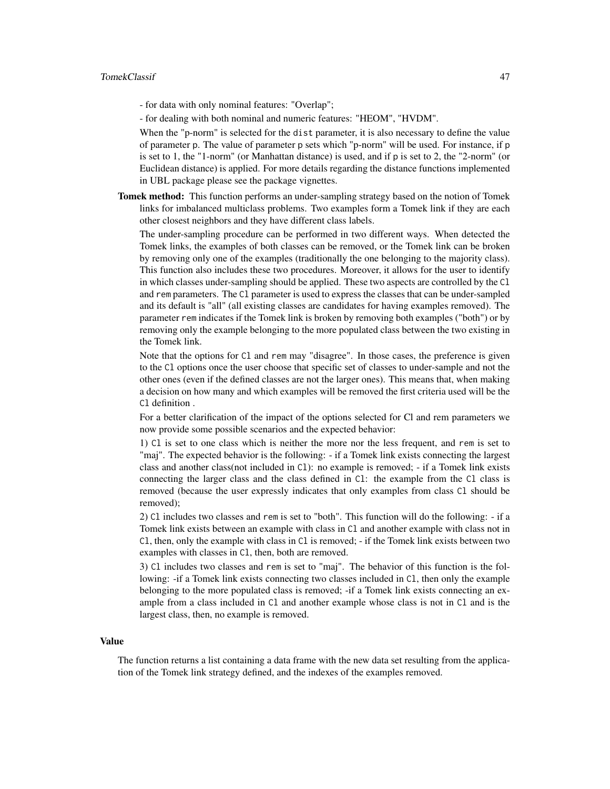- for data with only nominal features: "Overlap";
- for dealing with both nominal and numeric features: "HEOM", "HVDM".

When the "p-norm" is selected for the dist parameter, it is also necessary to define the value of parameter p. The value of parameter p sets which "p-norm" will be used. For instance, if p is set to 1, the "1-norm" (or Manhattan distance) is used, and if p is set to 2, the "2-norm" (or Euclidean distance) is applied. For more details regarding the distance functions implemented in UBL package please see the package vignettes.

Tomek method: This function performs an under-sampling strategy based on the notion of Tomek links for imbalanced multiclass problems. Two examples form a Tomek link if they are each other closest neighbors and they have different class labels.

The under-sampling procedure can be performed in two different ways. When detected the Tomek links, the examples of both classes can be removed, or the Tomek link can be broken by removing only one of the examples (traditionally the one belonging to the majority class). This function also includes these two procedures. Moreover, it allows for the user to identify in which classes under-sampling should be applied. These two aspects are controlled by the Cl and rem parameters. The Cl parameter is used to express the classes that can be under-sampled and its default is "all" (all existing classes are candidates for having examples removed). The parameter rem indicates if the Tomek link is broken by removing both examples ("both") or by removing only the example belonging to the more populated class between the two existing in the Tomek link.

Note that the options for Cl and rem may "disagree". In those cases, the preference is given to the Cl options once the user choose that specific set of classes to under-sample and not the other ones (even if the defined classes are not the larger ones). This means that, when making a decision on how many and which examples will be removed the first criteria used will be the Cl definition .

For a better clarification of the impact of the options selected for Cl and rem parameters we now provide some possible scenarios and the expected behavior:

1) Cl is set to one class which is neither the more nor the less frequent, and rem is set to "maj". The expected behavior is the following: - if a Tomek link exists connecting the largest class and another class(not included in Cl): no example is removed; - if a Tomek link exists connecting the larger class and the class defined in Cl: the example from the Cl class is removed (because the user expressly indicates that only examples from class Cl should be removed);

2) Cl includes two classes and rem is set to "both". This function will do the following: - if a Tomek link exists between an example with class in Cl and another example with class not in Cl, then, only the example with class in Cl is removed; - if the Tomek link exists between two examples with classes in Cl, then, both are removed.

3) Cl includes two classes and rem is set to "maj". The behavior of this function is the following: -if a Tomek link exists connecting two classes included in Cl, then only the example belonging to the more populated class is removed; -if a Tomek link exists connecting an example from a class included in Cl and another example whose class is not in Cl and is the largest class, then, no example is removed.

#### Value

The function returns a list containing a data frame with the new data set resulting from the application of the Tomek link strategy defined, and the indexes of the examples removed.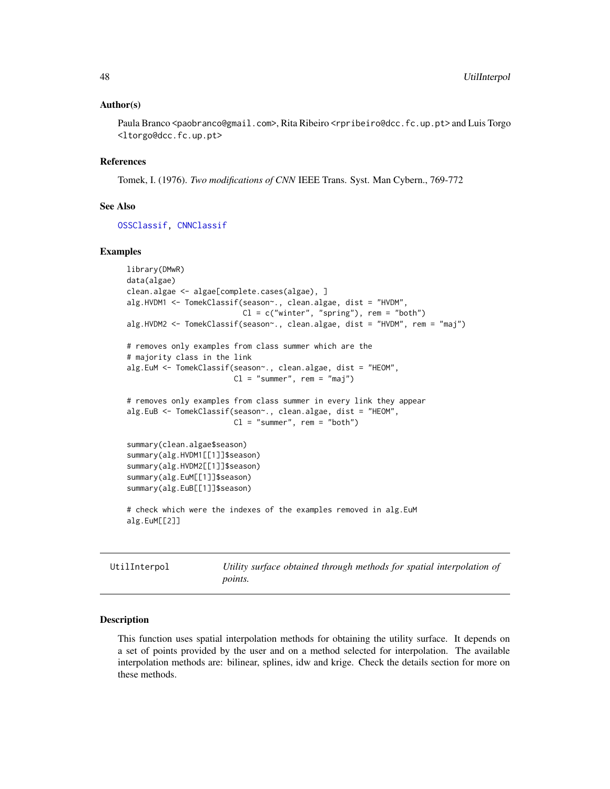#### <span id="page-47-0"></span>Author(s)

Paula Branco <paobranco@gmail.com>, Rita Ribeiro <rpribeiro@dcc.fc.up.pt> and Luis Torgo <ltorgo@dcc.fc.up.pt>

#### References

Tomek, I. (1976). *Two modifications of CNN* IEEE Trans. Syst. Man Cybern., 769-772

#### See Also

[OSSClassif,](#page-28-1) [CNNClassif](#page-6-1)

#### Examples

```
library(DMwR)
data(algae)
clean.algae <- algae[complete.cases(algae), ]
alg.HVDM1 <- TomekClassif(season~., clean.algae, dist = "HVDM",
                          Cl = c("winter", "spring"), rem = "both")
alg.HVDM2 <- TomekClassif(season~., clean.algae, dist = "HVDM", rem = "maj")
# removes only examples from class summer which are the
# majority class in the link
alg.EuM <- TomekClassif(season~., clean.algae, dist = "HEOM",
                        Cl = "summer", rem = "maj")# removes only examples from class summer in every link they appear
alg.EuB <- TomekClassif(season~., clean.algae, dist = "HEOM",
                        Cl = "summer", rem = "both")summary(clean.algae$season)
summary(alg.HVDM1[[1]]$season)
summary(alg.HVDM2[[1]]$season)
summary(alg.EuM[[1]]$season)
summary(alg.EuB[[1]]$season)
# check which were the indexes of the examples removed in alg.EuM
alg.EuM[[2]]
```
<span id="page-47-1"></span>UtilInterpol *Utility surface obtained through methods for spatial interpolation of points.*

#### Description

This function uses spatial interpolation methods for obtaining the utility surface. It depends on a set of points provided by the user and on a method selected for interpolation. The available interpolation methods are: bilinear, splines, idw and krige. Check the details section for more on these methods.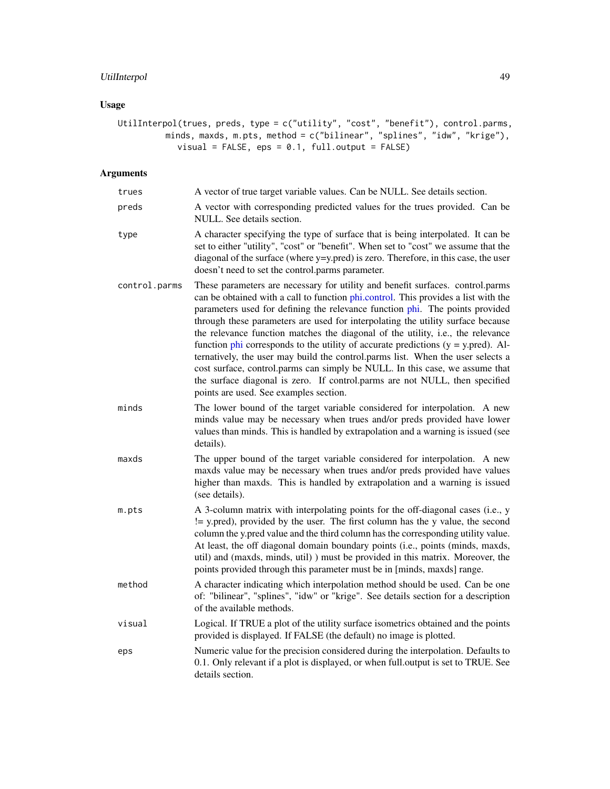# <span id="page-48-0"></span>UtilInterpol 49

# Usage

```
UtilInterpol(trues, preds, type = c("utility", "cost", "benefit"), control.parms,
          minds, maxds, m.pts, method = c("bilinear", "splines", "idw", "krige"),
             visual = FALSE, eps = 0.1, full.output = FALSE)
```
# Arguments

| trues         | A vector of true target variable values. Can be NULL. See details section.                                                                                                                                                                                                                                                                                                                                                                                                                                                                                                                                                                                                                                                                                                                                         |
|---------------|--------------------------------------------------------------------------------------------------------------------------------------------------------------------------------------------------------------------------------------------------------------------------------------------------------------------------------------------------------------------------------------------------------------------------------------------------------------------------------------------------------------------------------------------------------------------------------------------------------------------------------------------------------------------------------------------------------------------------------------------------------------------------------------------------------------------|
| preds         | A vector with corresponding predicted values for the trues provided. Can be<br>NULL. See details section.                                                                                                                                                                                                                                                                                                                                                                                                                                                                                                                                                                                                                                                                                                          |
| type          | A character specifying the type of surface that is being interpolated. It can be<br>set to either "utility", "cost" or "benefit". When set to "cost" we assume that the<br>diagonal of the surface (where y=y.pred) is zero. Therefore, in this case, the user<br>doesn't need to set the control.parms parameter.                                                                                                                                                                                                                                                                                                                                                                                                                                                                                                 |
| control.parms | These parameters are necessary for utility and benefit surfaces. control.parms<br>can be obtained with a call to function phi.control. This provides a list with the<br>parameters used for defining the relevance function phi. The points provided<br>through these parameters are used for interpolating the utility surface because<br>the relevance function matches the diagonal of the utility, i.e., the relevance<br>function $phi$ corresponds to the utility of accurate predictions ( $y = y$ , pred). Al-<br>ternatively, the user may build the control.parms list. When the user selects a<br>cost surface, control.parms can simply be NULL. In this case, we assume that<br>the surface diagonal is zero. If control.parms are not NULL, then specified<br>points are used. See examples section. |
| minds         | The lower bound of the target variable considered for interpolation. A new<br>minds value may be necessary when trues and/or preds provided have lower<br>values than minds. This is handled by extrapolation and a warning is issued (see<br>details).                                                                                                                                                                                                                                                                                                                                                                                                                                                                                                                                                            |
| maxds         | The upper bound of the target variable considered for interpolation. A new<br>maxds value may be necessary when trues and/or preds provided have values<br>higher than maxds. This is handled by extrapolation and a warning is issued<br>(see details).                                                                                                                                                                                                                                                                                                                                                                                                                                                                                                                                                           |
| m.pts         | A 3-column matrix with interpolating points for the off-diagonal cases (i.e., y<br>!= y.pred), provided by the user. The first column has the y value, the second<br>column the y.pred value and the third column has the corresponding utility value.<br>At least, the off diagonal domain boundary points (i.e., points (minds, maxds,<br>util) and (maxds, minds, util) ) must be provided in this matrix. Moreover, the<br>points provided through this parameter must be in [minds, maxds] range.                                                                                                                                                                                                                                                                                                             |
| method        | A character indicating which interpolation method should be used. Can be one<br>of: "bilinear", "splines", "idw" or "krige". See details section for a description<br>of the available methods.                                                                                                                                                                                                                                                                                                                                                                                                                                                                                                                                                                                                                    |
| visual        | Logical. If TRUE a plot of the utility surface isometrics obtained and the points<br>provided is displayed. If FALSE (the default) no image is plotted.                                                                                                                                                                                                                                                                                                                                                                                                                                                                                                                                                                                                                                                            |
| eps           | Numeric value for the precision considered during the interpolation. Defaults to<br>0.1. Only relevant if a plot is displayed, or when full output is set to TRUE. See<br>details section.                                                                                                                                                                                                                                                                                                                                                                                                                                                                                                                                                                                                                         |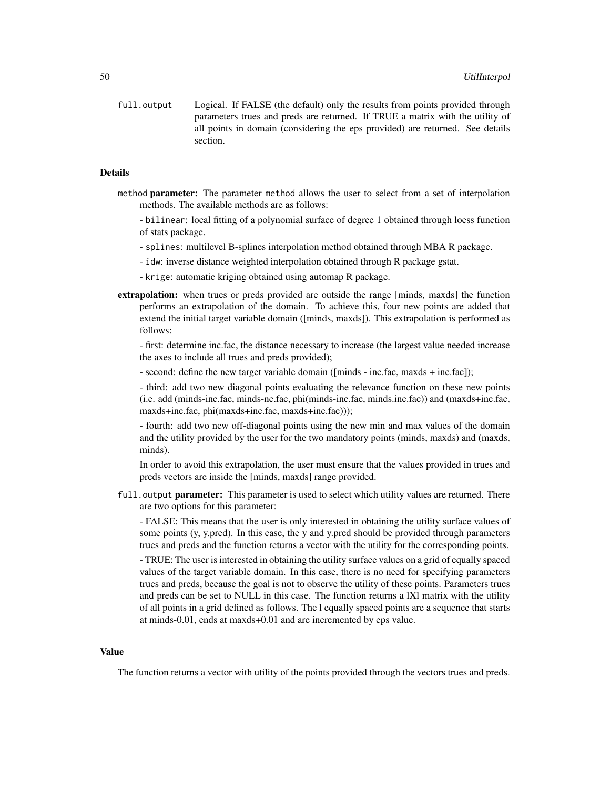full.output Logical. If FALSE (the default) only the results from points provided through parameters trues and preds are returned. If TRUE a matrix with the utility of all points in domain (considering the eps provided) are returned. See details section.

#### **Details**

- method parameter: The parameter method allows the user to select from a set of interpolation methods. The available methods are as follows:
	- bilinear: local fitting of a polynomial surface of degree 1 obtained through loess function of stats package.
	- splines: multilevel B-splines interpolation method obtained through MBA R package.
	- idw: inverse distance weighted interpolation obtained through R package gstat.
	- krige: automatic kriging obtained using automap R package.
- extrapolation: when trues or preds provided are outside the range [minds, maxds] the function performs an extrapolation of the domain. To achieve this, four new points are added that extend the initial target variable domain ([minds, maxds]). This extrapolation is performed as follows:

- first: determine inc.fac, the distance necessary to increase (the largest value needed increase the axes to include all trues and preds provided);

- second: define the new target variable domain ([minds - inc.fac, maxds + inc.fac]);

- third: add two new diagonal points evaluating the relevance function on these new points (i.e. add (minds-inc.fac, minds-nc.fac, phi(minds-inc.fac, minds.inc.fac)) and (maxds+inc.fac, maxds+inc.fac, phi(maxds+inc.fac, maxds+inc.fac)));

- fourth: add two new off-diagonal points using the new min and max values of the domain and the utility provided by the user for the two mandatory points (minds, maxds) and (maxds, minds).

In order to avoid this extrapolation, the user must ensure that the values provided in trues and preds vectors are inside the [minds, maxds] range provided.

full.output parameter: This parameter is used to select which utility values are returned. There are two options for this parameter:

- FALSE: This means that the user is only interested in obtaining the utility surface values of some points (y, y.pred). In this case, the y and y.pred should be provided through parameters trues and preds and the function returns a vector with the utility for the corresponding points.

- TRUE: The user is interested in obtaining the utility surface values on a grid of equally spaced values of the target variable domain. In this case, there is no need for specifying parameters trues and preds, because the goal is not to observe the utility of these points. Parameters trues and preds can be set to NULL in this case. The function returns a lXl matrix with the utility of all points in a grid defined as follows. The l equally spaced points are a sequence that starts at minds-0.01, ends at maxds+0.01 and are incremented by eps value.

#### Value

The function returns a vector with utility of the points provided through the vectors trues and preds.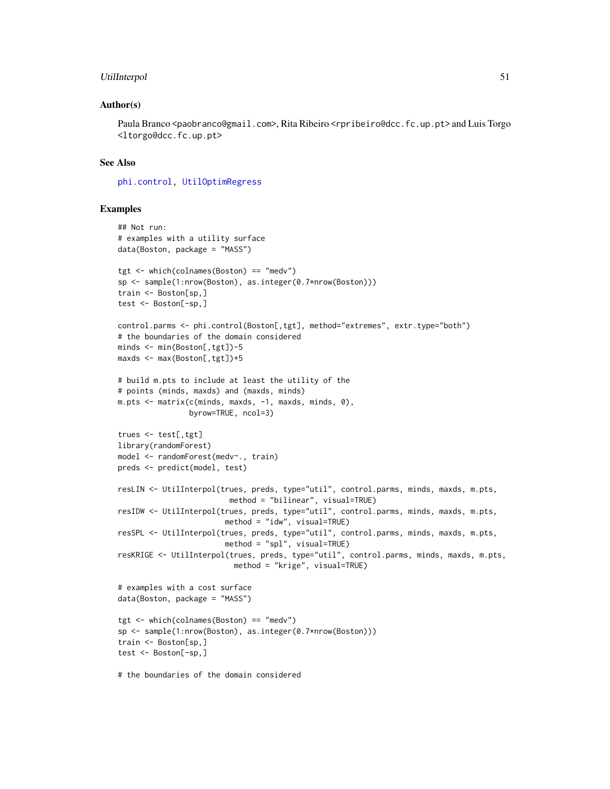## <span id="page-50-0"></span>UtilInterpol 51

#### Author(s)

Paula Branco <paobranco@gmail.com>, Rita Ribeiro <rpribeiro@dcc.fc.up.pt> and Luis Torgo <ltorgo@dcc.fc.up.pt>

#### See Also

[phi.control,](#page-31-1) [UtilOptimRegress](#page-54-1)

```
## Not run:
# examples with a utility surface
data(Boston, package = "MASS")
tgt <- which(colnames(Boston) == "medv")
sp <- sample(1:nrow(Boston), as.integer(0.7*nrow(Boston)))
train <- Boston[sp,]
test <- Boston[-sp,]
control.parms <- phi.control(Boston[,tgt], method="extremes", extr.type="both")
# the boundaries of the domain considered
minds <- min(Boston[,tgt])-5
maxds <- max(Boston[,tgt])+5
# build m.pts to include at least the utility of the
# points (minds, maxds) and (maxds, minds)
m.pts <- matrix(c(minds, maxds, -1, maxds, minds, 0),
                byrow=TRUE, ncol=3)
trues <- test[,tgt]
library(randomForest)
model <- randomForest(medv~., train)
preds <- predict(model, test)
resLIN <- UtilInterpol(trues, preds, type="util", control.parms, minds, maxds, m.pts,
                         method = "bilinear", visual=TRUE)
resIDW <- UtilInterpol(trues, preds, type="util", control.parms, minds, maxds, m.pts,
                        method = "idw", visual=TRUE)
resSPL <- UtilInterpol(trues, preds, type="util", control.parms, minds, maxds, m.pts,
                        method = "spl", visual=TRUE)
resKRIGE <- UtilInterpol(trues, preds, type="util", control.parms, minds, maxds, m.pts,
                          method = "krige", visual=TRUE)
# examples with a cost surface
data(Boston, package = "MASS")
tgt <- which(colnames(Boston) == "medv")
sp <- sample(1:nrow(Boston), as.integer(0.7*nrow(Boston)))
train <- Boston[sp,]
test <- Boston[-sp,]
# the boundaries of the domain considered
```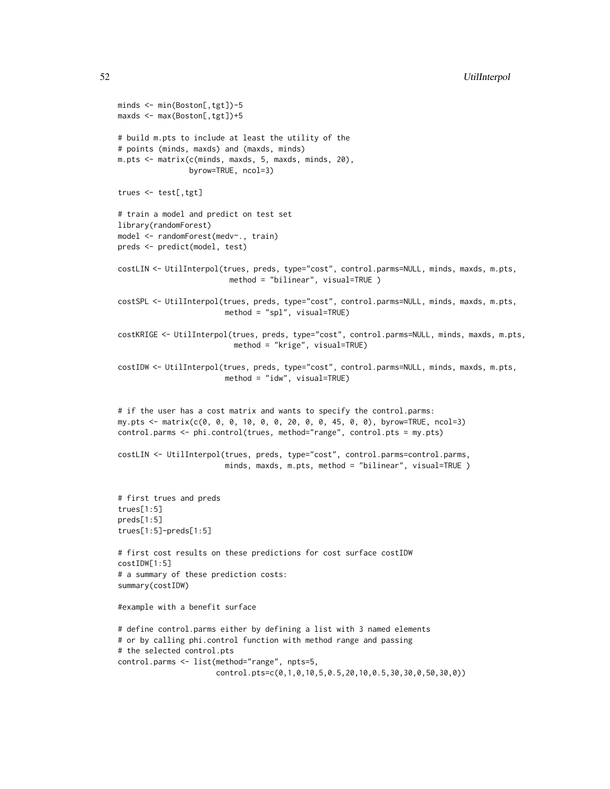```
minds <- min(Boston[,tgt])-5
maxds <- max(Boston[,tgt])+5
# build m.pts to include at least the utility of the
# points (minds, maxds) and (maxds, minds)
m.pts <- matrix(c(minds, maxds, 5, maxds, minds, 20),
                byrow=TRUE, ncol=3)
trues <- test[,tgt]
# train a model and predict on test set
library(randomForest)
model <- randomForest(medv~., train)
preds <- predict(model, test)
costLIN <- UtilInterpol(trues, preds, type="cost", control.parms=NULL, minds, maxds, m.pts,
                         method = "bilinear", visual=TRUE )
costSPL <- UtilInterpol(trues, preds, type="cost", control.parms=NULL, minds, maxds, m.pts,
                        method = "spl", visual=TRUE)
costKRIGE <- UtilInterpol(trues, preds, type="cost", control.parms=NULL, minds, maxds, m.pts,
                          method = "krige", visual=TRUE)
costIDW <- UtilInterpol(trues, preds, type="cost", control.parms=NULL, minds, maxds, m.pts,
                        method = "idw", visual=TRUE)
# if the user has a cost matrix and wants to specify the control.parms:
my.pts <- matrix(c(0, 0, 0, 10, 0, 0, 20, 0, 0, 45, 0, 0), byrow=TRUE, ncol=3)
control.parms <- phi.control(trues, method="range", control.pts = my.pts)
costLIN <- UtilInterpol(trues, preds, type="cost", control.parms=control.parms,
                        minds, maxds, m.pts, method = "bilinear", visual=TRUE )
# first trues and preds
trues[1:5]
preds[1:5]
trues[1:5]-preds[1:5]
# first cost results on these predictions for cost surface costIDW
costIDW[1:5]
# a summary of these prediction costs:
summary(costIDW)
#example with a benefit surface
# define control.parms either by defining a list with 3 named elements
# or by calling phi.control function with method range and passing
# the selected control.pts
control.parms <- list(method="range", npts=5,
                      control.pts=c(0,1,0,10,5,0.5,20,10,0.5,30,30,0,50,30,0))
```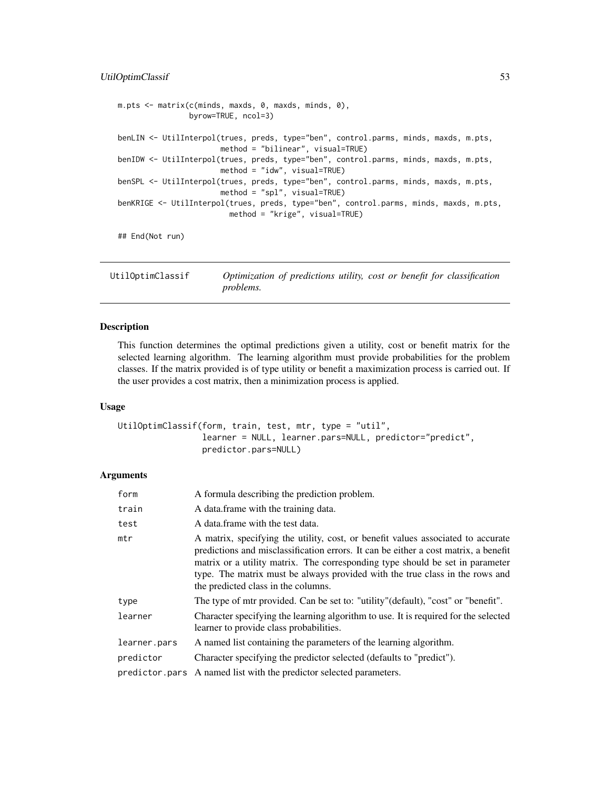# <span id="page-52-0"></span>UtilOptimClassif 53

```
m.pts <- matrix(c(minds, maxds, 0, maxds, minds, 0),
                byrow=TRUE, ncol=3)
benLIN <- UtilInterpol(trues, preds, type="ben", control.parms, minds, maxds, m.pts,
                       method = "bilinear", visual=TRUE)
benIDW <- UtilInterpol(trues, preds, type="ben", control.parms, minds, maxds, m.pts,
                       method = "idw", visual=TRUE)
benSPL <- UtilInterpol(trues, preds, type="ben", control.parms, minds, maxds, m.pts,
                       method = "spl", visual=TRUE)
benKRIGE <- UtilInterpol(trues, preds, type="ben", control.parms, minds, maxds, m.pts,
                         method = "krige", visual=TRUE)
## End(Not run)
```
<span id="page-52-1"></span>UtilOptimClassif *Optimization of predictions utility, cost or benefit for classification problems.*

## Description

This function determines the optimal predictions given a utility, cost or benefit matrix for the selected learning algorithm. The learning algorithm must provide probabilities for the problem classes. If the matrix provided is of type utility or benefit a maximization process is carried out. If the user provides a cost matrix, then a minimization process is applied.

#### Usage

```
UtilOptimClassif(form, train, test, mtr, type = "util",
                 learner = NULL, learner.pars=NULL, predictor="predict",
                 predictor.pars=NULL)
```
#### Arguments

| form         | A formula describing the prediction problem.                                                                                                                                                                                                                                                                                                                                    |
|--------------|---------------------------------------------------------------------------------------------------------------------------------------------------------------------------------------------------------------------------------------------------------------------------------------------------------------------------------------------------------------------------------|
| train        | A data frame with the training data.                                                                                                                                                                                                                                                                                                                                            |
| test         | A data frame with the test data.                                                                                                                                                                                                                                                                                                                                                |
| mtr          | A matrix, specifying the utility, cost, or benefit values associated to accurate<br>predictions and misclassification errors. It can be either a cost matrix, a benefit<br>matrix or a utility matrix. The corresponding type should be set in parameter<br>type. The matrix must be always provided with the true class in the rows and<br>the predicted class in the columns. |
| type         | The type of mtr provided. Can be set to: "utility" (default), "cost" or "benefit".                                                                                                                                                                                                                                                                                              |
| learner      | Character specifying the learning algorithm to use. It is required for the selected<br>learner to provide class probabilities.                                                                                                                                                                                                                                                  |
| learner.pars | A named list containing the parameters of the learning algorithm.                                                                                                                                                                                                                                                                                                               |
| predictor    | Character specifying the predictor selected (defaults to "predict").                                                                                                                                                                                                                                                                                                            |
|              | predictor pars A named list with the predictor selected parameters.                                                                                                                                                                                                                                                                                                             |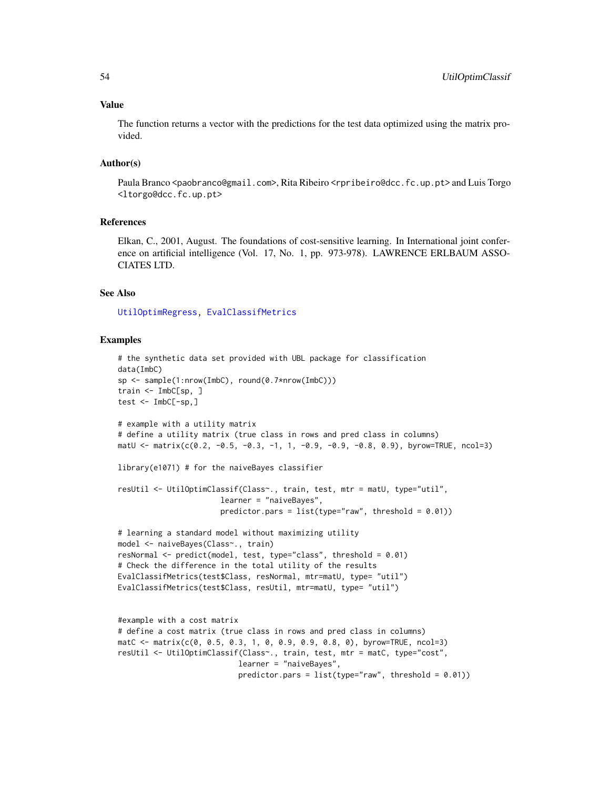#### <span id="page-53-0"></span>Value

The function returns a vector with the predictions for the test data optimized using the matrix provided.

#### Author(s)

Paula Branco <paobranco@gmail.com>, Rita Ribeiro <rpribeiro@dcc.fc.up.pt> and Luis Torgo <ltorgo@dcc.fc.up.pt>

## References

Elkan, C., 2001, August. The foundations of cost-sensitive learning. In International joint conference on artificial intelligence (Vol. 17, No. 1, pp. 973-978). LAWRENCE ERLBAUM ASSO-CIATES LTD.

#### See Also

[UtilOptimRegress,](#page-54-1) [EvalClassifMetrics](#page-11-1)

```
# the synthetic data set provided with UBL package for classification
data(ImbC)
sp <- sample(1:nrow(ImbC), round(0.7*nrow(ImbC)))
train <- ImbC[sp, ]
test \leq ImbC[-sp,]
# example with a utility matrix
# define a utility matrix (true class in rows and pred class in columns)
matU <- matrix(c(0.2, -0.5, -0.3, -1, 1, -0.9, -0.9, -0.8, 0.9), byrow=TRUE, ncol=3)
library(e1071) # for the naiveBayes classifier
resUtil <- UtilOptimClassif(Class~., train, test, mtr = matU, type="util",
                       learner = "naiveBayes",
                       predictor.pars = list(type="raw", threshold = 0.01))# learning a standard model without maximizing utility
model <- naiveBayes(Class~., train)
resNormal <- predict(model, test, type="class", threshold = 0.01)
# Check the difference in the total utility of the results
EvalClassifMetrics(test$Class, resNormal, mtr=matU, type= "util")
EvalClassifMetrics(test$Class, resUtil, mtr=matU, type= "util")
#example with a cost matrix
# define a cost matrix (true class in rows and pred class in columns)
matC <- matrix(c(0, 0.5, 0.3, 1, 0, 0.9, 0.9, 0.8, 0), byrow=TRUE, ncol=3)
resUtil <- UtilOptimClassif(Class~., train, test, mtr = matC, type="cost",
                           learner = "naiveBayes",
                           predictor.pars = list(type="raw", threshold = 0.01))
```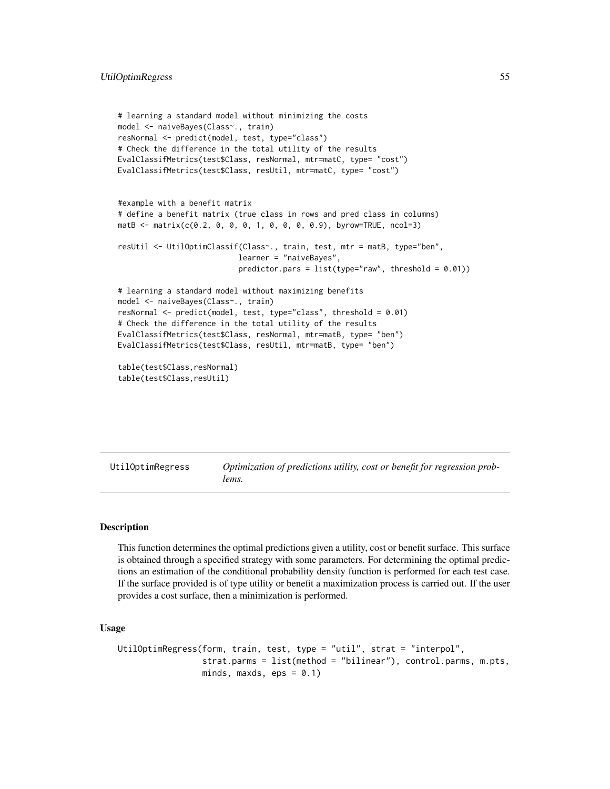```
# learning a standard model without minimizing the costs
model <- naiveBayes(Class~., train)
resNormal <- predict(model, test, type="class")
# Check the difference in the total utility of the results
EvalClassifMetrics(test$Class, resNormal, mtr=matC, type= "cost")
EvalClassifMetrics(test$Class, resUtil, mtr=matC, type= "cost")
#example with a benefit matrix
# define a benefit matrix (true class in rows and pred class in columns)
matB <- matrix(c(0.2, 0, 0, 0, 1, 0, 0, 0, 0.9), byrow=TRUE, ncol=3)
resUtil <- UtilOptimClassif(Class~., train, test, mtr = matB, type="ben",
                           learner = "naiveBayes",
                           predictor.pars = list(type="raw", threshold = 0.01))# learning a standard model without maximizing benefits
model <- naiveBayes(Class~., train)
resNormal <- predict(model, test, type="class", threshold = 0.01)
# Check the difference in the total utility of the results
EvalClassifMetrics(test$Class, resNormal, mtr=matB, type= "ben")
EvalClassifMetrics(test$Class, resUtil, mtr=matB, type= "ben")
table(test$Class,resNormal)
table(test$Class,resUtil)
```
<span id="page-54-1"></span>UtilOptimRegress *Optimization of predictions utility, cost or benefit for regression problems.*

#### Description

This function determines the optimal predictions given a utility, cost or benefit surface. This surface is obtained through a specified strategy with some parameters. For determining the optimal predictions an estimation of the conditional probability density function is performed for each test case. If the surface provided is of type utility or benefit a maximization process is carried out. If the user provides a cost surface, then a minimization is performed.

#### Usage

```
UtilOptimRegress(form, train, test, type = "util", strat = "interpol",
                 strat.parms = list(method = "bilinear"), control.parms, m.pts,
                 minds, maxds, eps = 0.1)
```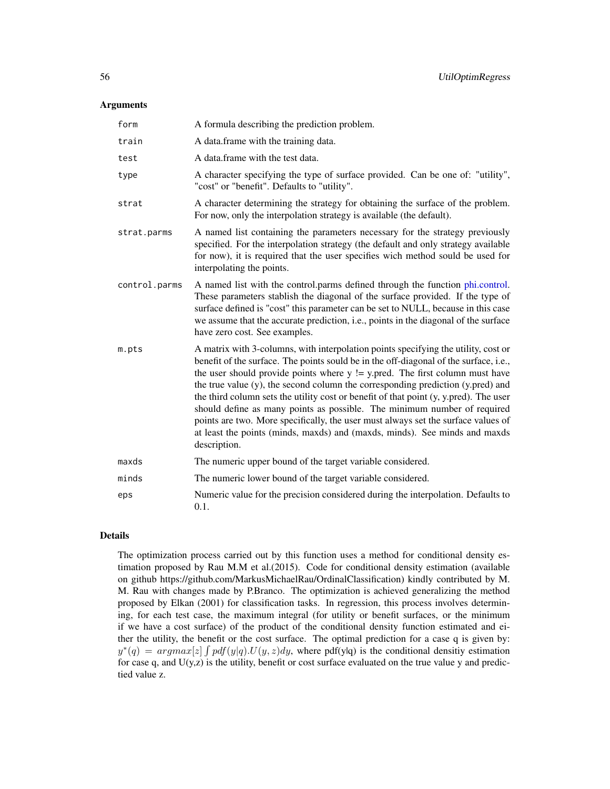#### <span id="page-55-0"></span>**Arguments**

| form          | A formula describing the prediction problem.                                                                                                                                                                                                                                                                                                                                                                                                                                                                                                                                                                                                                                                                |
|---------------|-------------------------------------------------------------------------------------------------------------------------------------------------------------------------------------------------------------------------------------------------------------------------------------------------------------------------------------------------------------------------------------------------------------------------------------------------------------------------------------------------------------------------------------------------------------------------------------------------------------------------------------------------------------------------------------------------------------|
| train         | A data.frame with the training data.                                                                                                                                                                                                                                                                                                                                                                                                                                                                                                                                                                                                                                                                        |
| test          | A data.frame with the test data.                                                                                                                                                                                                                                                                                                                                                                                                                                                                                                                                                                                                                                                                            |
| type          | A character specifying the type of surface provided. Can be one of: "utility",<br>"cost" or "benefit". Defaults to "utility".                                                                                                                                                                                                                                                                                                                                                                                                                                                                                                                                                                               |
| strat         | A character determining the strategy for obtaining the surface of the problem.<br>For now, only the interpolation strategy is available (the default).                                                                                                                                                                                                                                                                                                                                                                                                                                                                                                                                                      |
| strat.parms   | A named list containing the parameters necessary for the strategy previously<br>specified. For the interpolation strategy (the default and only strategy available<br>for now), it is required that the user specifies wich method sould be used for<br>interpolating the points.                                                                                                                                                                                                                                                                                                                                                                                                                           |
| control.parms | A named list with the control.parms defined through the function phi.control.<br>These parameters stablish the diagonal of the surface provided. If the type of<br>surface defined is "cost" this parameter can be set to NULL, because in this case<br>we assume that the accurate prediction, i.e., points in the diagonal of the surface<br>have zero cost. See examples.                                                                                                                                                                                                                                                                                                                                |
| m.pts         | A matrix with 3-columns, with interpolation points specifying the utility, cost or<br>benefit of the surface. The points sould be in the off-diagonal of the surface, i.e.,<br>the user should provide points where $y \ge y$ . pred. The first column must have<br>the true value (y), the second column the corresponding prediction (y.pred) and<br>the third column sets the utility cost or benefit of that point (y, y.pred). The user<br>should define as many points as possible. The minimum number of required<br>points are two. More specifically, the user must always set the surface values of<br>at least the points (minds, maxds) and (maxds, minds). See minds and maxds<br>description. |
| maxds         | The numeric upper bound of the target variable considered.                                                                                                                                                                                                                                                                                                                                                                                                                                                                                                                                                                                                                                                  |
| minds         | The numeric lower bound of the target variable considered.                                                                                                                                                                                                                                                                                                                                                                                                                                                                                                                                                                                                                                                  |
| eps           | Numeric value for the precision considered during the interpolation. Defaults to<br>0.1.                                                                                                                                                                                                                                                                                                                                                                                                                                                                                                                                                                                                                    |

# Details

The optimization process carried out by this function uses a method for conditional density estimation proposed by Rau M.M et al.(2015). Code for conditional density estimation (available on github https://github.com/MarkusMichaelRau/OrdinalClassification) kindly contributed by M. M. Rau with changes made by P.Branco. The optimization is achieved generalizing the method proposed by Elkan (2001) for classification tasks. In regression, this process involves determining, for each test case, the maximum integral (for utility or benefit surfaces, or the minimum if we have a cost surface) of the product of the conditional density function estimated and either the utility, the benefit or the cost surface. The optimal prediction for a case q is given by:  $y^*(q) = argmax[z] \int pdf(y|q) \cdot U(y, z) dy$ , where pdf(y|q) is the conditional densitiy estimation for case q, and  $U(y, z)$  is the utility, benefit or cost surface evaluated on the true value y and predictied value z.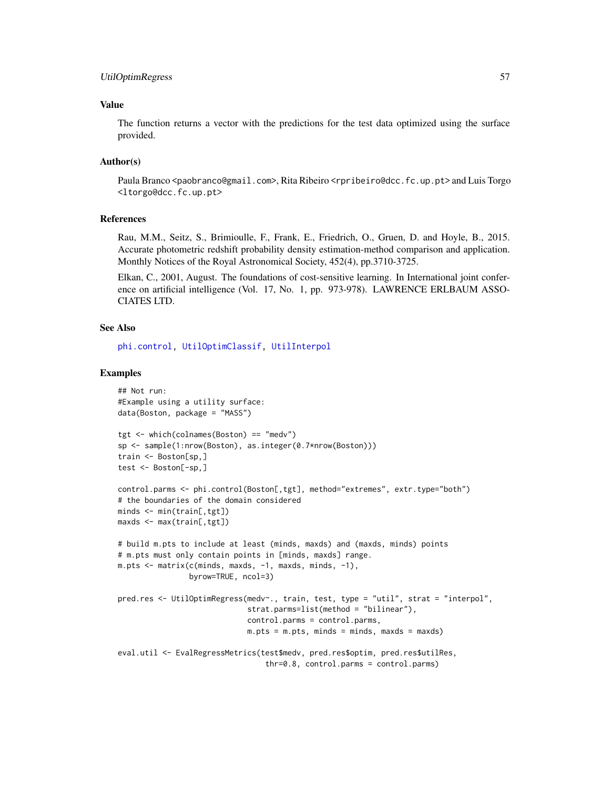# <span id="page-56-0"></span>Value

The function returns a vector with the predictions for the test data optimized using the surface provided.

#### Author(s)

Paula Branco <paobranco@gmail.com>, Rita Ribeiro <rpribeiro@dcc.fc.up.pt> and Luis Torgo <ltorgo@dcc.fc.up.pt>

# References

Rau, M.M., Seitz, S., Brimioulle, F., Frank, E., Friedrich, O., Gruen, D. and Hoyle, B., 2015. Accurate photometric redshift probability density estimation-method comparison and application. Monthly Notices of the Royal Astronomical Society, 452(4), pp.3710-3725.

Elkan, C., 2001, August. The foundations of cost-sensitive learning. In International joint conference on artificial intelligence (Vol. 17, No. 1, pp. 973-978). LAWRENCE ERLBAUM ASSO-CIATES LTD.

## See Also

[phi.control,](#page-31-1) [UtilOptimClassif,](#page-52-1) [UtilInterpol](#page-47-1)

```
## Not run:
#Example using a utility surface:
data(Boston, package = "MASS")
tgt <- which(colnames(Boston) == "medv")
sp <- sample(1:nrow(Boston), as.integer(0.7*nrow(Boston)))
train <- Boston[sp,]
test <- Boston[-sp,]
control.parms <- phi.control(Boston[,tgt], method="extremes", extr.type="both")
# the boundaries of the domain considered
minds <- min(train[,tgt])
maxds <- max(train[,tgt])
# build m.pts to include at least (minds, maxds) and (maxds, minds) points
# m.pts must only contain points in [minds, maxds] range.
m.pts \leq matrix(c(minds, maxds, -1, maxds, minds, -1),
                byrow=TRUE, ncol=3)
pred.res <- UtilOptimRegress(medv~., train, test, type = "util", strat = "interpol",
                             strat.parms=list(method = "bilinear"),
                             control.parms = control.parms,
                             m.pts = m.pts, minds = minds, maxds = maxds)
eval.util <- EvalRegressMetrics(test$medv, pred.res$optim, pred.res$utilRes,
                                 thr=0.8, control.parms = control.parms)
```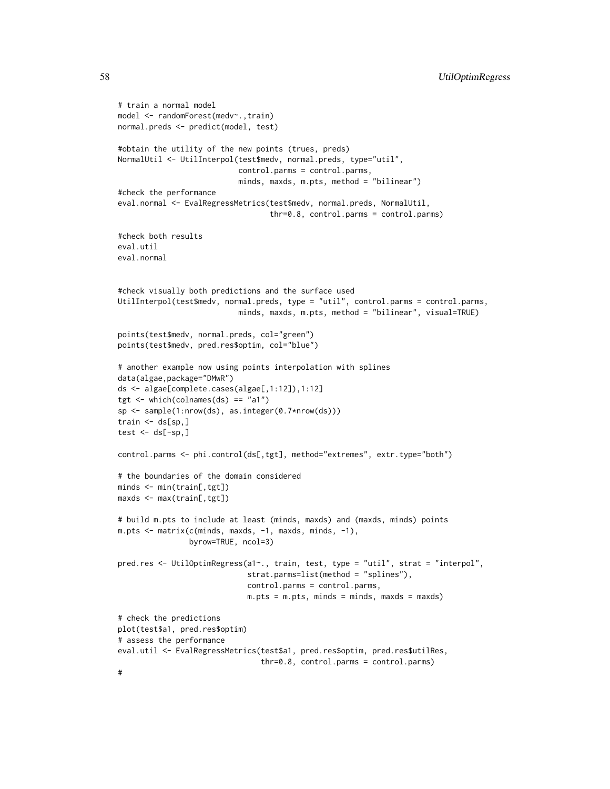```
# train a normal model
model <- randomForest(medv~.,train)
normal.preds <- predict(model, test)
#obtain the utility of the new points (trues, preds)
NormalUtil <- UtilInterpol(test$medv, normal.preds, type="util",
                           control.parms = control.parms,
                           minds, maxds, m.pts, method = "bilinear")
#check the performance
eval.normal <- EvalRegressMetrics(test$medv, normal.preds, NormalUtil,
                                  thr=0.8, control.parms = control.parms)
#check both results
eval.util
eval.normal
#check visually both predictions and the surface used
UtilInterpol(test$medv, normal.preds, type = "util", control.parms = control.parms,
                           minds, maxds, m.pts, method = "bilinear", visual=TRUE)
points(test$medv, normal.preds, col="green")
points(test$medv, pred.res$optim, col="blue")
# another example now using points interpolation with splines
data(algae,package="DMwR")
ds <- algae[complete.cases(algae[,1:12]),1:12]
tgt \le which(colnames(ds) == "a1")
sp <- sample(1:nrow(ds), as.integer(0.7*nrow(ds)))
train \leq ds[sp,]
test \leq ds[-sp,]
control.parms <- phi.control(ds[,tgt], method="extremes", extr.type="both")
# the boundaries of the domain considered
minds <- min(train[,tgt])
maxds <- max(train[,tgt])
# build m.pts to include at least (minds, maxds) and (maxds, minds) points
m.pts < - matrix(c(minds, maxds, -1, maxds, minds, -1),byrow=TRUE, ncol=3)
pred.res <- UtilOptimRegress(a1~., train, test, type = "util", strat = "interpol",
                             strat.parms=list(method = "splines"),
                             control.parms = control.parms,
                             m.pts = m.pts, minds = minds, maxds = maxds)
# check the predictions
plot(test$a1, pred.res$optim)
# assess the performance
eval.util <- EvalRegressMetrics(test$a1, pred.res$optim, pred.res$utilRes,
                                thr=0.8, control.parms = control.parms)
```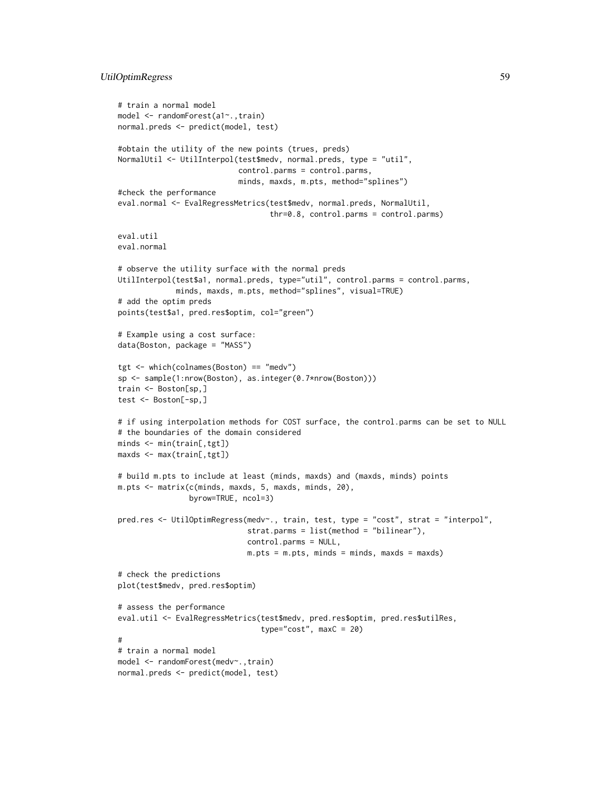# UtilOptimRegress 59

```
# train a normal model
model <- randomForest(a1~.,train)
normal.preds <- predict(model, test)
#obtain the utility of the new points (trues, preds)
NormalUtil <- UtilInterpol(test$medv, normal.preds, type = "util",
                           control.parms = control.parms,
                           minds, maxds, m.pts, method="splines")
#check the performance
eval.normal <- EvalRegressMetrics(test$medv, normal.preds, NormalUtil,
                                  thr=0.8, control.parms = control.parms)
eval.util
eval.normal
# observe the utility surface with the normal preds
UtilInterpol(test$a1, normal.preds, type="util", control.parms = control.parms,
             minds, maxds, m.pts, method="splines", visual=TRUE)
# add the optim preds
points(test$a1, pred.res$optim, col="green")
# Example using a cost surface:
data(Boston, package = "MASS")
tgt <- which(colnames(Boston) == "medv")
sp <- sample(1:nrow(Boston), as.integer(0.7*nrow(Boston)))
train <- Boston[sp,]
test <- Boston[-sp,]
# if using interpolation methods for COST surface, the control.parms can be set to NULL
# the boundaries of the domain considered
minds <- min(train[,tgt])
maxds <- max(train[,tgt])
# build m.pts to include at least (minds, maxds) and (maxds, minds) points
m.pts <- matrix(c(minds, maxds, 5, maxds, minds, 20),
                byrow=TRUE, ncol=3)
pred.res <- UtilOptimRegress(medv~., train, test, type = "cost", strat = "interpol",
                             strat.parms = list(method = "bilinear"),
                             control.parms = NULL,
                             m.pts = m.pts, minds = minds, maxds = maxds)
# check the predictions
plot(test$medv, pred.res$optim)
# assess the performance
eval.util <- EvalRegressMetrics(test$medv, pred.res$optim, pred.res$utilRes,
                                type="cost", maxC = 20)
#
# train a normal model
model <- randomForest(medv~.,train)
normal.preds <- predict(model, test)
```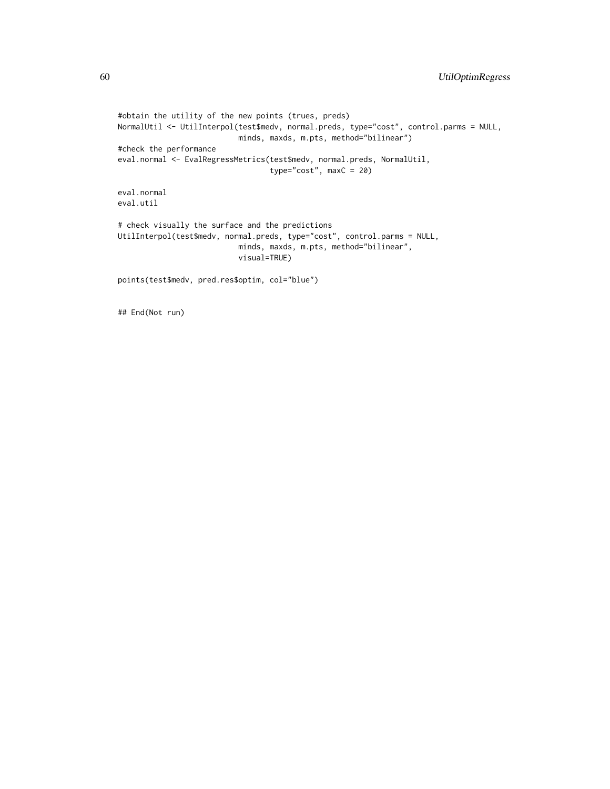```
#obtain the utility of the new points (trues, preds)
NormalUtil <- UtilInterpol(test$medv, normal.preds, type="cost", control.parms = NULL,
                           minds, maxds, m.pts, method="bilinear")
#check the performance
eval.normal <- EvalRegressMetrics(test$medv, normal.preds, NormalUtil,
                                  type="cost", maxC = 20)
eval.normal
eval.util
# check visually the surface and the predictions
UtilInterpol(test$medv, normal.preds, type="cost", control.parms = NULL,
                           minds, maxds, m.pts, method="bilinear",
                           visual=TRUE)
points(test$medv, pred.res$optim, col="blue")
```
## End(Not run)